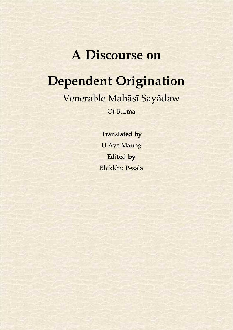# **A Discourse on**

# **Dependent Origination**

Venerable Mahāsī Sayādaw

Of Burma

**Translated by** U Aye Maung **Edited by** Bhikkhu Pesala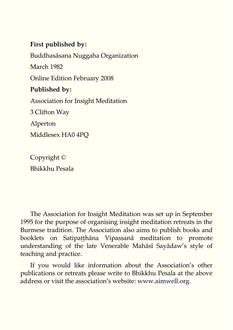#### **First published by:**

Buddhasāsana Nuggaha Organization March 1982 Online Edition February 2008 **Published by:** Association for Insight Meditation 3 Clifton Way Alperton Middlesex HA0 4PQ

Copyright © Bhikkhu Pesala

The Association for Insight Meditation was set up in September 1995 for the purpose of organising insight meditation retreats in the Burmese tradition. The Association also aims to publish books and booklets on Satipatthāna Vipassanā meditation to promote understanding of the late Venerable Mahāsī Sayādaw's style of teaching and practice.

If you would like information about the Association's other publications or retreats please write to Bhikkhu Pesala at the above address or visit the association's website: [www.aimwell.org.](http://www.aimwell.org/)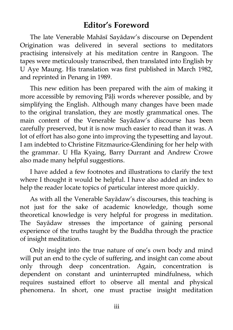## <span id="page-2-0"></span>**Editor's Foreword**

The late Venerable Mahāsī Sayādaw's discourse on Dependent Origination was delivered in several sections to meditators practising intensively at his meditation centre in Rangoon. The tapes were meticulously transcribed, then translated into English by U Aye Maung. His translation was first published in March 1982, and reprinted in Penang in 1989.

This new edition has been prepared with the aim of making it more accessible by removing Pāli words wherever possible, and by simplifying the English. Although many changes have been made to the original translation, they are mostly grammatical ones. The main content of the Venerable Sayādaw's discourse has been carefully preserved, but it is now much easier to read than it was. A lot of effort has also gone into improving the typesetting and layout. I am indebted to Christine Fitzmaurice-Glendining for her help with the grammar. U Hla Kyaing, Barry Durrant and Andrew Crowe also made many helpful suggestions.

I have added a few footnotes and illustrations to clarify the text where I thought it would be helpful. I have also added an index to help the reader locate topics of particular interest more quickly.

As with all the Venerable Sayādaw's discourses, this teaching is not just for the sake of academic knowledge, though some theoretical knowledge is very helpful for progress in meditation. The Sayādaw stresses the importance of gaining personal experience of the truths taught by the Buddha through the practice of insight meditation.

Only insight into the true nature of one's own body and mind will put an end to the cycle of suffering, and insight can come about only through deep concentration. Again, concentration is dependent on constant and uninterrupted mindfulness, which requires sustained effort to observe all mental and physical phenomena. In short, one must practise insight meditation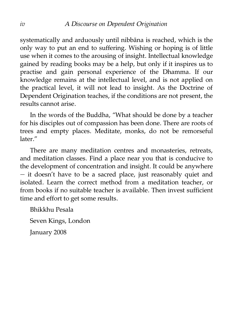systematically and arduously until nibbāna is reached, which is the only way to put an end to suffering. Wishing or hoping is of little use when it comes to the arousing of insight. Intellectual knowledge gained by reading books may be a help, but only if it inspires us to practise and gain personal experience of the Dhamma. If our knowledge remains at the intellectual level, and is not applied on the practical level, it will not lead to insight. As the Doctrine of Dependent Origination teaches, if the conditions are not present, the results cannot arise.

In the words of the Buddha, "What should be done by a teacher for his disciples out of compassion has been done. There are roots of trees and empty places. Meditate, monks, do not be remorseful later."

There are many meditation centres and monasteries, retreats, and meditation classes. Find a place near you that is conducive to the development of concentration and insight. It could be anywhere — it doesn't have to be a sacred place, just reasonably quiet and isolated. Learn the correct method from a meditation teacher, or from books if no suitable teacher is available. Then invest sufficient time and effort to get some results.

Bhikkhu Pesala Seven Kings, London January 2008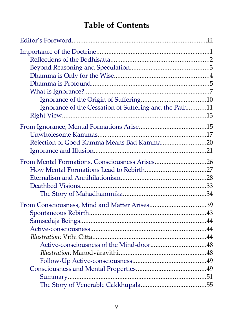# <span id="page-4-0"></span>**Table of Contents**

| Ignorance of the Cessation of Suffering and the Path11 |  |
|--------------------------------------------------------|--|
|                                                        |  |
|                                                        |  |
|                                                        |  |
| Rejection of Good Kamma Means Bad Kamma20              |  |
|                                                        |  |
| From Mental Formations, Consciousness Arises26         |  |
|                                                        |  |
|                                                        |  |
|                                                        |  |
|                                                        |  |
| From Consciousness, Mind and Matter Arises39           |  |
|                                                        |  |
|                                                        |  |
|                                                        |  |
|                                                        |  |
|                                                        |  |
|                                                        |  |
|                                                        |  |
|                                                        |  |
|                                                        |  |
|                                                        |  |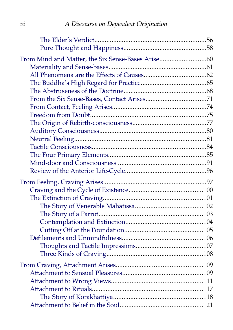# *vi A Discourse on Dependent Origination*

<span id="page-5-3"></span><span id="page-5-2"></span><span id="page-5-1"></span><span id="page-5-0"></span>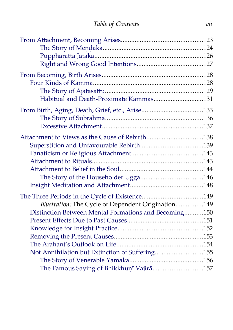| Habitual and Death-Proximate Kammas131                |  |
|-------------------------------------------------------|--|
|                                                       |  |
|                                                       |  |
|                                                       |  |
| Attachment to Views as the Cause of Rebirth138        |  |
|                                                       |  |
|                                                       |  |
|                                                       |  |
|                                                       |  |
|                                                       |  |
|                                                       |  |
|                                                       |  |
| Illustration: The Cycle of Dependent Origination149   |  |
| Distinction Between Mental Formations and Becoming150 |  |
|                                                       |  |
|                                                       |  |
|                                                       |  |
|                                                       |  |
| Not Annihilation but Extinction of Suffering155       |  |
|                                                       |  |
| The Famous Saying of Bhikkhunī Vajirā157              |  |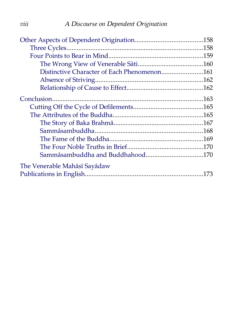| Distinctive Character of Each Phenomenon161 |  |
|---------------------------------------------|--|
|                                             |  |
|                                             |  |
|                                             |  |
|                                             |  |
|                                             |  |
|                                             |  |
|                                             |  |
|                                             |  |
|                                             |  |
|                                             |  |
| The Venerable Mahāsī Sayādaw                |  |
|                                             |  |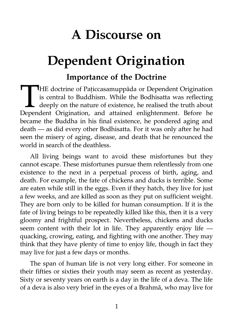# **A Discourse on**

# **Dependent Origination**

# <span id="page-8-0"></span>**Importance of the Doctrine**

THE doctrine of Paticcasamuppāda or Dependent Origination is central to Buddhism. While the Bodhisatta was reflecting deeply on the nature of existence, he realised the truth about THE doctrine of Paticcasamuppāda or Dependent Origination<br>is central to Buddhism. While the Bodhisatta was reflecting<br>deeply on the nature of existence, he realised the truth about<br>Dependent Origination, and attained enlig became the Buddha in his final existence, he pondered aging and death — as did every other Bodhisatta. For it was only after he had seen the misery of aging, disease, and death that he renounced the world in search of the deathless.

All living beings want to avoid these misfortunes but they cannot escape. These misfortunes pursue them relentlessly from one existence to the next in a perpetual process of birth, aging, and death. For example, the fate of chickens and ducks is terrible. Some are eaten while still in the eggs. Even if they hatch, they live for just a few weeks, and are killed as soon as they put on sufficient weight. They are born only to be killed for human consumption. If it is the fate of living beings to be repeatedly killed like this, then it is a very gloomy and frightful prospect. Nevertheless, chickens and ducks seem content with their lot in life. They apparently enjoy life quacking, crowing, eating, and fighting with one another. They may think that they have plenty of time to enjoy life, though in fact they may live for just a few days or months.

The span of human life is not very long either. For someone in their fifties or sixties their youth may seem as recent as yesterday. Sixty or seventy years on earth is a day in the life of a deva. The life of a deva is also very brief in the eyes of a Brahmā, who may live for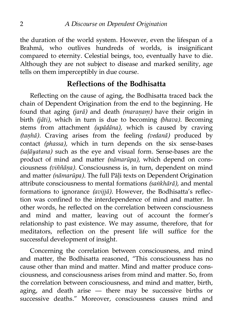the duration of the world system. However, even the lifespan of a Brahmā, who outlives hundreds of worlds, is insignificant compared to eternity. Celestial beings, too, eventually have to die. Although they are not subject to disease and marked senility, age tells on them imperceptibly in due course.

### <span id="page-9-0"></span>**Reflections of the Bodhisatta**

Reflecting on the cause of aging, the Bodhisatta traced back the chain of Dependent Origination from the end to the beginning. He found that aging *(jarā)* and death *(maraṇaṃ)* have their origin in birth *(jāti),* which in turn is due to becoming *(bhava).* Becoming stems from attachment *(upādāna),* which is caused by craving *(taṇhā).* Craving arises from the feeling *(vedanā)* produced by contact *(phassa),* which in turn depends on the six sense-bases *(saḷāyatana)* such as the eye and visual form. Sense-bases are the product of mind and matter *(nāmarūpa),* which depend on consciousness *(viññāṇa).* Consciousness is, in turn, dependent on mind and matter *(nāmarūpa).* The full Pāḷi texts on Dependent Origination attribute consciousness to mental formations *(saṅkhārā),* and mental formations to ignorance *(avijjā).* However, the Bodhisatta's reflection was confined to the interdependence of mind and matter. In other words, he reflected on the correlation between consciousness and mind and matter, leaving out of account the former's relationship to past existence. We may assume, therefore, that for meditators, reflection on the present life will suffice for the successful development of insight.

Concerning the correlation between consciousness, and mind and matter, the Bodhisatta reasoned, "This consciousness has no cause other than mind and matter. Mind and matter produce consciousness, and consciousness arises from mind and matter. So, from the correlation between consciousness, and mind and matter, birth, aging, and death arise — there may be successive births or successive deaths." Moreover, consciousness causes mind and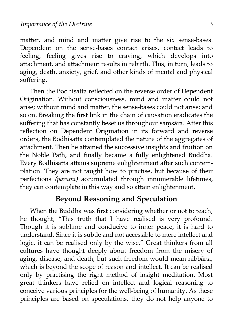matter, and mind and matter give rise to the six sense-bases. Dependent on the sense-bases contact arises, contact leads to feeling, feeling gives rise to craving, which develops into attachment, and attachment results in rebirth. This, in turn, leads to aging, death, anxiety, grief, and other kinds of mental and physical suffering.

Then the Bodhisatta reflected on the reverse order of Dependent Origination. Without consciousness, mind and matter could not arise; without mind and matter, the sense-bases could not arise; and so on. Breaking the first link in the chain of causation eradicates the suffering that has constantly beset us throughout samsāra. After this reflection on Dependent Origination in its forward and reverse orders, the Bodhisatta contemplated the nature of the aggregates of attachment. Then he attained the successive insights and fruition on the Noble Path, and finally became a fully enlightened Buddha. Every Bodhisatta attains supreme enlightenment after such contemplation. They are not taught how to practise, but because of their perfections *(pāramī)* accumulated through innumerable lifetimes, they can contemplate in this way and so attain enlightenment.

#### <span id="page-10-0"></span>**Beyond Reasoning and Speculation**

When the Buddha was first considering whether or not to teach, he thought, "This truth that I have realised is very profound. Though it is sublime and conducive to inner peace, it is hard to understand. Since it is subtle and not accessible to mere intellect and logic, it can be realised only by the wise." Great thinkers from all cultures have thought deeply about freedom from the misery of aging, disease, and death, but such freedom would mean nibbāna, which is beyond the scope of reason and intellect. It can be realised only by practising the right method of insight meditation. Most great thinkers have relied on intellect and logical reasoning to conceive various principles for the well-being of humanity. As these principles are based on speculations, they do not help anyone to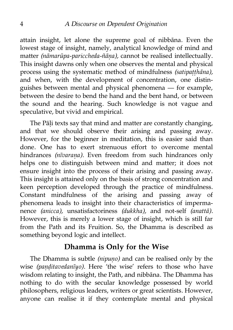attain insight, let alone the supreme goal of nibbāna. Even the lowest stage of insight, namely, analytical knowledge of mind and matter *(nāmarūpa-pariccheda-ñāṇa),* cannot be realised intellectually. This insight dawns only when one observes the mental and physical process using the systematic method of mindfulness *(satipaṭṭhāna),* and when, with the development of concentration, one distinguishes between mental and physical phenomena — for example, between the desire to bend the hand and the bent hand, or between the sound and the hearing. Such knowledge is not vague and speculative, but vivid and empirical.

The Pāli texts say that mind and matter are constantly changing, and that we should observe their arising and passing away. However, for the beginner in meditation, this is easier said than done. One has to exert strenuous effort to overcome mental hindrances *(nīvaraṇa).* Even freedom from such hindrances only helps one to distinguish between mind and matter; it does not ensure insight into the process of their arising and passing away. This insight is attained only on the basis of strong concentration and keen perception developed through the practice of mindfulness. Constant mindfulness of the arising and passing away of phenomena leads to insight into their characteristics of impermanence *(anicca),* unsatisfactoriness *(dukkha),* and not-self *(anattā).* However, this is merely a lower stage of insight, which is still far from the Path and its Fruition. So, the Dhamma is described as something beyond logic and intellect.

#### <span id="page-11-0"></span>**Dhamma is Only for the Wise**

The Dhamma is subtle *(nipuṇo)* and can be realised only by the wise *(paṇḍitavedanīyo).* Here 'the wise' refers to those who have wisdom relating to insight, the Path, and nibbāna. The Dhamma has nothing to do with the secular knowledge possessed by world philosophers, religious leaders, writers or great scientists. However, anyone can realise it if they contemplate mental and physical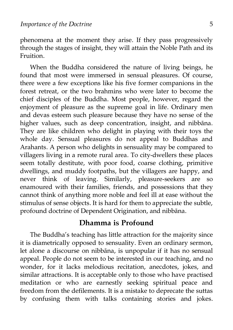phenomena at the moment they arise. If they pass progressively through the stages of insight, they will attain the Noble Path and its Fruition.

When the Buddha considered the nature of living beings, he found that most were immersed in sensual pleasures. Of course, there were a few exceptions like his five former companions in the forest retreat, or the two brahmins who were later to become the chief disciples of the Buddha. Most people, however, regard the enjoyment of pleasure as the supreme goal in life. Ordinary men and devas esteem such pleasure because they have no sense of the higher values, such as deep concentration, insight, and nibbāna. They are like children who delight in playing with their toys the whole day. Sensual pleasures do not appeal to Buddhas and Arahants. A person who delights in sensuality may be compared to villagers living in a remote rural area. To city-dwellers these places seem totally destitute, with poor food, coarse clothing, primitive dwellings, and muddy footpaths, but the villagers are happy, and never think of leaving. Similarly, pleasure-seekers are so enamoured with their families, friends, and possessions that they cannot think of anything more noble and feel ill at ease without the stimulus of sense objects. It is hard for them to appreciate the subtle, profound doctrine of Dependent Origination, and nibbāna.

#### <span id="page-12-0"></span>**Dhamma is Profound**

The Buddha's teaching has little attraction for the majority since it is diametrically opposed to sensuality. Even an ordinary sermon, let alone a discourse on nibbāna, is unpopular if it has no sensual appeal. People do not seem to be interested in our teaching, and no wonder, for it lacks melodious recitation, anecdotes, jokes, and similar attractions. It is acceptable only to those who have practised meditation or who are earnestly seeking spiritual peace and freedom from the defilements. It is a mistake to deprecate the suttas by confusing them with talks containing stories and jokes.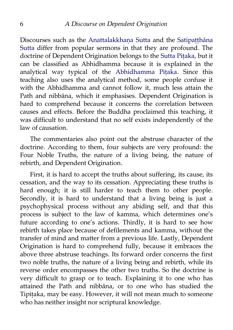Discourses such as the Anattalakkhana Sutta and the Satipatthāna [Sutta](http://www.accesstoinsight.org/tipitaka/mn/mn.010.soma.html) differ from popular sermons in that they are profound. The doctrine of Dependent Origination belongs to the Sutta Pitaka, but it can be classified as Abhidhamma because it is explained in the analytical way typical of the [Abhidhamma Piṭaka.](http://www.accesstoinsight.org/tipitaka/abhi/index.html) Since this teaching also uses the analytical method, some people confuse it with the Abhidhamma and cannot follow it, much less attain the Path and nibbāna, which it emphasises. Dependent Origination is hard to comprehend because it concerns the correlation between causes and effects. Before the Buddha proclaimed this teaching, it was difficult to understand that no self exists independently of the law of causation.

The commentaries also point out the abstruse character of the doctrine. According to them, four subjects are very profound: the Four Noble Truths, the nature of a living being, the nature of rebirth, and Dependent Origination.

First, it is hard to accept the truths about suffering, its cause, its cessation, and the way to its cessation. Appreciating these truths is hard enough; it is still harder to teach them to other people. Secondly, it is hard to understand that a living being is just a psychophysical process without any abiding self, and that this process is subject to the law of kamma, which determines one's future according to one's actions. Thirdly, it is hard to see how rebirth takes place because of defilements and kamma, without the transfer of mind and matter from a previous life. Lastly, Dependent Origination is hard to comprehend fully, because it embraces the above three abstruse teachings. Its forward order concerns the first two noble truths, the nature of a living being and rebirth, while its reverse order encompasses the other two truths. So the doctrine is very difficult to grasp or to teach. Explaining it to one who has attained the Path and nibbāna, or to one who has studied the Tipiṭaka, may be easy. However, it will not mean much to someone who has neither insight nor scriptural knowledge.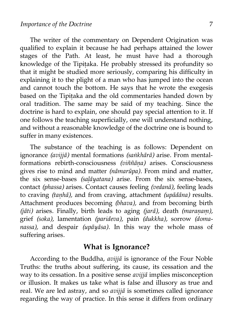The writer of the commentary on Dependent Origination was qualified to explain it because he had perhaps attained the lower stages of the Path. At least, he must have had a thorough knowledge of the Tipiṭaka. He probably stressed its profundity so that it might be studied more seriously, comparing his difficulty in explaining it to the plight of a man who has jumped into the ocean and cannot touch the bottom. He says that he wrote the exegesis based on the Tipiṭaka and the old commentaries handed down by oral tradition. The same may be said of my teaching. Since the doctrine is hard to explain, one should pay special attention to it. If one follows the teaching superficially, one will understand nothing, and without a reasonable knowledge of the doctrine one is bound to suffer in many existences.

The substance of the teaching is as follows: Dependent on ignorance *(avijjā)* mental formations *(saṅkhārā)* arise. From mentalformations rebirth-consciousness *(viññāṇa)* arises. Consciousness gives rise to mind and matter *(nāmarūpa).* From mind and matter, the six sense-bases *(saḷāyatana)* arise. From the six sense-bases, contact *(phassa)* arises. Contact causes feeling *(vedanā),* feeling leads to craving *(taṇhā),* and from craving, attachment *(upādāna)* results. Attachment produces becoming *(bhava),* and from becoming birth *(jāti)* arises. Finally, birth leads to aging *(jarā),* death *(maraṇaṃ),* grief *(soka),* lamentation *(parideva),* pain *(dukkha),* sorrow *(domanassa),* and despair *(upāyāsa).* In this way the whole mass of suffering arises.

#### <span id="page-14-0"></span>**What is Ignorance?**

According to the Buddha, *avijjā* is ignorance of the Four Noble Truths: the truths about suffering, its cause, its cessation and the way to its cessation. In a positive sense *avijjā* implies misconception or illusion. It makes us take what is false and illusory as true and real. We are led astray, and so *avijjā* is sometimes called ignorance regarding the way of practice. In this sense it differs from ordinary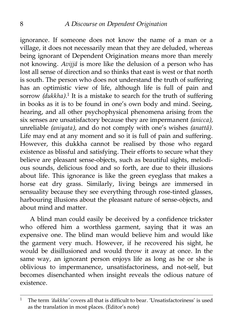ignorance. If someone does not know the name of a man or a village, it does not necessarily mean that they are deluded, whereas being ignorant of Dependent Origination means more than merely not knowing. *Avijjā* is more like the delusion of a person who has lost all sense of direction and so thinks that east is west or that north is south. The person who does not understand the truth of suffering has an optimistic view of life, although life is full of pain and sorrow *(dukkha)*.<sup>[1](#page-15-0)</sup> It is a mistake to search for the truth of suffering in books as it is to be found in one's own body and mind. Seeing, hearing, and all other psychophysical phenomena arising from the six senses are unsatisfactory because they are impermanent *(anicca),* unreliable *(aniyata),* and do not comply with one's wishes *(anattā).* Life may end at any moment and so it is full of pain and suffering. However, this dukkha cannot be realised by those who regard existence as blissful and satisfying. Their efforts to secure what they believe are pleasant sense-objects, such as beautiful sights, melodious sounds, delicious food and so forth, are due to their illusions about life. This ignorance is like the green eyeglass that makes a horse eat dry grass. Similarly, living beings are immersed in sensuality because they see everything through rose-tinted glasses, harbouring illusions about the pleasant nature of sense-objects, and about mind and matter.

A blind man could easily be deceived by a confidence trickster who offered him a worthless garment, saying that it was an expensive one. The blind man would believe him and would like the garment very much. However, if he recovered his sight, he would be disillusioned and would throw it away at once. In the same way, an ignorant person enjoys life as long as he or she is oblivious to impermanence, unsatisfactoriness, and not-self, but becomes disenchanted when insight reveals the odious nature of existence.

<span id="page-15-0"></span><sup>1</sup> The term *'dukkha'* covers all that is difficult to bear. 'Unsatisfactoriness' is used as the translation in most places. (Editor's note)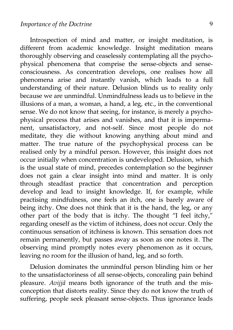Introspection of mind and matter, or insight meditation, is different from academic knowledge. Insight meditation means thoroughly observing and ceaselessly contemplating all the psychophysical phenomena that comprise the sense-objects and senseconsciousness. As concentration develops, one realises how all phenomena arise and instantly vanish, which leads to a full understanding of their nature. Delusion blinds us to reality only because we are unmindful. Unmindfulness leads us to believe in the illusions of a man, a woman, a hand, a leg, etc., in the conventional sense. We do not know that seeing, for instance, is merely a psychophysical process that arises and vanishes, and that it is impermanent, unsatisfactory, and not-self. Since most people do not meditate, they die without knowing anything about mind and matter. The true nature of the psychophysical process can be realised only by a mindful person. However, this insight does not occur initially when concentration is undeveloped. Delusion, which is the usual state of mind, precedes contemplation so the beginner does not gain a clear insight into mind and matter. It is only through steadfast practice that concentration and perception develop and lead to insight knowledge. If, for example, while practising mindfulness, one feels an itch, one is barely aware of being itchy. One does not think that it is the hand, the leg, or any other part of the body that is itchy. The thought "I feel itchy," regarding oneself as the victim of itchiness, does not occur. Only the continuous sensation of itchiness is known. This sensation does not remain permanently, but passes away as soon as one notes it. The observing mind promptly notes every phenomenon as it occurs, leaving no room for the illusion of hand, leg, and so forth.

Delusion dominates the unmindful person blinding him or her to the unsatisfactoriness of all sense-objects, concealing pain behind pleasure. *Avijjā* means both ignorance of the truth and the misconception that distorts reality. Since they do not know the truth of suffering, people seek pleasant sense-objects. Thus ignorance leads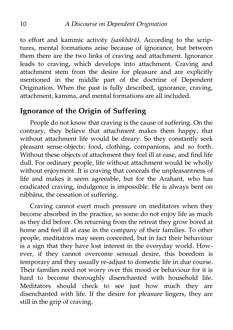to effort and kammic activity *(saṅkhārā).* According to the scriptures, mental formations arise because of ignorance, but between them there are the two links of craving and attachment. Ignorance leads to craving, which develops into attachment. Craving and attachment stem from the desire for pleasure and are explicitly mentioned in the middle part of the doctrine of Dependent Origination. When the past is fully described, ignorance, craving, attachment, kamma, and mental formations are all included.

#### <span id="page-17-0"></span>**Ignorance of the Origin of Suffering**

People do not know that craving is the cause of suffering. On the contrary, they believe that attachment makes them happy, that without attachment life would be dreary. So they constantly seek pleasant sense-objects: food, clothing, companions, and so forth. Without these objects of attachment they feel ill at ease, and find life dull. For ordinary people, life without attachment would be wholly without enjoyment. It is craving that conceals the unpleasantness of life and makes it seem agreeable, but for the Arahant, who has eradicated craving, indulgence is impossible. He is always bent on nibbāna, the cessation of suffering.

Craving cannot exert much pressure on meditators when they become absorbed in the practice, so some do not enjoy life as much as they did before. On returning from the retreat they grow bored at home and feel ill at ease in the company of their families. To other people, meditators may seem conceited, but in fact their behaviour is a sign that they have lost interest in the everyday world. However, if they cannot overcome sensual desire, this boredom is temporary and they usually re-adjust to domestic life in due course. Their families need not worry over this mood or behaviour for it is hard to become thoroughly disenchanted with household life. Meditators should check to see just how much they are disenchanted with life. If the desire for pleasure lingers, they are still in the grip of craving.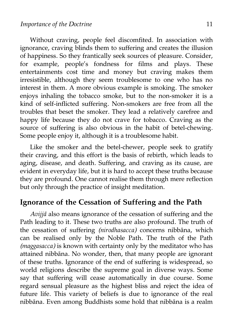Without craving, people feel discomfited. In association with ignorance, craving blinds them to suffering and creates the illusion of happiness. So they frantically seek sources of pleasure. Consider, for example, people's fondness for films and plays. These entertainments cost time and money but craving makes them irresistible, although they seem troublesome to one who has no interest in them. A more obvious example is smoking. The smoker enjoys inhaling the tobacco smoke, but to the non-smoker it is a kind of self-inflicted suffering. Non-smokers are free from all the troubles that beset the smoker. They lead a relatively carefree and happy life because they do not crave for tobacco. Craving as the source of suffering is also obvious in the habit of betel-chewing. Some people enjoy it, although it is a troublesome habit.

Like the smoker and the betel-chewer, people seek to gratify their craving, and this effort is the basis of rebirth, which leads to aging, disease, and death. Suffering, and craving as its cause, are evident in everyday life, but it is hard to accept these truths because they are profound. One cannot realise them through mere reflection but only through the practice of insight meditation.

## <span id="page-18-0"></span>**Ignorance of the Cessation of Suffering and the Path**

*Avijjā* also means ignorance of the cessation of suffering and the Path leading to it. These two truths are also profound. The truth of the cessation of suffering *(nirodhasacca)* concerns nibbāna, which can be realised only by the Noble Path. The truth of the Path *(maggasacca)* is known with certainty only by the meditator who has attained nibbāna. No wonder, then, that many people are ignorant of these truths. Ignorance of the end of suffering is widespread, so world religions describe the supreme goal in diverse ways. Some say that suffering will cease automatically in due course. Some regard sensual pleasure as the highest bliss and reject the idea of future life. This variety of beliefs is due to ignorance of the real nibbāna. Even among Buddhists some hold that nibbāna is a realm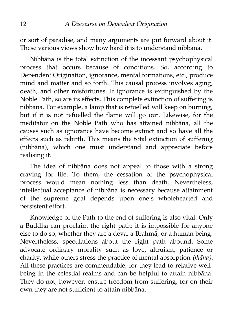or sort of paradise, and many arguments are put forward about it. These various views show how hard it is to understand nibbāna.

Nibbāna is the total extinction of the incessant psychophysical process that occurs because of conditions. So, according to Dependent Origination, ignorance, mental formations, etc., produce mind and matter and so forth. This causal process involves aging, death, and other misfortunes. If ignorance is extinguished by the Noble Path, so are its effects. This complete extinction of suffering is nibbāna. For example, a lamp that is refuelled will keep on burning, but if it is not refuelled the flame will go out. Likewise, for the meditator on the Noble Path who has attained nibbāna, all the causes such as ignorance have become extinct and so have all the effects such as rebirth. This means the total extinction of suffering (nibbāna), which one must understand and appreciate before realising it.

The idea of nibbāna does not appeal to those with a strong craving for life. To them, the cessation of the psychophysical process would mean nothing less than death. Nevertheless, intellectual acceptance of nibbāna is necessary because attainment of the supreme goal depends upon one's wholehearted and persistent effort.

Knowledge of the Path to the end of suffering is also vital. Only a Buddha can proclaim the right path; it is impossible for anyone else to do so, whether they are a deva, a Brahmā, or a human being. Nevertheless, speculations about the right path abound. Some advocate ordinary morality such as love, altruism, patience or charity, while others stress the practice of mental absorption *(jhāna).* All these practices are commendable, for they lead to relative wellbeing in the celestial realms and can be helpful to attain nibbāna. They do not, however, ensure freedom from suffering, for on their own they are not sufficient to attain nibbāna.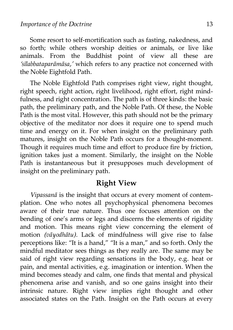Some resort to self-mortification such as fasting, nakedness, and so forth; while others worship deities or animals, or live like animals. From the Buddhist point of view all these are *'sīlabbataparāmāsa,'* which refers to any practice not concerned with the Noble Eightfold Path.

The Noble Eightfold Path comprises right view, right thought, right speech, right action, right livelihood, right effort, right mindfulness, and right concentration. The path is of three kinds: the basic path, the preliminary path, and the Noble Path. Of these, the Noble Path is the most vital. However, this path should not be the primary objective of the meditator nor does it require one to spend much time and energy on it. For when insight on the preliminary path matures, insight on the Noble Path occurs for a thought-moment. Though it requires much time and effort to produce fire by friction, ignition takes just a moment. Similarly, the insight on the Noble Path is instantaneous but it presupposes much development of insight on the preliminary path.

#### <span id="page-20-0"></span>**Right View**

*Vipassanā* is the insight that occurs at every moment of contemplation. One who notes all psychophysical phenomena becomes aware of their true nature. Thus one focuses attention on the bending of one's arms or legs and discerns the elements of rigidity and motion. This means right view concerning the element of motion *(vāyodhātu).* Lack of mindfulness will give rise to false perceptions like: "It is a hand," "It is a man," and so forth. Only the mindful meditator sees things as they really are. The same may be said of right view regarding sensations in the body, e.g. heat or pain, and mental activities, e.g. imagination or intention. When the mind becomes steady and calm, one finds that mental and physical phenomena arise and vanish, and so one gains insight into their intrinsic nature. Right view implies right thought and other associated states on the Path. Insight on the Path occurs at every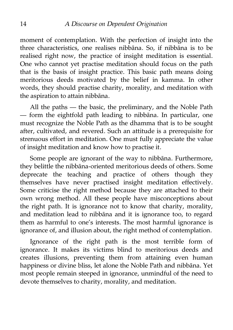moment of contemplation. With the perfection of insight into the three characteristics, one realises nibbāna. So, if nibbāna is to be realised right now, the practice of insight meditation is essential. One who cannot yet practise meditation should focus on the path that is the basis of insight practice. This basic path means doing meritorious deeds motivated by the belief in kamma. In other words, they should practise charity, morality, and meditation with the aspiration to attain nibbāna.

All the paths — the basic, the preliminary, and the Noble Path — form the eightfold path leading to nibbāna. In particular, one must recognize the Noble Path as the dhamma that is to be sought after, cultivated, and revered. Such an attitude is a prerequisite for strenuous effort in meditation. One must fully appreciate the value of insight meditation and know how to practise it.

Some people are ignorant of the way to nibbāna. Furthermore, they belittle the nibbāna-oriented meritorious deeds of others. Some deprecate the teaching and practice of others though they themselves have never practised insight meditation effectively. Some criticise the right method because they are attached to their own wrong method. All these people have misconceptions about the right path. It is ignorance not to know that charity, morality, and meditation lead to nibbāna and it is ignorance too, to regard them as harmful to one's interests. The most harmful ignorance is ignorance of, and illusion about, the right method of contemplation.

Ignorance of the right path is the most terrible form of ignorance. It makes its victims blind to meritorious deeds and creates illusions, preventing them from attaining even human happiness or divine bliss, let alone the Noble Path and nibbāna. Yet most people remain steeped in ignorance, unmindful of the need to devote themselves to charity, morality, and meditation.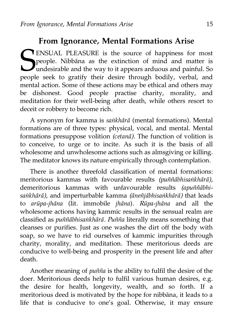## <span id="page-22-0"></span>**From Ignorance, Mental Formations Arise**

ENSUAL PLEASURE is the source of happiness for most people. Nibbāna as the extinction of mind and matter is U<sup>P</sup>ropic. The claim as the second the way to it appears arduous and painful. So people seek to gratify their desire through bodily, verbal, and mental action. Some of these actions may be ethical and others may be dishonest. Good people practise charity, morality, and meditation for their well-being after death, while others resort to deceit or robbery to become rich. S<sub>peopl</sub>

A synonym for kamma is *saṅkhārā* (mental formations). Mental formations are of three types: physical, vocal, and mental. Mental formations presuppose volition *(cetanā).* The function of volition is to conceive, to urge or to incite. As such it is the basis of all wholesome and unwholesome actions such as almsgiving or killing. The meditator knows its nature empirically through contemplation.

There is another threefold classification of mental formations: meritorious kammas with favourable results *(puññābhisaṅkhārā),* demeritorious kammas with unfavourable results *(apuññābhisaṅkhārā),* and imperturbable kamma *(āneñjābhisaṅkhārā)* that leads to *arūpa-jhāna* (lit. immobile *jhāna*). *Rūpa-jhāna* and all the wholesome actions having kammic results in the sensual realm are classified as *puññābhisaṅkhārā. Puñña* literally means something that cleanses or purifies. Just as one washes the dirt off the body with soap, so we have to rid ourselves of kammic impurities through charity, morality, and meditation. These meritorious deeds are conducive to well-being and prosperity in the present life and after death.

Another meaning of *puñña* is the ability to fulfil the desire of the doer. Meritorious deeds help to fulfil various human desires, e.g. the desire for health, longevity, wealth, and so forth. If a meritorious deed is motivated by the hope for nibbāna, it leads to a life that is conducive to one's goal. Otherwise, it may ensure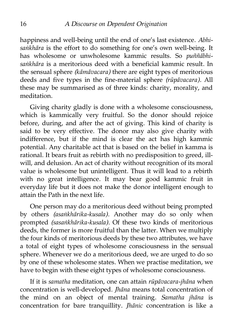happiness and well-being until the end of one's last existence. *Abhisaṅkhāra* is the effort to do something for one's own well-being. It has wholesome or unwholesome kammic results. So *puññābhisaṅkhāra* is a meritorious deed with a beneficial kammic result. In the sensual sphere *(kāmāvacara)* there are eight types of meritorious deeds and five types in the fine-material sphere *(rūpāvacara).* All these may be summarised as of three kinds: charity, morality, and meditation.

Giving charity gladly is done with a wholesome consciousness, which is kammically very fruitful. So the donor should rejoice before, during, and after the act of giving. This kind of charity is said to be very effective. The donor may also give charity with indifference, but if the mind is clear the act has high kammic potential. Any charitable act that is based on the belief in kamma is rational. It bears fruit as rebirth with no predisposition to greed, illwill, and delusion. An act of charity without recognition of its moral value is wholesome but unintelligent. Thus it will lead to a rebirth with no great intelligence. It may bear good kammic fruit in everyday life but it does not make the donor intelligent enough to attain the Path in the next life.

One person may do a meritorious deed without being prompted by others *(asaṅkhārika-kusala).* Another may do so only when prompted *(sasaṅkhārika-kusala).* Of these two kinds of meritorious deeds, the former is more fruitful than the latter. When we multiply the four kinds of meritorious deeds by these two attributes, we have a total of eight types of wholesome consciousness in the sensual sphere. Whenever we do a meritorious deed, we are urged to do so by one of these wholesome states. When we practise meditation, we have to begin with these eight types of wholesome consciousness.

If it is *samatha* meditation, one can attain *rūpāvacara-jhāna* when concentration is well-developed. *Jhāna* means total concentration of the mind on an object of mental training. *Samatha jhāna* is concentration for bare tranquillity. *Jhānic* concentration is like a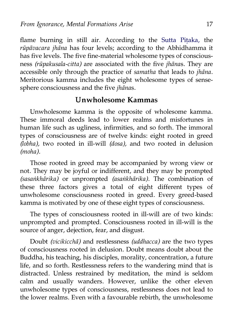flame burning in still air. According to the Sutta Pitaka, the *rūpāvacara jhāna* has four levels; according to the Abhidhamma it has five levels. The five fine-material wholesome types of consciousness *(rūpakusala-citta)* are associated with the five *jhāna*s. They are accessible only through the practice of *samatha* that leads to *jhāna*. Meritorious kamma includes the eight wholesome types of sensesphere consciousness and the five *jhāna*s.

#### <span id="page-24-0"></span>**Unwholesome Kammas**

Unwholesome kamma is the opposite of wholesome kamma. These immoral deeds lead to lower realms and misfortunes in human life such as ugliness, infirmities, and so forth. The immoral types of consciousness are of twelve kinds: eight rooted in greed *(lobha),* two rooted in ill-will *(dosa),* and two rooted in delusion *(moha).*

Those rooted in greed may be accompanied by wrong view or not. They may be joyful or indifferent, and they may be prompted *(sasaṅkhārika)* or unprompted *(asaṅkhārika).* The combination of these three factors gives a total of eight different types of unwholesome consciousness rooted in greed. Every greed-based kamma is motivated by one of these eight types of consciousness.

The types of consciousness rooted in ill-will are of two kinds: unprompted and prompted. Consciousness rooted in ill-will is the source of anger, dejection, fear, and disgust.

Doubt *(vicikicchā)* and restlessness *(uddhacca)* are the two types of consciousness rooted in delusion. Doubt means doubt about the Buddha, his teaching, his disciples, morality, concentration, a future life, and so forth. Restlessness refers to the wandering mind that is distracted. Unless restrained by meditation, the mind is seldom calm and usually wanders. However, unlike the other eleven unwholesome types of consciousness, restlessness does not lead to the lower realms. Even with a favourable rebirth, the unwholesome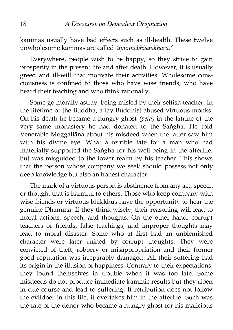kammas usually have bad effects such as ill-health. These twelve unwholesome kammas are called *'apuññābhisaṅkhārā.'*

Everywhere, people wish to be happy, so they strive to gain prosperity in the present life and after death. However, it is usually greed and ill-will that motivate their activities. Wholesome consciousness is confined to those who have wise friends, who have heard their teaching and who think rationally.

Some go morally astray, being misled by their selfish teacher. In the lifetime of the Buddha, a lay Buddhist abused virtuous monks. On his death he became a hungry ghost *(peta)* in the latrine of the very same monastery he had donated to the Saṅgha. He told Venerable Moggallāna about his misdeed when the latter saw him with his divine eye. What a terrible fate for a man who had materially supported the Saṅgha for his well-being in the afterlife, but was misguided to the lower realm by his teacher. This shows that the person whose company we seek should possess not only deep knowledge but also an honest character.

The mark of a virtuous person is abstinence from any act, speech or thought that is harmful to others. Those who keep company with wise friends or virtuous bhikkhus have the opportunity to hear the genuine Dhamma. If they think wisely, their reasoning will lead to moral actions, speech, and thoughts. On the other hand, corrupt teachers or friends, false teachings, and improper thoughts may lead to moral disaster. Some who at first had an unblemished character were later ruined by corrupt thoughts. They were convicted of theft, robbery or misappropriation and their former good reputation was irreparably damaged. All their suffering had its origin in the illusion of happiness. Contrary to their expectations, they found themselves in trouble when it was too late. Some misdeeds do not produce immediate kammic results but they ripen in due course and lead to suffering. If retribution does not follow the evildoer in this life, it overtakes him in the afterlife. Such was the fate of the donor who became a hungry ghost for his malicious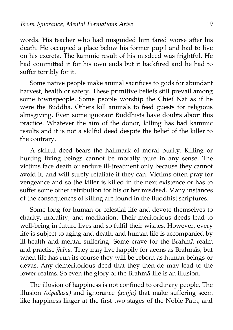words. His teacher who had misguided him fared worse after his death. He occupied a place below his former pupil and had to live on his excreta. The kammic result of his misdeed was frightful. He had committed it for his own ends but it backfired and he had to suffer terribly for it.

Some native people make animal sacrifices to gods for abundant harvest, health or safety. These primitive beliefs still prevail among some townspeople. Some people worship the Chief Nat as if he were the Buddha. Others kill animals to feed guests for religious almsgiving. Even some ignorant Buddhists have doubts about this practice. Whatever the aim of the donor, killing has bad kammic results and it is not a skilful deed despite the belief of the killer to the contrary.

A skilful deed bears the hallmark of moral purity. Killing or hurting living beings cannot be morally pure in any sense. The victims face death or endure ill-treatment only because they cannot avoid it, and will surely retaliate if they can. Victims often pray for vengeance and so the killer is killed in the next existence or has to suffer some other retribution for his or her misdeed. Many instances of the consequences of killing are found in the Buddhist scriptures.

Some long for human or celestial life and devote themselves to charity, morality, and meditation. Their meritorious deeds lead to well-being in future lives and so fulfil their wishes. However, every life is subject to aging and death, and human life is accompanied by ill-health and mental suffering. Some crave for the Brahmā realm and practise *jhāna*. They may live happily for aeons as Brahmās, but when life has run its course they will be reborn as human beings or devas. Any demeritorious deed that they then do may lead to the lower realms. So even the glory of the Brahmā-life is an illusion.

The illusion of happiness is not confined to ordinary people. The illusion *(vipallāsa)* and ignorance *(avijjā)* that make suffering seem like happiness linger at the first two stages of the Noble Path, and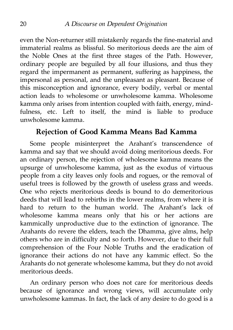even the Non-returner still mistakenly regards the fine-material and immaterial realms as blissful. So meritorious deeds are the aim of the Noble Ones at the first three stages of the Path. However, ordinary people are beguiled by all four illusions, and thus they regard the impermanent as permanent, suffering as happiness, the impersonal as personal, and the unpleasant as pleasant. Because of this misconception and ignorance, every bodily, verbal or mental action leads to wholesome or unwholesome kamma. Wholesome kamma only arises from intention coupled with faith, energy, mindfulness, etc. Left to itself, the mind is liable to produce unwholesome kamma.

### <span id="page-27-0"></span>**Rejection of Good Kamma Means Bad Kamma**

Some people misinterpret the Arahant's transcendence of kamma and say that we should avoid doing meritorious deeds. For an ordinary person, the rejection of wholesome kamma means the upsurge of unwholesome kamma, just as the exodus of virtuous people from a city leaves only fools and rogues, or the removal of useful trees is followed by the growth of useless grass and weeds. One who rejects meritorious deeds is bound to do demeritorious deeds that will lead to rebirths in the lower realms, from where it is hard to return to the human world. The Arahant's lack of wholesome kamma means only that his or her actions are kammically unproductive due to the extinction of ignorance. The Arahants do revere the elders, teach the Dhamma, give alms, help others who are in difficulty and so forth. However, due to their full comprehension of the Four Noble Truths and the eradication of ignorance their actions do not have any kammic effect. So the Arahants do not generate wholesome kamma, but they do not avoid meritorious deeds.

An ordinary person who does not care for meritorious deeds because of ignorance and wrong views, will accumulate only unwholesome kammas. In fact, the lack of any desire to do good is a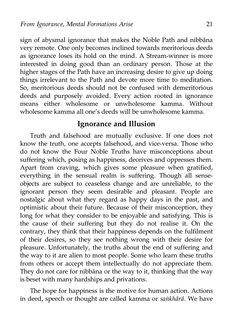sign of abysmal ignorance that makes the Noble Path and nibbāna very remote. One only becomes inclined towards meritorious deeds as ignorance loses its hold on the mind. A Stream-winner is more interested in doing good than an ordinary person. Those at the higher stages of the Path have an increasing desire to give up doing things irrelevant to the Path and devote more time to meditation. So, meritorious deeds should not be confused with demeritorious deeds and purposely avoided. Every action rooted in ignorance means either wholesome or unwholesome kamma. Without wholesome kamma all one's deeds will be unwholesome kamma.

#### <span id="page-28-0"></span>**Ignorance and Illusion**

Truth and falsehood are mutually exclusive. If one does not know the truth, one accepts falsehood, and vice-versa. Those who do not know the Four Noble Truths have misconceptions about suffering which, posing as happiness, deceives and oppresses them. Apart from craving, which gives some pleasure when gratified, everything in the sensual realm is suffering. Though all senseobjects are subject to ceaseless change and are unreliable, to the ignorant person they seem desirable and pleasant. People are nostalgic about what they regard as happy days in the past, and optimistic about their future. Because of their misconception, they long for what they consider to be enjoyable and satisfying. This is the cause of their suffering but they do not realise it. On the contrary, they think that their happiness depends on the fulfilment of their desires, so they see nothing wrong with their desire for pleasure. Unfortunately, the truths about the end of suffering and the way to it are alien to most people. Some who learn these truths from others or accept them intellectually do not appreciate them. They do not care for nibbāna or the way to it, thinking that the way is beset with many hardships and privations.

The hope for happiness is the motive for human action. Actions in deed, speech or thought are called kamma or *saṅkhārā.* We have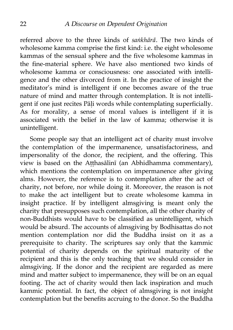referred above to the three kinds of *saṅkhārā.* The two kinds of wholesome kamma comprise the first kind: i.e. the eight wholesome kammas of the sensual sphere and the five wholesome kammas in the fine-material sphere. We have also mentioned two kinds of wholesome kamma or consciousness: one associated with intelligence and the other divorced from it. In the practice of insight the meditator's mind is intelligent if one becomes aware of the true nature of mind and matter through contemplation. It is not intelligent if one just recites Pāḷi words while contemplating superficially. As for morality, a sense of moral values is intelligent if it is associated with the belief in the law of kamma; otherwise it is unintelligent.

Some people say that an intelligent act of charity must involve the contemplation of the impermanence, unsatisfactoriness, and impersonality of the donor, the recipient, and the offering. This view is based on the Atthasālinī (an Abhidhamma commentary), which mentions the contemplation on impermanence after giving alms. However, the reference is to contemplation after the act of charity, not before, nor while doing it. Moreover, the reason is not to make the act intelligent but to create wholesome kamma in insight practice. If by intelligent almsgiving is meant only the charity that presupposes such contemplation, all the other charity of non-Buddhists would have to be classified as unintelligent, which would be absurd. The accounts of almsgiving by Bodhisattas do not mention contemplation nor did the Buddha insist on it as a prerequisite to charity. The scriptures say only that the kammic potential of charity depends on the spiritual maturity of the recipient and this is the only teaching that we should consider in almsgiving. If the donor and the recipient are regarded as mere mind and matter subject to impermanence, they will be on an equal footing. The act of charity would then lack inspiration and much kammic potential. In fact, the object of almsgiving is not insight contemplation but the benefits accruing to the donor. So the Buddha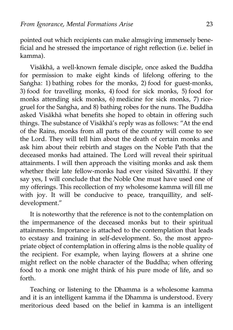pointed out which recipients can make almsgiving immensely beneficial and he stressed the importance of right reflection (i.e. belief in kamma).

Visākhā, a well-known female disciple, once asked the Buddha for permission to make eight kinds of lifelong offering to the Saṅgha: 1) bathing robes for the monks, 2) food for guest-monks, 3) food for travelling monks, 4) food for sick monks, 5) food for monks attending sick monks, 6) medicine for sick monks, 7) ricegruel for the Saṅgha, and 8) bathing robes for the nuns. The Buddha asked Visākhā what benefits she hoped to obtain in offering such things. The substance of Visākhā's reply was as follows: "At the end of the Rains, monks from all parts of the country will come to see the Lord. They will tell him about the death of certain monks and ask him about their rebirth and stages on the Noble Path that the deceased monks had attained. The Lord will reveal their spiritual attainments. I will then approach the visiting monks and ask them whether their late fellow-monks had ever visited Sāvatthī. If they say yes, I will conclude that the Noble One must have used one of my offerings. This recollection of my wholesome kamma will fill me with joy. It will be conducive to peace, tranquillity, and selfdevelopment."

It is noteworthy that the reference is not to the contemplation on the impermanence of the deceased monks but to their spiritual attainments. Importance is attached to the contemplation that leads to ecstasy and training in self-development. So, the most appropriate object of contemplation in offering alms is the noble quality of the recipient. For example, when laying flowers at a shrine one might reflect on the noble character of the Buddha; when offering food to a monk one might think of his pure mode of life, and so forth.

Teaching or listening to the Dhamma is a wholesome kamma and it is an intelligent kamma if the Dhamma is understood. Every meritorious deed based on the belief in kamma is an intelligent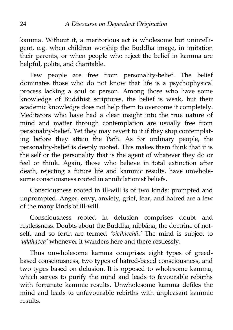kamma. Without it, a meritorious act is wholesome but unintelligent, e.g. when children worship the Buddha image, in imitation their parents, or when people who reject the belief in kamma are helpful, polite, and charitable.

Few people are free from personality-belief. The belief dominates those who do not know that life is a psychophysical process lacking a soul or person. Among those who have some knowledge of Buddhist scriptures, the belief is weak, but their academic knowledge does not help them to overcome it completely. Meditators who have had a clear insight into the true nature of mind and matter through contemplation are usually free from personality-belief. Yet they may revert to it if they stop contemplating before they attain the Path. As for ordinary people, the personality-belief is deeply rooted. This makes them think that it is the self or the personality that is the agent of whatever they do or feel or think. Again, those who believe in total extinction after death, rejecting a future life and kammic results, have unwholesome consciousness rooted in annihilationist beliefs.

Consciousness rooted in ill-will is of two kinds: prompted and unprompted. Anger, envy, anxiety, grief, fear, and hatred are a few of the many kinds of ill-will.

Consciousness rooted in delusion comprises doubt and restlessness. Doubts about the Buddha, nibbāna, the doctrine of notself, and so forth are termed *'vicikicchā.'* The mind is subject to *'uddhacca'* whenever it wanders here and there restlessly.

Thus unwholesome kamma comprises eight types of greedbased consciousness, two types of hatred-based consciousness, and two types based on delusion. It is opposed to wholesome kamma, which serves to purify the mind and leads to favourable rebirths with fortunate kammic results. Unwholesome kamma defiles the mind and leads to unfavourable rebirths with unpleasant kammic results.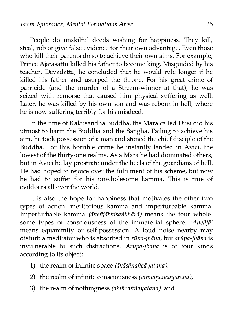People do unskilful deeds wishing for happiness. They kill, steal, rob or give false evidence for their own advantage. Even those who kill their parents do so to achieve their own aims. For example, Prince Ajātasattu killed his father to become king. Misguided by his teacher, Devadatta, he concluded that he would rule longer if he killed his father and usurped the throne. For his great crime of parricide (and the murder of a Stream-winner at that), he was seized with remorse that caused him physical suffering as well. Later, he was killed by his own son and was reborn in hell, where he is now suffering terribly for his misdeed.

In the time of Kakusandha Buddha, the Māra called Dūsī did his utmost to harm the Buddha and the Saṅgha. Failing to achieve his aim, he took possession of a man and stoned the chief disciple of the Buddha. For this horrible crime he instantly landed in Avīci, the lowest of the thirty-one realms. As a Māra he had dominated others, but in Avīci he lay prostrate under the heels of the guardians of hell. He had hoped to rejoice over the fulfilment of his scheme, but now he had to suffer for his unwholesome kamma. This is true of evildoers all over the world.

It is also the hope for happiness that motivates the other two types of action: meritorious kamma and imperturbable kamma. Imperturbable kamma *(āneñjābhisaṅkhārā)* means the four wholesome types of consciousness of the immaterial sphere. *'Āneñjā'* means equanimity or self-possession. A loud noise nearby may disturb a meditator who is absorbed in *rūpa-jhāna,* but *arūpa-jhāna* is invulnerable to such distractions. *Arūpa-jhāna* is of four kinds according to its object:

- 1) the realm of infinite space *(ākāsānañcāyatana),*
- 2) the realm of infinite consciousness *(viññāṇañcāyatana),*
- 3) the realm of nothingness *(ākiñcaññāyatana),* and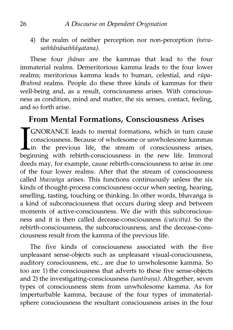4) the realm of neither perception nor non-perception *(nevasaññānāsaññāyatana).*

These four *jhānas* are the kammas that lead to the four immaterial realms. Demeritorious kamma leads to the four lower realms; meritorious kamma leads to human, celestial, and *rūpa-Brahmā* realms. People do these three kinds of kammas for their well-being and, as a result, consciousness arises. With consciousness as condition, mind and matter, the six senses, contact, feeling, and so forth arise.

### <span id="page-33-0"></span>**From Mental Formations, Consciousness Arises**

GNORANCE leads to mental formations, which in turn cause consciousness. Because of wholesome or unwholesome kammas in the previous life, the stream of consciousness arises, beginning with rebirth-consciousness in the new life. Immoral deeds may, for example, cause rebirth-consciousness to arise in one of the four lower realms. After that the stream of consciousness called *bhavaṅga* arises. This functions continuously unless the six kinds of thought-process consciousness occur when seeing, hearing, smelling, tasting, touching or thinking. In other words, bhavaṅga is a kind of subconsciousness that occurs during sleep and between moments of active-consciousness. We die with this subconsciousness and it is then called decease-consciousness *(cuticitta).* So the rebirth-consciousness, the subconsciousness, and the decease-consciousness result from the kamma of the previous life.  $\prod_{\text{beq}}$ 

The five kinds of consciousness associated with the five unpleasant sense-objects such as unpleasant visual-consciousness, auditory consciousness, etc., are due to unwholesome kamma. So too are 1) the consciousness that adverts to these five sense-objects and 2) the investigating-consciousness *(santīraṇa).* Altogether, seven types of consciousness stem from unwholesome kamma. As for imperturbable kamma, because of the four types of immaterialsphere consciousness the resultant consciousness arises in the four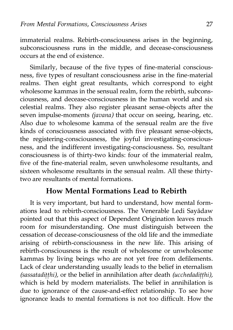immaterial realms. Rebirth-consciousness arises in the beginning, subconsciousness runs in the middle, and decease-consciousness occurs at the end of existence.

Similarly, because of the five types of fine-material consciousness, five types of resultant consciousness arise in the fine-material realms. Then eight great resultants, which correspond to eight wholesome kammas in the sensual realm, form the rebirth, subconsciousness, and decease-consciousness in the human world and six celestial realms. They also register pleasant sense-objects after the seven impulse-moments *(javana)* that occur on seeing, hearing, etc. Also due to wholesome kamma of the sensual realm are the five kinds of consciousness associated with five pleasant sense-objects, the registering-consciousness, the joyful investigating-consciousness, and the indifferent investigating-consciousness. So, resultant consciousness is of thirty-two kinds: four of the immaterial realm, five of the fine-material realm, seven unwholesome resultants, and sixteen wholesome resultants in the sensual realm. All these thirtytwo are resultants of mental formations.

#### <span id="page-34-0"></span>**How Mental Formations Lead to Rebirth**

It is very important, but hard to understand, how mental formations lead to rebirth-consciousness. The Venerable Ledi Sayādaw pointed out that this aspect of Dependent Origination leaves much room for misunderstanding. One must distinguish between the cessation of decease-consciousness of the old life and the immediate arising of rebirth-consciousness in the new life. This arising of rebirth-consciousness is the result of wholesome or unwholesome kammas by living beings who are not yet free from defilements. Lack of clear understanding usually leads to the belief in eternalism *(sassatadiṭṭhi),* or the belief in annihilation after death *(ucchedadiṭṭhi),* which is held by modern materialists. The belief in annihilation is due to ignorance of the cause-and-effect relationship. To see how ignorance leads to mental formations is not too difficult. How the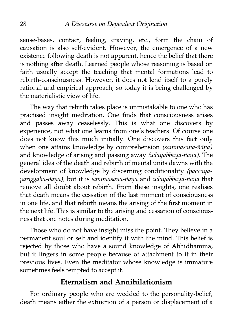sense-bases, contact, feeling, craving, etc., form the chain of causation is also self-evident. However, the emergence of a new existence following death is not apparent, hence the belief that there is nothing after death. Learned people whose reasoning is based on faith usually accept the teaching that mental formations lead to rebirth-consciousness. However, it does not lend itself to a purely rational and empirical approach, so today it is being challenged by the materialistic view of life.

The way that rebirth takes place is unmistakable to one who has practised insight meditation. One finds that consciousness arises and passes away ceaselessly. This is what one discovers by experience, not what one learns from one's teachers. Of course one does not know this much initially. One discovers this fact only when one attains knowledge by comprehension *(sammasana-ñāṇa)* and knowledge of arising and passing away *(udayabbaya-ñāṇa).* The general idea of the death and rebirth of mental units dawns with the development of knowledge by discerning conditionality *(paccayapariggaha-ñāṇa),* but it is *sammasana-ñāṇa* and *udayabbaya-ñāṇa* that remove all doubt about rebirth. From these insights, one realises that death means the cessation of the last moment of consciousness in one life, and that rebirth means the arising of the first moment in the next life. This is similar to the arising and cessation of consciousness that one notes during meditation.

Those who do not have insight miss the point. They believe in a permanent soul or self and identify it with the mind. This belief is rejected by those who have a sound knowledge of Abhidhamma, but it lingers in some people because of attachment to it in their previous lives. Even the meditator whose knowledge is immature sometimes feels tempted to accept it.

#### <span id="page-35-0"></span>**Eternalism and Annihilationism**

For ordinary people who are wedded to the personality-belief, death means either the extinction of a person or displacement of a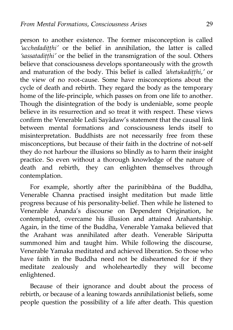person to another existence. The former misconception is called *'ucchedadiṭṭhi'* or the belief in annihilation, the latter is called *'sassatadiṭṭhi'* or the belief in the transmigration of the soul. Others believe that consciousness develops spontaneously with the growth and maturation of the body. This belief is called *'ahetukadiṭṭhi,'* or the view of no root-cause. Some have misconceptions about the cycle of death and rebirth. They regard the body as the temporary home of the life-principle, which passes on from one life to another. Though the disintegration of the body is undeniable, some people believe in its resurrection and so treat it with respect. These views confirm the Venerable Ledi Sayādaw's statement that the causal link between mental formations and consciousness lends itself to misinterpretation. Buddhists are not necessarily free from these misconceptions, but because of their faith in the doctrine of not-self they do not harbour the illusions so blindly as to harm their insight practice. So even without a thorough knowledge of the nature of death and rebirth, they can enlighten themselves through contemplation.

For example, shortly after the parinibbāna of the Buddha, Venerable Channa practised insight meditation but made little progress because of his personality-belief. Then while he listened to Venerable Ānanda's discourse on Dependent Origination, he contemplated, overcame his illusion and attained Arahantship. Again, in the time of the Buddha, Venerable Yamaka believed that the Arahant was annihilated after death. Venerable Sāriputta summoned him and taught him. While following the discourse, Venerable Yamaka meditated and achieved liberation. So those who have faith in the Buddha need not be disheartened for if they meditate zealously and wholeheartedly they will become enlightened.

Because of their ignorance and doubt about the process of rebirth, or because of a leaning towards annihilationist beliefs, some people question the possibility of a life after death. This question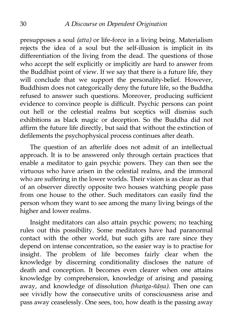presupposes a soul *(atta)* or life-force in a living being. Materialism rejects the idea of a soul but the self-illusion is implicit in its differentiation of the living from the dead. The questions of those who accept the self explicitly or implicitly are hard to answer from the Buddhist point of view. If we say that there is a future life, they will conclude that we support the personality-belief. However, Buddhism does not categorically deny the future life, so the Buddha refused to answer such questions. Moreover, producing sufficient evidence to convince people is difficult. Psychic persons can point out hell or the celestial realms but sceptics will dismiss such exhibitions as black magic or deception. So the Buddha did not affirm the future life directly, but said that without the extinction of defilements the psychophysical process continues after death.

The question of an afterlife does not admit of an intellectual approach. It is to be answered only through certain practices that enable a meditator to gain psychic powers. They can then see the virtuous who have arisen in the celestial realms, and the immoral who are suffering in the lower worlds. Their vision is as clear as that of an observer directly opposite two houses watching people pass from one house to the other. Such meditators can easily find the person whom they want to see among the many living beings of the higher and lower realms.

Insight meditators can also attain psychic powers; no teaching rules out this possibility. Some meditators have had paranormal contact with the other world, but such gifts are rare since they depend on intense concentration, so the easier way is to practise for insight. The problem of life becomes fairly clear when the knowledge by discerning conditionality discloses the nature of death and conception. It becomes even clearer when one attains knowledge by comprehension, knowledge of arising and passing away, and knowledge of dissolution *(bhaṅga-ñāṇa).* Then one can see vividly how the consecutive units of consciousness arise and pass away ceaselessly. One sees, too, how death is the passing away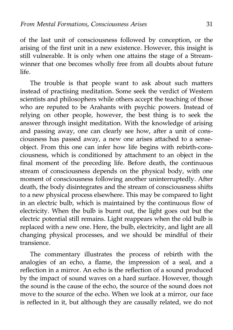of the last unit of consciousness followed by conception, or the arising of the first unit in a new existence. However, this insight is still vulnerable. It is only when one attains the stage of a Streamwinner that one becomes wholly free from all doubts about future life.

The trouble is that people want to ask about such matters instead of practising meditation. Some seek the verdict of Western scientists and philosophers while others accept the teaching of those who are reputed to be Arahants with psychic powers. Instead of relying on other people, however, the best thing is to seek the answer through insight meditation. With the knowledge of arising and passing away, one can clearly see how, after a unit of consciousness has passed away, a new one arises attached to a senseobject. From this one can infer how life begins with rebirth-consciousness, which is conditioned by attachment to an object in the final moment of the preceding life. Before death, the continuous stream of consciousness depends on the physical body, with one moment of consciousness following another uninterruptedly. After death, the body disintegrates and the stream of consciousness shifts to a new physical process elsewhere. This may be compared to light in an electric bulb, which is maintained by the continuous flow of electricity. When the bulb is burnt out, the light goes out but the electric potential still remains. Light reappears when the old bulb is replaced with a new one. Here, the bulb, electricity, and light are all changing physical processes, and we should be mindful of their transience.

The commentary illustrates the process of rebirth with the analogies of an echo, a flame, the impression of a seal, and a reflection in a mirror. An echo is the reflection of a sound produced by the impact of sound waves on a hard surface. However, though the sound is the cause of the echo, the source of the sound does not move to the source of the echo. When we look at a mirror, our face is reflected in it, but although they are causally related, we do not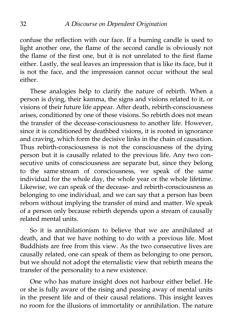confuse the reflection with our face. If a burning candle is used to light another one, the flame of the second candle is obviously not the flame of the first one, but it is not unrelated to the first flame either. Lastly, the seal leaves an impression that is like its face, but it is not the face, and the impression cannot occur without the seal either.

These analogies help to clarify the nature of rebirth. When a person is dying, their kamma, the signs and visions related to it, or visions of their future life appear. After death, rebirth-consciousness arises, conditioned by one of these visions. So rebirth does not mean the transfer of the decease-consciousness to another life. However, since it is conditioned by deathbed visions, it is rooted in ignorance and craving, which form the decisive links in the chain of causation. Thus rebirth-consciousness is not the consciousness of the dying person but it is causally related to the previous life. Any two consecutive units of consciousness are separate but, since they belong to the same stream of consciousness, we speak of the same individual for the whole day, the whole year or the whole lifetime. Likewise, we can speak of the decease- and rebirth-consciousness as belonging to one individual, and we can say that a person has been reborn without implying the transfer of mind and matter. We speak of a person only because rebirth depends upon a stream of causally related mental units.

So it is annihilationism to believe that we are annihilated at death, and that we have nothing to do with a previous life. Most Buddhists are free from this view. As the two consecutive lives are causally related, one can speak of them as belonging to one person, but we should not adopt the eternalistic view that rebirth means the transfer of the personality to a new existence.

One who has mature insight does not harbour either belief. He or she is fully aware of the rising and passing away of mental units in the present life and of their causal relations. This insight leaves no room for the illusions of immortality or annihilation. The nature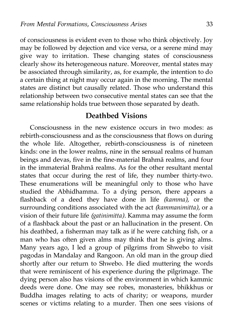of consciousness is evident even to those who think objectively. Joy may be followed by dejection and vice versa, or a serene mind may give way to irritation. These changing states of consciousness clearly show its heterogeneous nature. Moreover, mental states may be associated through similarity, as, for example, the intention to do a certain thing at night may occur again in the morning. The mental states are distinct but causally related. Those who understand this relationship between two consecutive mental states can see that the same relationship holds true between those separated by death.

### **Deathbed Visions**

Consciousness in the new existence occurs in two modes: as rebirth-consciousness and as the consciousness that flows on during the whole life. Altogether, rebirth-consciousness is of nineteen kinds: one in the lower realms, nine in the sensual realms of human beings and devas, five in the fine-material Brahmā realms, and four in the immaterial Brahmā realms. As for the other resultant mental states that occur during the rest of life, they number thirty-two. These enumerations will be meaningful only to those who have studied the Abhidhamma. To a dying person, there appears a flashback of a deed they have done in life *(kamma),* or the surrounding conditions associated with the act *(kammanimitta),* or a vision of their future life *(gatinimitta).* Kamma may assume the form of a flashback about the past or an hallucination in the present. On his deathbed, a fisherman may talk as if he were catching fish, or a man who has often given alms may think that he is giving alms. Many years ago, I led a group of pilgrims from Shwebo to visit pagodas in Mandalay and Rangoon. An old man in the group died shortly after our return to Shwebo. He died muttering the words that were reminiscent of his experience during the pilgrimage. The dying person also has visions of the environment in which kammic deeds were done. One may see robes, monasteries, bhikkhus or Buddha images relating to acts of charity; or weapons, murder scenes or victims relating to a murder. Then one sees visions of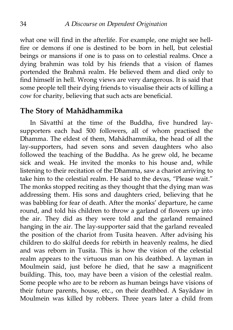what one will find in the afterlife. For example, one might see hellfire or demons if one is destined to be born in hell, but celestial beings or mansions if one is to pass on to celestial realms. Once a dying brahmin was told by his friends that a vision of flames portended the Brahmā realm. He believed them and died only to find himself in hell. Wrong views are very dangerous. It is said that some people tell their dying friends to visualise their acts of killing a cow for charity, believing that such acts are beneficial.

#### **The Story of Mahādhammika**

In Sāvatthī at the time of the Buddha, five hundred laysupporters each had 500 followers, all of whom practised the Dhamma. The eldest of them, Mahādhammika, the head of all the lay-supporters, had seven sons and seven daughters who also followed the teaching of the Buddha. As he grew old, he became sick and weak. He invited the monks to his house and, while listening to their recitation of the Dhamma, saw a chariot arriving to take him to the celestial realm. He said to the devas, "Please wait." The monks stopped reciting as they thought that the dying man was addressing them. His sons and daughters cried, believing that he was babbling for fear of death. After the monks' departure, he came round, and told his children to throw a garland of flowers up into the air. They did as they were told and the garland remained hanging in the air. The lay-supporter said that the garland revealed the position of the chariot from Tusita heaven. After advising his children to do skilful deeds for rebirth in heavenly realms, he died and was reborn in Tusita. This is how the vision of the celestial realm appears to the virtuous man on his deathbed. A layman in Moulmein said, just before he died, that he saw a magnificent building. This, too, may have been a vision of the celestial realm. Some people who are to be reborn as human beings have visions of their future parents, house, etc., on their deathbed. A Sayādaw in Moulmein was killed by robbers. Three years later a child from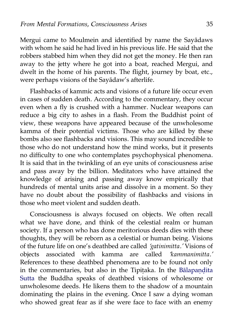Mergui came to Moulmein and identified by name the Sayādaws with whom he said he had lived in his previous life. He said that the robbers stabbed him when they did not get the money. He then ran away to the jetty where he got into a boat, reached Mergui, and dwelt in the home of his parents. The flight, journey by boat, etc., were perhaps visions of the Sayādaw's afterlife.

Flashbacks of kammic acts and visions of a future life occur even in cases of sudden death. According to the commentary, they occur even when a fly is crushed with a hammer. Nuclear weapons can reduce a big city to ashes in a flash. From the Buddhist point of view, these weapons have appeared because of the unwholesome kamma of their potential victims. Those who are killed by these bombs also see flashbacks and visions. This may sound incredible to those who do not understand how the mind works, but it presents no difficulty to one who contemplates psychophysical phenomena. It is said that in the twinkling of an eye units of consciousness arise and pass away by the billion. Meditators who have attained the knowledge of arising and passing away know empirically that hundreds of mental units arise and dissolve in a moment. So they have no doubt about the possibility of flashbacks and visions in those who meet violent and sudden death.

Consciousness is always focused on objects. We often recall what we have done, and think of the celestial realm or human society. If a person who has done meritorious deeds dies with these thoughts, they will be reborn as a celestial or human being. Visions of the future life on one's deathbed are called *'gatinimitta.'* Visions of objects associated with kamma are called *'kammanimitta.'* References to these deathbed phenomena are to be found not only in the commentaries, but also in the Tipitaka. In the Bālapandita [Sutta](http://www.mahindarama.com/e-tipitaka/Majjhima-Nikaya/mn-129.htm) the Buddha speaks of deathbed visions of wholesome or unwholesome deeds. He likens them to the shadow of a mountain dominating the plains in the evening. Once I saw a dying woman who showed great fear as if she were face to face with an enemy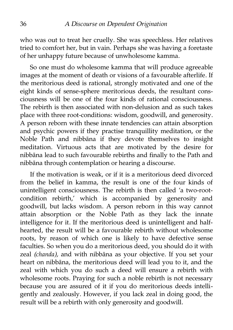who was out to treat her cruelly. She was speechless. Her relatives tried to comfort her, but in vain. Perhaps she was having a foretaste of her unhappy future because of unwholesome kamma.

So one must do wholesome kamma that will produce agreeable images at the moment of death or visions of a favourable afterlife. If the meritorious deed is rational, strongly motivated and one of the eight kinds of sense-sphere meritorious deeds, the resultant consciousness will be one of the four kinds of rational consciousness. The rebirth is then associated with non-delusion and as such takes place with three root-conditions: wisdom, goodwill, and generosity. A person reborn with these innate tendencies can attain absorption and psychic powers if they practise tranquillity meditation, or the Noble Path and nibbāna if they devote themselves to insight meditation. Virtuous acts that are motivated by the desire for nibbāna lead to such favourable rebirths and finally to the Path and nibbāna through contemplation or hearing a discourse.

If the motivation is weak, or if it is a meritorious deed divorced from the belief in kamma, the result is one of the four kinds of unintelligent consciousness. The rebirth is then called 'a two-rootcondition rebirth,' which is accompanied by generosity and goodwill, but lacks wisdom. A person reborn in this way cannot attain absorption or the Noble Path as they lack the innate intelligence for it. If the meritorious deed is unintelligent and halfhearted, the result will be a favourable rebirth without wholesome roots, by reason of which one is likely to have defective sense faculties. So when you do a meritorious deed, you should do it with zeal *(chanda),* and with nibbāna as your objective. If you set your heart on nibbāna, the meritorious deed will lead you to it, and the zeal with which you do such a deed will ensure a rebirth with wholesome roots. Praying for such a noble rebirth is not necessary because you are assured of it if you do meritorious deeds intelligently and zealously. However, if you lack zeal in doing good, the result will be a rebirth with only generosity and goodwill.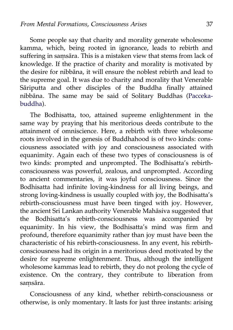Some people say that charity and morality generate wholesome kamma, which, being rooted in ignorance, leads to rebirth and suffering in samsāra. This is a mistaken view that stems from lack of knowledge. If the practice of charity and morality is motivated by the desire for nibbāna, it will ensure the noblest rebirth and lead to the supreme goal. It was due to charity and morality that Venerable Sāriputta and other disciples of the Buddha finally attained nibbāna. The same may be said of Solitary Buddhas [\(Pacceka](http://aimwell.org/DPPN/pacceka_buddha.htm)[buddha\)](http://aimwell.org/DPPN/pacceka_buddha.htm).

The Bodhisatta, too, attained supreme enlightenment in the same way by praying that his meritorious deeds contribute to the attainment of omniscience. Here, a rebirth with three wholesome roots involved in the genesis of Buddhahood is of two kinds: consciousness associated with joy and consciousness associated with equanimity. Again each of these two types of consciousness is of two kinds: prompted and unprompted. The Bodhisatta's rebirthconsciousness was powerful, zealous, and unprompted. According to ancient commentaries, it was joyful consciousness. Since the Bodhisatta had infinite loving-kindness for all living beings, and strong loving-kindness is usually coupled with joy, the Bodhisatta's rebirth-consciousness must have been tinged with joy. However, the ancient Sri Lankan authority Venerable Mahāsiva suggested that the Bodhisatta's rebirth-consciousness was accompanied by equanimity. In his view, the Bodhisatta's mind was firm and profound, therefore equanimity rather than joy must have been the characteristic of his rebirth-consciousness. In any event, his rebirthconsciousness had its origin in a meritorious deed motivated by the desire for supreme enlightenment. Thus, although the intelligent wholesome kammas lead to rebirth, they do not prolong the cycle of existence. On the contrary, they contribute to liberation from saṃsāra.

Consciousness of any kind, whether rebirth-consciousness or otherwise, is only momentary. It lasts for just three instants: arising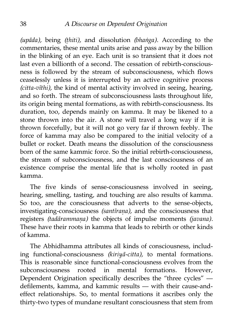*(upāda),* being *(ṭhiti),* and dissolution *(bhaṅga).* According to the commentaries, these mental units arise and pass away by the billion in the blinking of an eye. Each unit is so transient that it does not last even a billionth of a second. The cessation of rebirth-consciousness is followed by the stream of subconsciousness, which flows ceaselessly unless it is interrupted by an active cognitive process *(citta-vīthi),* the kind of mental activity involved in seeing, hearing, and so forth. The stream of subconsciousness lasts throughout life, its origin being mental formations, as with rebirth-consciousness. Its duration, too, depends mainly on kamma. It may be likened to a stone thrown into the air. A stone will travel a long way if it is thrown forcefully, but it will not go very far if thrown feebly. The force of kamma may also be compared to the initial velocity of a bullet or rocket. Death means the dissolution of the consciousness born of the same kammic force. So the initial rebirth-consciousness, the stream of subconsciousness, and the last consciousness of an existence comprise the mental life that is wholly rooted in past kamma.

The five kinds of sense-consciousness involved in seeing, hearing, smelling, tasting, and touching are also results of kamma. So too, are the consciousness that adverts to the sense-objects, investigating-consciousness *(santīraṇa),* and the consciousness that registers *(tadārammaṇa)* the objects of impulse moments *(javana).* These have their roots in kamma that leads to rebirth or other kinds of kamma.

The Abhidhamma attributes all kinds of consciousness, including functional-consciousness *(kiriyā-citta),* to mental formations. This is reasonable since functional-consciousness evolves from the subconsciousness rooted in mental formations. However, Dependent Origination specifically describes the "three cycles" defilements, kamma, and kammic results — with their cause-andeffect relationships. So, to mental formations it ascribes only the thirty-two types of mundane resultant consciousness that stem from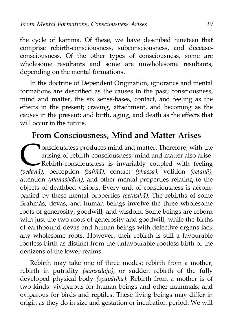the cycle of kamma. Of these, we have described nineteen that comprise rebirth-consciousness, subconsciousness, and deceaseconsciousness. Of the other types of consciousness, some are wholesome resultants and some are unwholesome resultants, depending on the mental formations.

In the doctrine of Dependent Origination, ignorance and mental formations are described as the causes in the past; consciousness, mind and matter, the six sense-bases, contact, and feeling as the effects in the present; craving, attachment, and becoming as the causes in the present; and birth, aging, and death as the effects that will occur in the future.

# **From Consciousness, Mind and Matter Arises**

onsciousness produces mind and matter. Therefore, with the arising of rebirth-consciousness, mind and matter also arise. Rebirth-consciousness is invariably coupled with feeling **(vedanā)**, perception *(saññā)*, contact *(phassa)*, volition *(cetanā)*, perception *(saññā)*, contact *(phassa)*, volition *(cetanā)*, attention *(manasikāra),* and other mental properties relating to the objects of deathbed visions. Every unit of consciousness is accompanied by these mental properties *(cetasikā).* The rebirths of some Brahmās, devas, and human beings involve the three wholesome roots of generosity, goodwill, and wisdom. Some beings are reborn with just the two roots of generosity and goodwill, while the births of earthbound devas and human beings with defective organs lack any wholesome roots. However, their rebirth is still a favourable rootless-birth as distinct from the unfavourable rootless-birth of the denizens of the lower realms.

Rebirth may take one of three modes: rebirth from a mother, rebirth in putridity *(saṃsedaja),* or sudden rebirth of the fully developed physical body *(opapātika).* Rebirth from a mother is of two kinds: viviparous for human beings and other mammals, and oviparous for birds and reptiles. These living beings may differ in origin as they do in size and gestation or incubation period. We will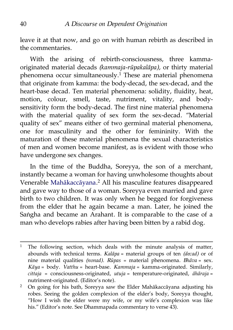leave it at that now, and go on with human rebirth as described in the commentaries.

With the arising of rebirth-consciousness, three kammaoriginated material decads *(kammaja-rūpakalāpa),* or thirty material phenomena occur simultaneously.<sup>[1](#page-47-0)</sup> These are material phenomena that originate from kamma: the body-decad, the sex-decad, and the heart-base decad. Ten material phenomena: solidity, fluidity, heat, motion, colour, smell, taste, nutriment, vitality, and bodysensitivity form the body-decad. The first nine material phenomena with the material quality of sex form the sex-decad. "Material quality of sex" means either of two germinal material phenomena, one for masculinity and the other for femininity. With the maturation of these material phenomena the sexual characteristics of men and women become manifest, as is evident with those who have undergone sex changes.

In the time of the Buddha, Soreyya, the son of a merchant, instantly became a woman for having unwholesome thoughts about Venerable [Mahākaccāyana.](http://aimwell.org/DPPN/maha_kaccaana.htm) [2](#page-47-1) All his masculine features disappeared and gave way to those of a woman. Soreyya even married and gave birth to two children. It was only when he begged for forgiveness from the elder that he again became a man. Later, he joined the Saṅgha and became an Arahant. It is comparable to the case of a man who develops rabies after having been bitten by a rabid dog.

<span id="page-47-0"></span><sup>&</sup>lt;sup>1</sup> The following section, which deals with the minute analysis of matter, abounds with technical terms. *Kalāpa* = material groups of ten *(decad)* or of nine material qualities *(nonad). Rūpas* = material phenomena. *Bhāva* = sex. *Kāya* = body. *Vatthu* = heart-base. *Kammaja* = kamma-originated. Similarly, *cittaja* = consciousness-originated, *utuja* = temperature-originated, *āhāraja* = nutriment-originated. (Editor's note).

<span id="page-47-1"></span><sup>&</sup>lt;sup>2</sup> On going for his bath, Soreyya saw the Elder Mahākaccāyana adjusting his robes. Seeing the golden complexion of the elder's body, Soreyya thought, "How I wish the elder were my wife, or my wife's complexion was like his." (Editor's note. See Dhammapada commentary to verse 43).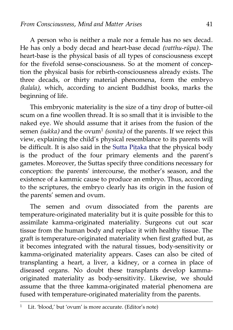A person who is neither a male nor a female has no sex decad. He has only a body decad and heart-base decad *(vatthu-rūpa).* The heart-base is the physical basis of all types of consciousness except for the fivefold sense-consciousness. So at the moment of conception the physical basis for rebirth-consciousness already exists. The three decads, or thirty material phenomena, form the embryo *(kalala),* which, according to ancient Buddhist books, marks the beginning of life.

This embryonic materiality is the size of a tiny drop of butter-oil scum on a fine woollen thread. It is so small that it is invisible to the naked eye. We should assume that it arises from the fusion of the semen *(sukka)* and the ovum<sup>[1](#page-48-0)</sup> *(sonita)* of the parents. If we reject this view, explaining the child's physical resemblance to its parents will be difficult. It is also said in the [Sutta Piṭaka](http://www.accesstoinsight.org/tipitaka/sutta.html) that the physical body is the product of the four primary elements and the parent's gametes. Moreover, the Suttas specify three conditions necessary for conception: the parents' intercourse, the mother's season, and the existence of a kammic cause to produce an embryo. Thus, according to the scriptures, the embryo clearly has its origin in the fusion of the parents' semen and ovum.

The semen and ovum dissociated from the parents are temperature-originated materiality but it is quite possible for this to assimilate kamma-originated materiality. Surgeons cut out scar tissue from the human body and replace it with healthy tissue. The graft is temperature-originated materiality when first grafted but, as it becomes integrated with the natural tissues, body-sensitivity or kamma-originated materiality appears. Cases can also be cited of transplanting a heart, a liver, a kidney, or a cornea in place of diseased organs. No doubt these transplants develop kammaoriginated materiality as body-sensitivity. Likewise, we should assume that the three kamma-originated material phenomena are fused with temperature-originated materiality from the parents.

<span id="page-48-0"></span><sup>&</sup>lt;sup>1</sup> Lit. 'blood,' but 'ovum' is more accurate. (Editor's note)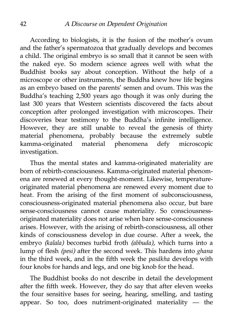According to biologists, it is the fusion of the mother's ovum and the father's spermatozoa that gradually develops and becomes a child. The original embryo is so small that it cannot be seen with the naked eye. So modern science agrees well with what the Buddhist books say about conception. Without the help of a microscope or other instruments, the Buddha knew how life begins as an embryo based on the parents' semen and ovum. This was the Buddha's teaching 2,500 years ago though it was only during the last 300 years that Western scientists discovered the facts about conception after prolonged investigation with microscopes. Their discoveries bear testimony to the Buddha's infinite intelligence. However, they are still unable to reveal the genesis of thirty material phenomena, probably because the extremely subtle kamma-originated material phenomena defy microscopic investigation.

Thus the mental states and kamma-originated materiality are born of rebirth-consciousness. Kamma-originated material phenomena are renewed at every thought-moment. Likewise, temperatureoriginated material phenomena are renewed every moment due to heat. From the arising of the first moment of subconsciousness, consciousness-originated material phenomena also occur, but bare sense-consciousness cannot cause materiality. So consciousnessoriginated materiality does not arise when bare sense-consciousness arises. However, with the arising of rebirth-consciousness, all other kinds of consciousness develop in due course. After a week, the embryo *(kalala)* becomes turbid froth *(abbuda),* which turns into a lump of flesh *(pesi)* after the second week. This hardens into *ghana* in the third week, and in the fifth week the *pasākha* develops with four knobs for hands and legs, and one big knob for the head.

The Buddhist books do not describe in detail the development after the fifth week. However, they do say that after eleven weeks the four sensitive bases for seeing, hearing, smelling, and tasting appear. So too, does nutriment-originated materiality — the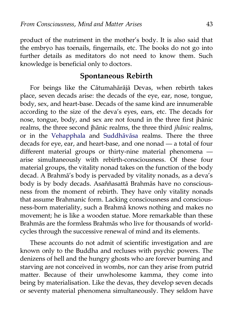product of the nutriment in the mother's body. It is also said that the embryo has toenails, fingernails, etc. The books do not go into further details as meditators do not need to know them. Such knowledge is beneficial only to doctors.

#### **Spontaneous Rebirth**

For beings like the Cātumahārājā Devas, when rebirth takes place, seven decads arise: the decads of the eye, ear, nose, tongue, body, sex, and heart-base. Decads of the same kind are innumerable according to the size of the deva's eyes, ears, etc. The decads for nose, tongue, body, and sex are not found in the three first jhānic realms, the three second jhānic realms, the three third *jhānic* realms, or in the [Vehapphala](http://aimwell.org/DPPN/vehapphala.htm) and [Suddhāvāsa](http://aimwell.org/DPPN/suddhaavaasaa.htm) realms. There the three decads for eye, ear, and heart-base, and one nonad — a total of four different material groups or thirty-nine material phenomena arise simultaneously with rebirth-consciousness. Of these four material groups, the vitality nonad takes on the function of the body decad. A Brahmā's body is pervaded by vitality nonads, as a deva's body is by body decads. Asaññasattā Brahmās have no consciousness from the moment of rebirth. They have only vitality nonads that assume Brahmanic form. Lacking consciousness and consciousness-born materiality, such a Brahmā knows nothing and makes no movement; he is like a wooden statue. More remarkable than these Brahmās are the formless Brahmās who live for thousands of worldcycles through the successive renewal of mind and its elements.

These accounts do not admit of scientific investigation and are known only to the Buddha and recluses with psychic powers. The denizens of hell and the hungry ghosts who are forever burning and starving are not conceived in wombs, nor can they arise from putrid matter. Because of their unwholesome kamma, they come into being by materialisation. Like the devas, they develop seven decads or seventy material phenomena simultaneously. They seldom have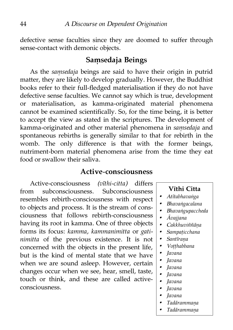defective sense faculties since they are doomed to suffer through sense-contact with demonic objects.

### **Saṃsedaja Beings**

As the *saṃsedaja* beings are said to have their origin in putrid matter, they are likely to develop gradually. However, the Buddhist books refer to their full-fledged materialisation if they do not have defective sense faculties. We cannot say which is true, development or materialisation, as kamma-originated material phenomena cannot be examined scientifically. So, for the time being, it is better to accept the view as stated in the scriptures. The development of kamma-originated and other material phenomena in *saṃsedaja* and spontaneous rebirths is generally similar to that for rebirth in the womb. The only difference is that with the former beings, nutriment-born material phenomena arise from the time they eat food or swallow their saliva.

### **Active-consciousness**

Active-consciousness *(vīthi-citta)* differs from subconsciousness. Subconsciousness resembles rebirth-consciousness with respect to objects and process. It is the stream of consciousness that follows rebirth-consciousness having its root in kamma. One of three objects forms its focus: *kamma, kammanimitta* or *gatinimitta* of the previous existence. It is not concerned with the objects in the present life, but is the kind of mental state that we have when we are sound asleep. However, certain changes occur when we see, hear, smell, taste, touch or think, and these are called activeconsciousness.

#### **Vīthi Citta**

- •*Atītabhavaṅga*
- •*Bhavaṅgacalana*
- •*Bhavaṅgupaccheda*
- •*Āvajjana*
- •*Cakkhuviññāṇa*
- •*Sampaṭicchana*
- •*Santīraṇa*
- •*Voṭṭhabbana*
- •*Javana*
- •*Javana*
- •*Javana*
- •*Javana*
- •*Javana*
- •*Javana*
- •*Javana*
- •*Tadārammaṇa*
- •*Tadārammaṇa*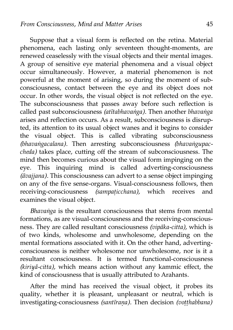Suppose that a visual form is reflected on the retina. Material phenomena, each lasting only seventeen thought-moments, are renewed ceaselessly with the visual objects and their mental images. A group of sensitive eye material phenomena and a visual object occur simultaneously. However, a material phenomenon is not powerful at the moment of arising, so during the moment of subconsciousness, contact between the eye and its object does not occur. In other words, the visual object is not reflected on the eye. The subconsciousness that passes away before such reflection is called past subconsciousness *(atītabhavaṅga).* Then another *bhavaṅga* arises and reflection occurs. As a result, subconsciousness is disrupted, its attention to its usual object wanes and it begins to consider the visual object. This is called vibrating subconsciousness *(bhavaṅgacalana).* Then arresting subconsciousness *(bhavaṅgupaccheda)* takes place, cutting off the stream of subconsciousness. The mind then becomes curious about the visual form impinging on the eye. This inquiring mind is called adverting-consciousness *(āvajjana).* This consciousness can advert to a sense object impinging on any of the five sense-organs. Visual-consciousness follows, then receiving-consciousness *(sampaṭicchana),* which receives and examines the visual object.

*Bhavaṅga* is the resultant consciousness that stems from mental formations, as are visual-consciousness and the receiving-consciousness. They are called resultant consciousness *(vipāka-citta),* which is of two kinds, wholesome and unwholesome, depending on the mental formations associated with it. On the other hand, advertingconsciousness is neither wholesome nor unwholesome, nor is it a resultant consciousness. It is termed functional-consciousness *(kiriyā-citta),* which means action without any kammic effect, the kind of consciousness that is usually attributed to Arahants.

After the mind has received the visual object, it probes its quality, whether it is pleasant, unpleasant or neutral, which is investigating-consciousness *(santīraṇa).* Then decision *(voṭṭhabbana)*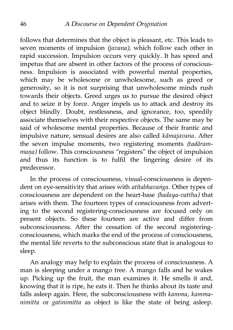follows that determines that the object is pleasant, etc. This leads to seven moments of impulsion *(javana),* which follow each other in rapid succession. Impulsion occurs very quickly. It has speed and impetus that are absent in other factors of the process of consciousness. Impulsion is associated with powerful mental properties, which may be wholesome or unwholesome, such as greed or generosity, so it is not surprising that unwholesome minds rush towards their objects. Greed urges us to pursue the desired object and to seize it by force. Anger impels us to attack and destroy its object blindly. Doubt, restlessness, and ignorance, too, speedily associate themselves with their respective objects. The same may be said of wholesome mental properties. Because of their frantic and impulsive nature, sensual desires are also called *kāmajavana.* After the seven impulse moments, two registering moments *(tadārammaṇa)* follow. This consciousness "registers" the object of impulsion and thus its function is to fulfil the lingering desire of its predecessor.

In the process of consciousness, visual-consciousness is dependent on eye-sensitivity that arises with *atītabhavaṅga*. Other types of consciousness are dependent on the heart-base *(hadaya-vatthu)* that arises with them. The fourteen types of consciousness from adverting to the second registering-consciousness are focused only on present objects. So these fourteen are active and differ from subconsciousness. After the cessation of the second registeringconsciousness, which marks the end of the process of consciousness, the mental life reverts to the subconscious state that is analogous to sleep.

An analogy may help to explain the process of consciousness. A man is sleeping under a mango tree. A mango falls and he wakes up. Picking up the fruit, the man examines it. He smells it and, knowing that it is ripe, he eats it. Then he thinks about its taste and falls asleep again. Here, the subconsciousness with *kamma, kammanimitta* or *gatinimitta* as object is like the state of being asleep.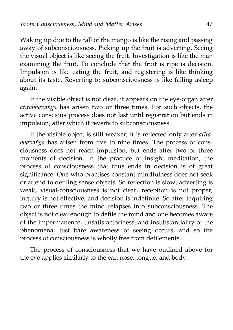Waking up due to the fall of the mango is like the rising and passing away of subconsciousness. Picking up the fruit is adverting. Seeing the visual object is like seeing the fruit. Investigation is like the man examining the fruit. To conclude that the fruit is ripe is decision. Impulsion is like eating the fruit, and registering is like thinking about its taste. Reverting to subconsciousness is like falling asleep again.

If the visible object is not clear, it appears on the eye-organ after *atītabhavaṅga* has arisen two or three times. For such objects, the active conscious process does not last until registration but ends in impulsion, after which it reverts to subconsciousness.

If the visible object is still weaker, it is reflected only after *atītabhavaṅga* has arisen from five to nine times. The process of consciousness does not reach impulsion, but ends after two or three moments of decision. In the practice of insight meditation, the process of consciousness that thus ends in decision is of great significance. One who practises constant mindfulness does not seek or attend to defiling sense-objects. So reflection is slow, adverting is weak, visual-consciousness is not clear, reception is not proper, inquiry is not effective, and decision is indefinite. So after inquiring two or three times the mind relapses into subconsciousness. The object is not clear enough to defile the mind and one becomes aware of the impermanence, unsatisfactoriness, and insubstantiality of the phenomena. Just bare awareness of seeing occurs, and so the process of consciousness is wholly free from defilements.

The process of consciousness that we have outlined above for the eye applies similarly to the ear, nose, tongue, and body.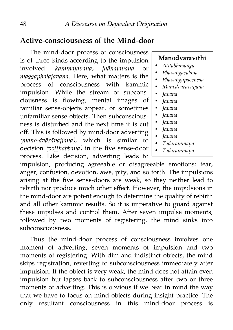# **Active-consciousness of the Mind-door**

The mind-door process of consciousness is of three kinds according to the impulsion involved: *kammajavana, jhānajavana* or *maggaphalajavana.* Here, what matters is the process of consciousness with kammic impulsion. While the stream of subconsciousness is flowing, mental images of familiar sense-objects appear, or sometimes unfamiliar sense-objects. Then subconsciousness is disturbed and the next time it is cut off. This is followed by mind-door adverting *(mano-dvārāvajjana),* which is similar to decision *(voṭṭhabbana)* in the five sense-door process. Like decision, adverting leads to

**Manodvāravīthi**

- •*Atītabhavaṅga*
- •*Bhavaṅgacalana*
- •*Bhavaṅgupaccheda*
- •*Manodvārāvajjana*
- •*Javana*
- •*Javana*
- •*Javana*
- •*Javana*
- •*Javana*
- •*Javana*
- •*Javana*
- •*Tadārammaṇa*
- •*Tadārammaṇa*

impulsion, producing agreeable or disagreeable emotions: fear, anger, confusion, devotion, awe, pity, and so forth. The impulsions arising at the five sense-doors are weak, so they neither lead to rebirth nor produce much other effect. However, the impulsions in the mind-door are potent enough to determine the quality of rebirth and all other kammic results. So it is imperative to guard against these impulses and control them. After seven impulse moments, followed by two moments of registering, the mind sinks into subconsciousness.

Thus the mind-door process of consciousness involves one moment of adverting, seven moments of impulsion and two moments of registering. With dim and indistinct objects, the mind skips registration, reverting to subconsciousness immediately after impulsion. If the object is very weak, the mind does not attain even impulsion but lapses back to subconsciousness after two or three moments of adverting. This is obvious if we bear in mind the way that we have to focus on mind-objects during insight practice. The only resultant consciousness in this mind-door process is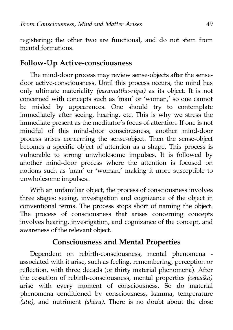registering; the other two are functional, and do not stem from mental formations.

### **Follow-Up Active-consciousness**

The mind-door process may review sense-objects after the sensedoor active-consciousness. Until this process occurs, the mind has only ultimate materiality *(paramattha-rūpa)* as its object. It is not concerned with concepts such as 'man' or 'woman,' so one cannot be misled by appearances. One should try to contemplate immediately after seeing, hearing, etc. This is why we stress the immediate present as the meditator's focus of attention. If one is not mindful of this mind-door consciousness, another mind-door process arises concerning the sense-object. Then the sense-object becomes a specific object of attention as a shape. This process is vulnerable to strong unwholesome impulses. It is followed by another mind-door process where the attention is focused on notions such as 'man' or 'woman,' making it more susceptible to unwholesome impulses.

With an unfamiliar object, the process of consciousness involves three stages: seeing, investigation and cognizance of the object in conventional terms. The process stops short of naming the object. The process of consciousness that arises concerning concepts involves hearing, investigation, and cognizance of the concept, and awareness of the relevant object.

## **Consciousness and Mental Properties**

Dependent on rebirth-consciousness, mental phenomena associated with it arise, such as feeling, remembering, perception or reflection, with three decads (or thirty material phenomena). After the cessation of rebirth-consciousness, mental properties *(cetasikā)* arise with every moment of consciousness. So do material phenomena conditioned by consciousness, kamma, temperature *(utu),* and nutriment *(āhāra).* There is no doubt about the close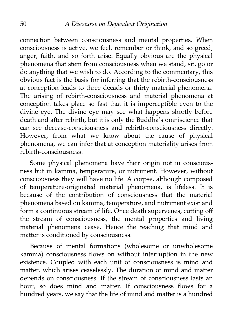connection between consciousness and mental properties. When consciousness is active, we feel, remember or think, and so greed, anger, faith, and so forth arise. Equally obvious are the physical phenomena that stem from consciousness when we stand, sit, go or do anything that we wish to do. According to the commentary, this obvious fact is the basis for inferring that the rebirth-consciousness at conception leads to three decads or thirty material phenomena. The arising of rebirth-consciousness and material phenomena at conception takes place so fast that it is imperceptible even to the divine eye. The divine eye may see what happens shortly before death and after rebirth, but it is only the Buddha's omniscience that can see decease-consciousness and rebirth-consciousness directly. However, from what we know about the cause of physical phenomena, we can infer that at conception materiality arises from rebirth-consciousness.

Some physical phenomena have their origin not in consciousness but in kamma, temperature, or nutriment. However, without consciousness they will have no life. A corpse, although composed of temperature-originated material phenomena, is lifeless. It is because of the contribution of consciousness that the material phenomena based on kamma, temperature, and nutriment exist and form a continuous stream of life. Once death supervenes, cutting off the stream of consciousness, the mental properties and living material phenomena cease. Hence the teaching that mind and matter is conditioned by consciousness.

Because of mental formations (wholesome or unwholesome kamma) consciousness flows on without interruption in the new existence. Coupled with each unit of consciousness is mind and matter, which arises ceaselessly. The duration of mind and matter depends on consciousness. If the stream of consciousness lasts an hour, so does mind and matter. If consciousness flows for a hundred years, we say that the life of mind and matter is a hundred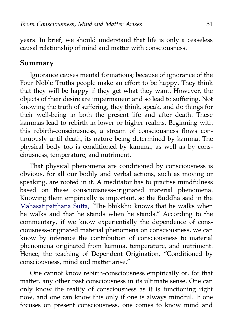years. In brief, we should understand that life is only a ceaseless causal relationship of mind and matter with consciousness.

#### **Summary**

Ignorance causes mental formations; because of ignorance of the Four Noble Truths people make an effort to be happy. They think that they will be happy if they get what they want. However, the objects of their desire are impermanent and so lead to suffering. Not knowing the truth of suffering, they think, speak, and do things for their well-being in both the present life and after death. These kammas lead to rebirth in lower or higher realms. Beginning with this rebirth-consciousness, a stream of consciousness flows continuously until death, its nature being determined by kamma. The physical body too is conditioned by kamma, as well as by consciousness, temperature, and nutriment.

That physical phenomena are conditioned by consciousness is obvious, for all our bodily and verbal actions, such as moving or speaking, are rooted in it. A meditator has to practise mindfulness based on these consciousness-originated material phenomena. Knowing them empirically is important, so the Buddha said in the [Mahāsatipaṭṭhāna Sutta,](http://www.accesstoinsight.org/tipitaka/dn/dn.22.0.than.html) "The bhikkhu knows that he walks when he walks and that he stands when he stands." According to the commentary, if we know experientially the dependence of consciousness-originated material phenomena on consciousness, we can know by inference the contribution of consciousness to material phenomena originated from kamma, temperature, and nutriment. Hence, the teaching of Dependent Origination, "Conditioned by consciousness, mind and matter arise."

One cannot know rebirth-consciousness empirically or, for that matter, any other past consciousness in its ultimate sense. One can only know the reality of consciousness as it is functioning right now, and one can know this only if one is always mindful. If one focuses on present consciousness, one comes to know mind and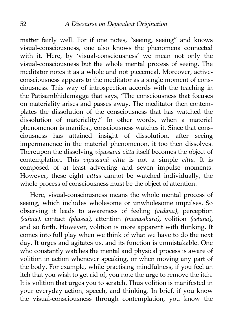matter fairly well. For if one notes, "seeing, seeing" and knows visual-consciousness, one also knows the phenomena connected with it. Here, by 'visual-consciousness' we mean not only the visual-consciousness but the whole mental process of seeing. The meditator notes it as a whole and not piecemeal. Moreover, activeconsciousness appears to the meditator as a single moment of consciousness. This way of introspection accords with the teaching in the Patisambhidāmagga that says, "The consciousness that focuses on materiality arises and passes away. The meditator then contemplates the dissolution of the consciousness that has watched the dissolution of materiality." In other words, when a material phenomenon is manifest, consciousness watches it. Since that consciousness has attained insight of dissolution, after seeing impermanence in the material phenomenon, it too then dissolves. Thereupon the dissolving *vipassanā citta* itself becomes the object of contemplation. This *vipassanā citta* is not a simple *citta.* It is composed of at least adverting and seven impulse moments. However, these eight *cittas* cannot be watched individually, the whole process of consciousness must be the object of attention.

Here, visual-consciousness means the whole mental process of seeing, which includes wholesome or unwholesome impulses. So observing it leads to awareness of feeling *(vedanā),* perception *(saññā),* contact *(phassa),* attention *(manasikāra),* volition *(cetanā),* and so forth. However, volition is more apparent with thinking. It comes into full play when we think of what we have to do the next day. It urges and agitates us, and its function is unmistakable. One who constantly watches the mental and physical process is aware of volition in action whenever speaking, or when moving any part of the body. For example, while practising mindfulness, if you feel an itch that you wish to get rid of, you note the urge to remove the itch. It is volition that urges you to scratch. Thus volition is manifested in your everyday action, speech, and thinking. In brief, if you know the visual-consciousness through contemplation, you know the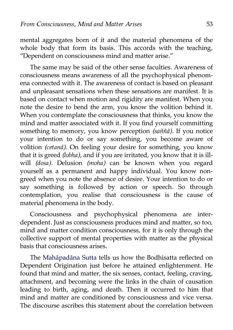mental aggregates born of it and the material phenomena of the whole body that form its basis. This accords with the teaching, "Dependent on consciousness mind and matter arise."

The same may be said of the other sense faculties. Awareness of consciousness means awareness of all the psychophysical phenomena connected with it. The awareness of contact is based on pleasant and unpleasant sensations when these sensations are manifest. It is based on contact when motion and rigidity are manifest. When you note the desire to bend the arm, you know the volition behind it. When you contemplate the consciousness that thinks, you know the mind and matter associated with it. If you find yourself committing something to memory, you know perception *(saññā).* If you notice your intention to do or say something, you become aware of volition *(cetanā).* On feeling your desire for something, you know that it is greed *(lobha),* and if you are irritated, you know that it is illwill *(dosa).* Delusion *(moha)* can be known when you regard yourself as a permanent and happy individual. You know nongreed when you note the absence of desire. Your intention to do or say something is followed by action or speech. So through contemplation, you realise that consciousness is the cause of material phenomena in the body.

Consciousness and psychophysical phenomena are interdependent. Just as consciousness produces mind and matter, so too, mind and matter condition consciousness, for it is only through the collective support of mental properties with matter as the physical basis that consciousness arises.

The [Mahāpadāna Sutta](http://aimwell.org/DPPN/mahapadana_s.htm) tells us how the Bodhisatta reflected on Dependent Origination just before he attained enlightenment. He found that mind and matter, the six senses, contact, feeling, craving, attachment, and becoming were the links in the chain of causation leading to birth, aging, and death. Then it occurred to him that mind and matter are conditioned by consciousness and vice versa. The discourse ascribes this statement about the correlation between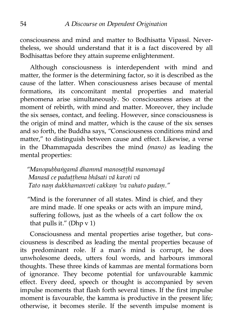consciousness and mind and matter to Bodhisatta Vipassī. Nevertheless, we should understand that it is a fact discovered by all Bodhisattas before they attain supreme enlightenment.

Although consciousness is interdependent with mind and matter, the former is the determining factor, so it is described as the cause of the latter. When consciousness arises because of mental formations, its concomitant mental properties and material phenomena arise simultaneously. So consciousness arises at the moment of rebirth, with mind and matter. Moreover, they include the six senses, contact, and feeling. However, since consciousness is the origin of mind and matter, which is the cause of the six senses and so forth, the Buddha says, "Consciousness conditions mind and matter," to distinguish between cause and effect. Likewise, a verse in the Dhammapada describes the mind *(mano)* as leading the mental properties:

*"Manopubbaṅgamā dhammā manoseṭṭhā manomayā Manasā ce paduṭṭhena bhāsati vā karoti vā Tato naṃ dukkhamanveti cakkaṃ 'va vahato padaṃ."*

"Mind is the forerunner of all states. Mind is chief, and they are mind made. If one speaks or acts with an impure mind, suffering follows, just as the wheels of a cart follow the ox that pulls it." (Dhp v 1)

Consciousness and mental properties arise together, but consciousness is described as leading the mental properties because of its predominant role. If a man's mind is corrupt, he does unwholesome deeds, utters foul words, and harbours immoral thoughts. These three kinds of kammas are mental formations born of ignorance. They become potential for unfavourable kammic effect. Every deed, speech or thought is accompanied by seven impulse moments that flash forth several times. If the first impulse moment is favourable, the kamma is productive in the present life; otherwise, it becomes sterile. If the seventh impulse moment is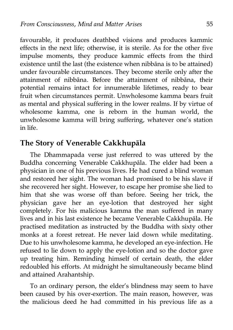favourable, it produces deathbed visions and produces kammic effects in the next life; otherwise, it is sterile. As for the other five impulse moments, they produce kammic effects from the third existence until the last (the existence when nibbāna is to be attained) under favourable circumstances. They become sterile only after the attainment of nibbāna. Before the attainment of nibbāna, their potential remains intact for innumerable lifetimes, ready to bear fruit when circumstances permit. Unwholesome kamma bears fruit as mental and physical suffering in the lower realms. If by virtue of wholesome kamma, one is reborn in the human world, the unwholesome kamma will bring suffering, whatever one's station in life.

# **The Story of Venerable Cakkhupāla**

The Dhammapada verse just referred to was uttered by the Buddha concerning Venerable Cakkhupāla. The elder had been a physician in one of his previous lives. He had cured a blind woman and restored her sight. The woman had promised to be his slave if she recovered her sight. However, to escape her promise she lied to him that she was worse off than before. Seeing her trick, the physician gave her an eye-lotion that destroyed her sight completely. For his malicious kamma the man suffered in many lives and in his last existence he became Venerable Cakkhupāla. He practised meditation as instructed by the Buddha with sixty other monks at a forest retreat. He never laid down while meditating. Due to his unwholesome kamma, he developed an eye-infection. He refused to lie down to apply the eye-lotion and so the doctor gave up treating him. Reminding himself of certain death, the elder redoubled his efforts. At midnight he simultaneously became blind and attained Arahantship.

To an ordinary person, the elder's blindness may seem to have been caused by his over-exertion. The main reason, however, was the malicious deed he had committed in his previous life as a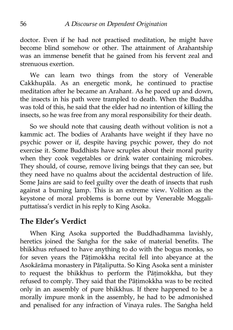doctor. Even if he had not practised meditation, he might have become blind somehow or other. The attainment of Arahantship was an immense benefit that he gained from his fervent zeal and strenuous exertion.

We can learn two things from the story of Venerable Cakkhupāla. As an energetic monk, he continued to practise meditation after he became an Arahant. As he paced up and down, the insects in his path were trampled to death. When the Buddha was told of this, he said that the elder had no intention of killing the insects, so he was free from any moral responsibility for their death.

So we should note that causing death without volition is not a kammic act. The bodies of Arahants have weight if they have no psychic power or if, despite having psychic power, they do not exercise it. Some Buddhists have scruples about their moral purity when they cook vegetables or drink water containing microbes. They should, of course, remove living beings that they can see, but they need have no qualms about the accidental destruction of life. Some Jains are said to feel guilty over the death of insects that rush against a burning lamp. This is an extreme view. Volition as the keystone of moral problems is borne out by Venerable Moggaliputtatissa's verdict in his reply to King Asoka.

# **The Elder's Verdict**

When King Asoka supported the Buddhadhamma lavishly, heretics joined the Saṅgha for the sake of material benefits. The bhikkhus refused to have anything to do with the bogus monks, so for seven years the Pāṭimokkha recital fell into abeyance at the Asokārāma monastery in Pāṭaliputta. So King Asoka sent a minister to request the bhikkhus to perform the Pāṭimokkha, but they refused to comply. They said that the Pāṭimokkha was to be recited only in an assembly of pure bhikkhus. If there happened to be a morally impure monk in the assembly, he had to be admonished and penalised for any infraction of Vinaya rules. The Saṅgha held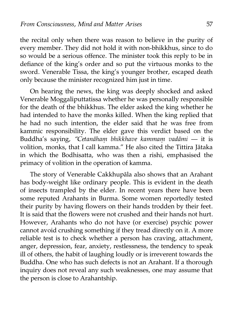the recital only when there was reason to believe in the purity of every member. They did not hold it with non-bhikkhus, since to do so would be a serious offence. The minister took this reply to be in defiance of the king's order and so put the virtuous monks to the sword. Venerable Tissa, the king's younger brother, escaped death only because the minister recognized him just in time.

On hearing the news, the king was deeply shocked and asked Venerable Moggaliputtatissa whether he was personally responsible for the death of the bhikkhus. The elder asked the king whether he had intended to have the monks killed. When the king replied that he had no such intention, the elder said that he was free from kammic responsibility. The elder gave this verdict based on the Buddha's saying, *"Cetanāhaṃ bhikkhave kammaṃ vadāmi* — it is volition, monks, that I call kamma." He also cited the Tittira Jātaka in which the Bodhisatta, who was then a rishi, emphasised the primacy of volition in the operation of kamma.

The story of Venerable Cakkhupāla also shows that an Arahant has body-weight like ordinary people. This is evident in the death of insects trampled by the elder. In recent years there have been some reputed Arahants in Burma. Some women reportedly tested their purity by having flowers on their hands trodden by their feet. It is said that the flowers were not crushed and their hands not hurt. However, Arahants who do not have (or exercise) psychic power cannot avoid crushing something if they tread directly on it. A more reliable test is to check whether a person has craving, attachment, anger, depression, fear, anxiety, restlessness, the tendency to speak ill of others, the habit of laughing loudly or is irreverent towards the Buddha. One who has such defects is not an Arahant. If a thorough inquiry does not reveal any such weaknesses, one may assume that the person is close to Arahantship.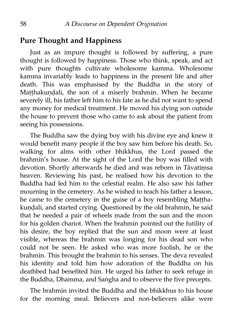### **Pure Thought and Happiness**

Just as an impure thought is followed by suffering, a pure thought is followed by happiness. Those who think, speak, and act with pure thoughts cultivate wholesome kamma. Wholesome kamma invariably leads to happiness in the present life and after death. This was emphasised by the Buddha in the story of Matthakundali, the son of a miserly brahmin. When he became severely ill, his father left him to his fate as he did not want to spend any money for medical treatment. He moved his dying son outside the house to prevent those who came to ask about the patient from seeing his possessions.

The Buddha saw the dying boy with his divine eye and knew it would benefit many people if the boy saw him before his death. So, walking for alms with other bhikkhus, the Lord passed the brahmin's house. At the sight of the Lord the boy was filled with devotion. Shortly afterwards he died and was reborn in Tāvatiṃsa heaven. Reviewing his past, he realised how his devotion to the Buddha had led him to the celestial realm. He also saw his father mourning in the cemetery. As he wished to teach his father a lesson, he came to the cemetery in the guise of a boy resembling Matthakundali, and started crying. Questioned by the old brahmin, he said that he needed a pair of wheels made from the sun and the moon for his golden chariot. When the brahmin pointed out the futility of his desire, the boy replied that the sun and moon were at least visible, whereas the brahmin was longing for his dead son who could not be seen. He asked who was more foolish, he or the brahmin. This brought the brahmin to his senses. The deva revealed his identity and told him how adoration of the Buddha on his deathbed had benefited him. He urged his father to seek refuge in the Buddha, Dhamma, and Saṅgha and to observe the five precepts.

The brahmin invited the Buddha and the bhikkhus to his house for the morning meal. Believers and non-believers alike were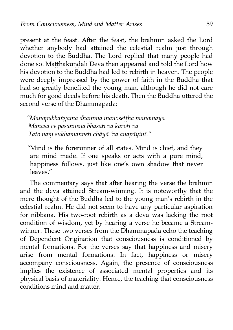present at the feast. After the feast, the brahmin asked the Lord whether anybody had attained the celestial realm just through devotion to the Buddha. The Lord replied that many people had done so. Matthakundali Deva then appeared and told the Lord how his devotion to the Buddha had led to rebirth in heaven. The people were deeply impressed by the power of faith in the Buddha that had so greatly benefited the young man, although he did not care much for good deeds before his death. Then the Buddha uttered the second verse of the Dhammapada:

*"Manopubbaṅgamā dhammā manoseṭṭhā manomayā Manasā ce pasannena bhāsati vā karoti vā Tato naṃ sukhamanveti chāyā 'va anapāyinī."*

"Mind is the forerunner of all states. Mind is chief, and they are mind made. If one speaks or acts with a pure mind, happiness follows, just like one's own shadow that never leaves."

The commentary says that after hearing the verse the brahmin and the deva attained Stream-winning. It is noteworthy that the mere thought of the Buddha led to the young man's rebirth in the celestial realm. He did not seem to have any particular aspiration for nibbāna. His two-root rebirth as a deva was lacking the root condition of wisdom, yet by hearing a verse he became a Streamwinner. These two verses from the Dhammapada echo the teaching of Dependent Origination that consciousness is conditioned by mental formations. For the verses say that happiness and misery arise from mental formations. In fact, happiness or misery accompany consciousness. Again, the presence of consciousness implies the existence of associated mental properties and its physical basis of materiality. Hence, the teaching that consciousness conditions mind and matter.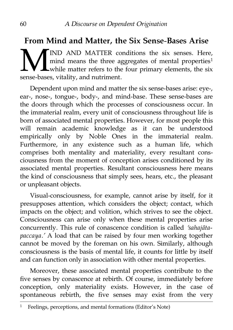# **From Mind and Matter, the Six Sense-Bases Arise**

IND AND MATTER conditions the six senses. Here, mind means the three aggregates of mental properties<sup>[1](#page-67-0)</sup> while matter refers to the four primary elements, the six sense-bases, vitality, and nutriment. M<br>sense-base

Dependent upon mind and matter the six sense-bases arise: eye-, ear-, nose-, tongue-, body-, and mind-base. These sense-bases are the doors through which the processes of consciousness occur. In the immaterial realm, every unit of consciousness throughout life is born of associated mental properties. However, for most people this will remain academic knowledge as it can be understood empirically only by Noble Ones in the immaterial realm. Furthermore, in any existence such as a human life, which comprises both mentality and materiality, every resultant consciousness from the moment of conception arises conditioned by its associated mental properties. Resultant consciousness here means the kind of consciousness that simply sees, hears, etc., the pleasant or unpleasant objects.

Visual-consciousness, for example, cannot arise by itself, for it presupposes attention, which considers the object; contact, which impacts on the object; and volition, which strives to see the object. Consciousness can arise only when these mental properties arise concurrently. This rule of conascence condition is called *'sahajātapaccaya.'* A load that can be raised by four men working together cannot be moved by the foreman on his own. Similarly, although consciousness is the basis of mental life, it counts for little by itself and can function only in association with other mental properties.

Moreover, these associated mental properties contribute to the five senses by conascence at rebirth. Of course, immediately before conception, only materiality exists. However, in the case of spontaneous rebirth, the five senses may exist from the very

<span id="page-67-0"></span> $1$  Feelings, perceptions, and mental formations (Editor's Note)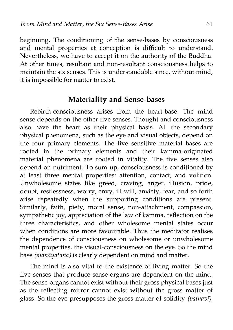beginning. The conditioning of the sense-bases by consciousness and mental properties at conception is difficult to understand. Nevertheless, we have to accept it on the authority of the Buddha. At other times, resultant and non-resultant consciousness helps to maintain the six senses. This is understandable since, without mind, it is impossible for matter to exist.

#### **Materiality and Sense-bases**

Rebirth-consciousness arises from the heart-base. The mind sense depends on the other five senses. Thought and consciousness also have the heart as their physical basis. All the secondary physical phenomena, such as the eye and visual objects, depend on the four primary elements. The five sensitive material bases are rooted in the primary elements and their kamma-originated material phenomena are rooted in vitality. The five senses also depend on nutriment. To sum up, consciousness is conditioned by at least three mental properties: attention, contact, and volition. Unwholesome states like greed, craving, anger, illusion, pride, doubt, restlessness, worry, envy, ill-will, anxiety, fear, and so forth arise repeatedly when the supporting conditions are present. Similarly, faith, piety, moral sense, non-attachment, compassion, sympathetic joy, appreciation of the law of kamma, reflection on the three characteristics, and other wholesome mental states occur when conditions are more favourable. Thus the meditator realises the dependence of consciousness on wholesome or unwholesome mental properties, the visual-consciousness on the eye. So the mind base *(manāyatana)* is clearly dependent on mind and matter.

The mind is also vital to the existence of living matter. So the five senses that produce sense-organs are dependent on the mind. The sense-organs cannot exist without their gross physical bases just as the reflecting mirror cannot exist without the gross matter of glass. So the eye presupposes the gross matter of solidity *(pathavī),*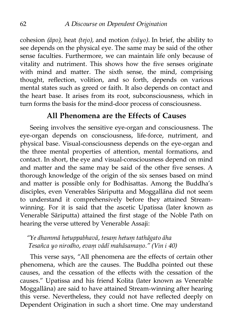cohesion *(āpo),* heat *(tejo),* and motion *(vāyo).* In brief, the ability to see depends on the physical eye. The same may be said of the other sense faculties. Furthermore, we can maintain life only because of vitality and nutriment. This shows how the five senses originate with mind and matter. The sixth sense, the mind, comprising thought, reflection, volition, and so forth, depends on various mental states such as greed or faith. It also depends on contact and the heart base. It arises from its root, subconsciousness, which in turn forms the basis for the mind-door process of consciousness.

## **All Phenomena are the Effects of Causes**

Seeing involves the sensitive eye-organ and consciousness. The eye-organ depends on consciousness, life-force, nutriment, and physical base. Visual-consciousness depends on the eye-organ and the three mental properties of attention, mental formations, and contact. In short, the eye and visual-consciousness depend on mind and matter and the same may be said of the other five senses. A thorough knowledge of the origin of the six senses based on mind and matter is possible only for Bodhisattas. Among the Buddha's disciples, even Venerables Sāriputta and Moggallāna did not seem to understand it comprehensively before they attained Streamwinning. For it is said that the ascetic Upatissa (later known as Venerable Sāriputta) attained the first stage of the Noble Path on hearing the verse uttered by Venerable Assaji:

#### *"Ye dhammā hetuppabhavā, tesaṃ hetuṃ tathāgato āha Tesañca yo nirodho, evaṃ vādī mahāsamaṇo." (Vin i 40)*

This verse says, "All phenomena are the effects of certain other phenomena, which are the causes. The Buddha pointed out these causes, and the cessation of the effects with the cessation of the causes." Upatissa and his friend Kolita (later known as Venerable Moggallāna) are said to have attained Stream-winning after hearing this verse. Nevertheless, they could not have reflected deeply on Dependent Origination in such a short time. One may understand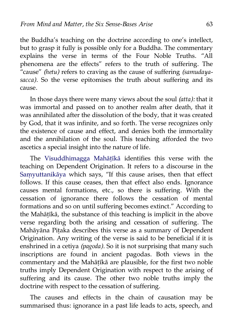the Buddha's teaching on the doctrine according to one's intellect, but to grasp it fully is possible only for a Buddha. The commentary explains the verse in terms of the Four Noble Truths. "All phenomena are the effects" refers to the truth of suffering. The "cause" *(hetu)* refers to craving as the cause of suffering *(samudayasacca).* So the verse epitomises the truth about suffering and its cause.

In those days there were many views about the soul *(atta):* that it was immortal and passed on to another realm after death, that it was annihilated after the dissolution of the body, that it was created by God, that it was infinite, and so forth. The verse recognizes only the existence of cause and effect, and denies both the immortality and the annihilation of the soul. This teaching afforded the two ascetics a special insight into the nature of life.

The [Visuddhimagga Mahāṭīkā](http://www.abhidhamma.org/visuddhimagga-1.htm) identifies this verse with the teaching on Dependent Origination. It refers to a discourse in the [Saṃyuttanikāya](http://aimwell.org/DPPN/samyutta_nikaya.htm) which says, "If this cause arises, then that effect follows. If this cause ceases, then that effect also ends. Ignorance causes mental formations, etc., so there is suffering. With the cessation of ignorance there follows the cessation of mental formations and so on until suffering becomes extinct." According to the Mahāṭīkā, the substance of this teaching is implicit in the above verse regarding both the arising and cessation of suffering. The Mahāyāna Piṭaka describes this verse as a summary of Dependent Origination. Any writing of the verse is said to be beneficial if it is enshrined in a cetiya *(pagoda).* So it is not surprising that many such inscriptions are found in ancient pagodas. Both views in the commentary and the Mahāṭīkā are plausible, for the first two noble truths imply Dependent Origination with respect to the arising of suffering and its cause. The other two noble truths imply the doctrine with respect to the cessation of suffering.

The causes and effects in the chain of causation may be summarised thus: ignorance in a past life leads to acts, speech, and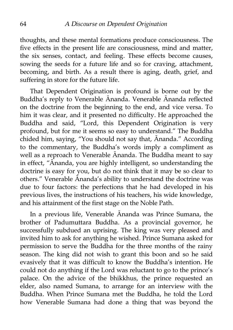thoughts, and these mental formations produce consciousness. The five effects in the present life are consciousness, mind and matter, the six senses, contact, and feeling. These effects become causes, sowing the seeds for a future life and so for craving, attachment, becoming, and birth. As a result there is aging, death, grief, and suffering in store for the future life.

That Dependent Origination is profound is borne out by the Buddha's reply to Venerable Ānanda. Venerable Ānanda reflected on the doctrine from the beginning to the end, and vice versa. To him it was clear, and it presented no difficulty. He approached the Buddha and said, "Lord, this Dependent Origination is very profound, but for me it seems so easy to understand." The Buddha chided him, saying, "You should not say that, Ānanda." According to the commentary, the Buddha's words imply a compliment as well as a reproach to Venerable Ānanda. The Buddha meant to say in effect, "Ānanda, you are highly intelligent, so understanding the doctrine is easy for you, but do not think that it may be so clear to others." Venerable Ānanda's ability to understand the doctrine was due to four factors: the perfections that he had developed in his previous lives, the instructions of his teachers, his wide knowledge, and his attainment of the first stage on the Noble Path.

In a previous life, Venerable Ānanda was Prince Sumana, the brother of Padumuttara Buddha. As a provincial governor, he successfully subdued an uprising. The king was very pleased and invited him to ask for anything he wished. Prince Sumana asked for permission to serve the Buddha for the three months of the rainy season. The king did not wish to grant this boon and so he said evasively that it was difficult to know the Buddha's intention. He could not do anything if the Lord was reluctant to go to the prince's palace. On the advice of the bhikkhus, the prince requested an elder, also named Sumana, to arrange for an interview with the Buddha. When Prince Sumana met the Buddha, he told the Lord how Venerable Sumana had done a thing that was beyond the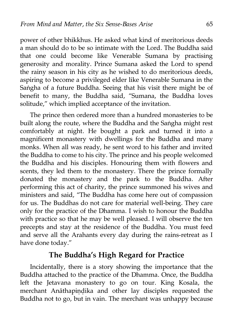power of other bhikkhus. He asked what kind of meritorious deeds a man should do to be so intimate with the Lord. The Buddha said that one could become like Venerable Sumana by practising generosity and morality. Prince Sumana asked the Lord to spend the rainy season in his city as he wished to do meritorious deeds, aspiring to become a privileged elder like Venerable Sumana in the Saṅgha of a future Buddha. Seeing that his visit there might be of benefit to many, the Buddha said, "Sumana, the Buddha loves solitude," which implied acceptance of the invitation.

The prince then ordered more than a hundred monasteries to be built along the route, where the Buddha and the Saṅgha might rest comfortably at night. He bought a park and turned it into a magnificent monastery with dwellings for the Buddha and many monks. When all was ready, he sent word to his father and invited the Buddha to come to his city. The prince and his people welcomed the Buddha and his disciples. Honouring them with flowers and scents, they led them to the monastery. There the prince formally donated the monastery and the park to the Buddha. After performing this act of charity, the prince summoned his wives and ministers and said, "The Buddha has come here out of compassion for us. The Buddhas do not care for material well-being. They care only for the practice of the Dhamma. I wish to honour the Buddha with practice so that he may be well pleased. I will observe the ten precepts and stay at the residence of the Buddha. You must feed and serve all the Arahants every day during the rains-retreat as I have done today."

## **The Buddha's High Regard for Practice**

Incidentally, there is a story showing the importance that the Buddha attached to the practice of the Dhamma. Once, the Buddha left the Jetavana monastery to go on tour. King Kosala, the merchant Anāthapiṇḍika and other lay disciples requested the Buddha not to go, but in vain. The merchant was unhappy because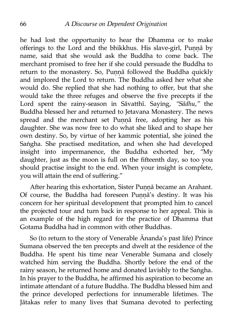he had lost the opportunity to hear the Dhamma or to make offerings to the Lord and the bhikkhus. His slave-girl, Punnā by name, said that she would ask the Buddha to come back. The merchant promised to free her if she could persuade the Buddha to return to the monastery. So, Punnā followed the Buddha quickly and implored the Lord to return. The Buddha asked her what she would do. She replied that she had nothing to offer, but that she would take the three refuges and observe the five precepts if the Lord spent the rainy-season in Sāvatthī. Saying, *"Sādhu,"* the Buddha blessed her and returned to Jetavana Monastery. The news spread and the merchant set Punna free, adopting her as his daughter. She was now free to do what she liked and to shape her own destiny. So, by virtue of her kammic potential, she joined the Saṅgha. She practised meditation, and when she had developed insight into impermanence, the Buddha exhorted her, "My daughter, just as the moon is full on the fifteenth day, so too you should practise insight to the end. When your insight is complete, you will attain the end of suffering."

After hearing this exhortation, Sister Punnā became an Arahant. Of course, the Buddha had foreseen Punna's destiny. It was his concern for her spiritual development that prompted him to cancel the projected tour and turn back in response to her appeal. This is an example of the high regard for the practice of Dhamma that Gotama Buddha had in common with other Buddhas.

So (to return to the story of Venerable Ānanda's past life) Prince Sumana observed the ten precepts and dwelt at the residence of the Buddha. He spent his time near Venerable Sumana and closely watched him serving the Buddha. Shortly before the end of the rainy season, he returned home and donated lavishly to the Saṅgha. In his prayer to the Buddha, he affirmed his aspiration to become an intimate attendant of a future Buddha. The Buddha blessed him and the prince developed perfections for innumerable lifetimes. The Jātakas refer to many lives that Sumana devoted to perfecting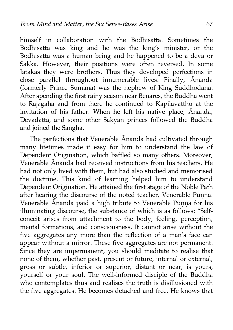himself in collaboration with the Bodhisatta. Sometimes the Bodhisatta was king and he was the king's minister, or the Bodhisatta was a human being and he happened to be a deva or Sakka. However, their positions were often reversed. In some Jātakas they were brothers. Thus they developed perfections in close parallel throughout innumerable lives. Finally, Ānanda (formerly Prince Sumana) was the nephew of King Suddhodana. After spending the first rainy season near Benares, the Buddha went to Rājagaha and from there he continued to Kapilavatthu at the invitation of his father. When he left his native place, Ānanda, Devadatta, and some other Sakyan princes followed the Buddha and joined the Saṅgha.

The perfections that Venerable Ānanda had cultivated through many lifetimes made it easy for him to understand the law of Dependent Origination, which baffled so many others. Moreover, Venerable Ānanda had received instructions from his teachers. He had not only lived with them, but had also studied and memorised the doctrine. This kind of learning helped him to understand Dependent Origination. He attained the first stage of the Noble Path after hearing the discourse of the noted teacher, Venerable Punna. Venerable Ānanda paid a high tribute to Venerable Punna for his illuminating discourse, the substance of which is as follows: "Selfconceit arises from attachment to the body, feeling, perception, mental formations, and consciousness. It cannot arise without the five aggregates any more than the reflection of a man's face can appear without a mirror. These five aggregates are not permanent. Since they are impermanent, you should meditate to realise that none of them, whether past, present or future, internal or external, gross or subtle, inferior or superior, distant or near, is yours, yourself or your soul. The well-informed disciple of the Buddha who contemplates thus and realises the truth is disillusioned with the five aggregates. He becomes detached and free. He knows that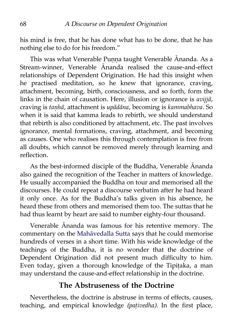his mind is free, that he has done what has to be done, that he has nothing else to do for his freedom."

This was what Venerable Punna taught Venerable Ānanda. As a Stream-winner, Venerable Ānanda realised the cause-and-effect relationships of Dependent Origination. He had this insight when he practised meditation, so he knew that ignorance, craving, attachment, becoming, birth, consciousness, and so forth, form the links in the chain of causation. Here, illusion or ignorance is *avijjā,* craving is *taṇhā,* attachment is *upādāna,* becoming is *kammabhava.* So when it is said that kamma leads to rebirth, we should understand that rebirth is also conditioned by attachment, etc. The past involves ignorance, mental formations, craving, attachment, and becoming as causes. One who realises this through contemplation is free from all doubts, which cannot be removed merely through learning and reflection.

As the best-informed disciple of the Buddha, Venerable Ānanda also gained the recognition of the Teacher in matters of knowledge. He usually accompanied the Buddha on tour and memorised all the discourses. He could repeat a discourse verbatim after he had heard it only once. As for the Buddha's talks given in his absence, he heard these from others and memorised them too. The suttas that he had thus learnt by heart are said to number eighty-four thousand.

Venerable Ānanda was famous for his retentive memory. The commentary on the [Mahāvedalla Sutta](http://aimwell.org/DPPN/mahavedalla_s.htm) says that he could memorise hundreds of verses in a short time. With his wide knowledge of the teachings of the Buddha, it is no wonder that the doctrine of Dependent Origination did not present much difficulty to him. Even today, given a thorough knowledge of the Tipitaka, a man may understand the cause-and-effect relationship in the doctrine.

#### **The Abstruseness of the Doctrine**

Nevertheless, the doctrine is abstruse in terms of effects, causes, teaching, and empirical knowledge *(paṭivedha).* In the first place,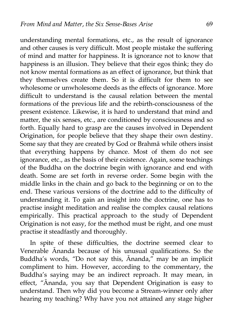understanding mental formations, etc., as the result of ignorance and other causes is very difficult. Most people mistake the suffering of mind and matter for happiness. It is ignorance not to know that happiness is an illusion. They believe that their egos think; they do not know mental formations as an effect of ignorance, but think that they themselves create them. So it is difficult for them to see wholesome or unwholesome deeds as the effects of ignorance. More difficult to understand is the causal relation between the mental formations of the previous life and the rebirth-consciousness of the present existence. Likewise, it is hard to understand that mind and matter, the six senses, etc., are conditioned by consciousness and so forth. Equally hard to grasp are the causes involved in Dependent Origination, for people believe that they shape their own destiny. Some say that they are created by God or Brahmā while others insist that everything happens by chance. Most of them do not see ignorance, etc., as the basis of their existence. Again, some teachings of the Buddha on the doctrine begin with ignorance and end with death. Some are set forth in reverse order. Some begin with the middle links in the chain and go back to the beginning or on to the end. These various versions of the doctrine add to the difficulty of understanding it. To gain an insight into the doctrine, one has to practise insight meditation and realise the complex causal relations empirically. This practical approach to the study of Dependent Origination is not easy, for the method must be right, and one must practise it steadfastly and thoroughly.

In spite of these difficulties, the doctrine seemed clear to Venerable Ānanda because of his unusual qualifications. So the Buddha's words, "Do not say this, Ānanda," may be an implicit compliment to him. However, according to the commentary, the Buddha's saying may be an indirect reproach. It may mean, in effect, "Ānanda, you say that Dependent Origination is easy to understand. Then why did you become a Stream-winner only after hearing my teaching? Why have you not attained any stage higher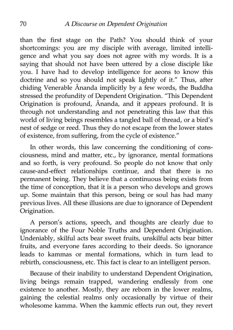than the first stage on the Path? You should think of your shortcomings: you are my disciple with average, limited intelligence and what you say does not agree with my words. It is a saying that should not have been uttered by a close disciple like you. I have had to develop intelligence for aeons to know this doctrine and so you should not speak lightly of it." Thus, after chiding Venerable Ānanda implicitly by a few words, the Buddha stressed the profundity of Dependent Origination. "This Dependent Origination is profound, Ānanda, and it appears profound. It is through not understanding and not penetrating this law that this world of living beings resembles a tangled ball of thread, or a bird's nest of sedge or reed. Thus they do not escape from the lower states of existence, from suffering, from the cycle of existence."

In other words, this law concerning the conditioning of consciousness, mind and matter, etc., by ignorance, mental formations and so forth, is very profound. So people do not know that only cause-and-effect relationships continue, and that there is no permanent being. They believe that a continuous being exists from the time of conception, that it is a person who develops and grows up. Some maintain that this person, being or soul has had many previous lives. All these illusions are due to ignorance of Dependent Origination.

A person's actions, speech, and thoughts are clearly due to ignorance of the Four Noble Truths and Dependent Origination. Undeniably, skilful acts bear sweet fruits, unskilful acts bear bitter fruits, and everyone fares according to their deeds. So ignorance leads to kammas or mental formations, which in turn lead to rebirth, consciousness, etc. This fact is clear to an intelligent person.

Because of their inability to understand Dependent Origination, living beings remain trapped, wandering endlessly from one existence to another. Mostly, they are reborn in the lower realms, gaining the celestial realms only occasionally by virtue of their wholesome kamma. When the kammic effects run out, they revert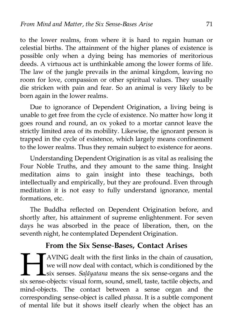to the lower realms, from where it is hard to regain human or celestial births. The attainment of the higher planes of existence is possible only when a dying being has memories of meritorious deeds. A virtuous act is unthinkable among the lower forms of life. The law of the jungle prevails in the animal kingdom, leaving no room for love, compassion or other spiritual values. They usually die stricken with pain and fear. So an animal is very likely to be born again in the lower realms.

Due to ignorance of Dependent Origination, a living being is unable to get free from the cycle of existence. No matter how long it goes round and round, an ox yoked to a mortar cannot leave the strictly limited area of its mobility. Likewise, the ignorant person is trapped in the cycle of existence, which largely means confinement to the lower realms. Thus they remain subject to existence for aeons.

Understanding Dependent Origination is as vital as realising the Four Noble Truths, and they amount to the same thing. Insight meditation aims to gain insight into these teachings, both intellectually and empirically, but they are profound. Even through meditation it is not easy to fully understand ignorance, mental formations, etc.

The Buddha reflected on Dependent Origination before, and shortly after, his attainment of supreme enlightenment. For seven days he was absorbed in the peace of liberation, then, on the seventh night, he contemplated Dependent Origination.

### **From the Six Sense-Bases, Contact Arises**

AVING dealt with the first links in the chain of causation, we will now deal with contact, which is conditioned by the six senses. *Saḷāyatana* means the six sense-organs and the six sense-objects: visual form, sound, smell, taste, tactile objects, and mind-objects. The contact between a sense organ and the corresponding sense-object is called *phassa.* It is a subtle component of mental life but it shows itself clearly when the object has an  $H_{\text{six sense}}$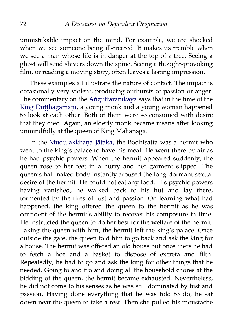unmistakable impact on the mind. For example, we are shocked when we see someone being ill-treated. It makes us tremble when we see a man whose life is in danger at the top of a tree. Seeing a ghost will send shivers down the spine. Seeing a thought-provoking film, or reading a moving story, often leaves a lasting impression.

These examples all illustrate the nature of contact. The impact is occasionally very violent, producing outbursts of passion or anger. The commentary on the [Aṅguttaranikāya](http://aimwell.org/DPPN/anguttara_nikaya.htm) says that in the time of the King Dutthagāmanī, a young monk and a young woman happened to look at each other. Both of them were so consumed with desire that they died. Again, an elderly monk became insane after looking unmindfully at the queen of King Mahānāga.

In the [Mudulakkhaṇa Jātaka,](http://aimwell.org/DPPN/mudulakkhana_jat_066.htm) the Bodhisatta was a hermit who went to the king's palace to have his meal. He went there by air as he had psychic powers. When the hermit appeared suddenly, the queen rose to her feet in a hurry and her garment slipped. The queen's half-naked body instantly aroused the long-dormant sexual desire of the hermit. He could not eat any food. His psychic powers having vanished, he walked back to his hut and lay there, tormented by the fires of lust and passion. On learning what had happened, the king offered the queen to the hermit as he was confident of the hermit's ability to recover his composure in time. He instructed the queen to do her best for the welfare of the hermit. Taking the queen with him, the hermit left the king's palace. Once outside the gate, the queen told him to go back and ask the king for a house. The hermit was offered an old house but once there he had to fetch a hoe and a basket to dispose of excreta and filth. Repeatedly, he had to go and ask the king for other things that he needed. Going to and fro and doing all the household chores at the bidding of the queen, the hermit became exhausted. Nevertheless, he did not come to his senses as he was still dominated by lust and passion. Having done everything that he was told to do, he sat down near the queen to take a rest. Then she pulled his moustache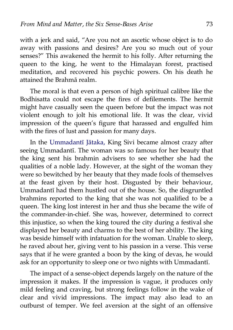with a jerk and said, "Are you not an ascetic whose object is to do away with passions and desires? Are you so much out of your senses?" This awakened the hermit to his folly. After returning the queen to the king, he went to the Himalayan forest, practised meditation, and recovered his psychic powers. On his death he attained the Brahmā realm.

The moral is that even a person of high spiritual calibre like the Bodhisatta could not escape the fires of defilements. The hermit might have casually seen the queen before but the impact was not violent enough to jolt his emotional life. It was the clear, vivid impression of the queen's figure that harassed and engulfed him with the fires of lust and passion for many days.

In the [Ummadantī Jātaka,](http://aimwell.org/DPPN/ummadantii_jat_527.htm) King Sivi became almost crazy after seeing Ummadantī. The woman was so famous for her beauty that the king sent his brahmin advisers to see whether she had the qualities of a noble lady. However, at the sight of the woman they were so bewitched by her beauty that they made fools of themselves at the feast given by their host. Disgusted by their behaviour, Ummadantī had them hustled out of the house. So, the disgruntled brahmins reported to the king that she was not qualified to be a queen. The king lost interest in her and thus she became the wife of the commander-in-chief. She was, however, determined to correct this injustice, so when the king toured the city during a festival she displayed her beauty and charms to the best of her ability. The king was beside himself with infatuation for the woman. Unable to sleep, he raved about her, giving vent to his passion in a verse. This verse says that if he were granted a boon by the king of devas, he would ask for an opportunity to sleep one or two nights with Ummadantī.

The impact of a sense-object depends largely on the nature of the impression it makes. If the impression is vague, it produces only mild feeling and craving, but strong feelings follow in the wake of clear and vivid impressions. The impact may also lead to an outburst of temper. We feel aversion at the sight of an offensive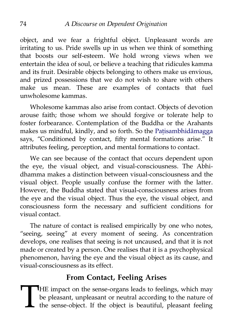object, and we fear a frightful object. Unpleasant words are irritating to us. Pride swells up in us when we think of something that boosts our self-esteem. We hold wrong views when we entertain the idea of soul, or believe a teaching that ridicules kamma and its fruit. Desirable objects belonging to others make us envious, and prized possessions that we do not wish to share with others make us mean. These are examples of contacts that fuel unwholesome kammas.

Wholesome kammas also arise from contact. Objects of devotion arouse faith; those whom we should forgive or tolerate help to foster forbearance. Contemplation of the Buddha or the Arahants makes us mindful, kindly, and so forth. So the Patisambhidāmagga says, "Conditioned by contact, fifty mental formations arise." It attributes feeling, perception, and mental formations to contact.

We can see because of the contact that occurs dependent upon the eye, the visual object, and visual-consciousness. The Abhidhamma makes a distinction between visual-consciousness and the visual object. People usually confuse the former with the latter. However, the Buddha stated that visual-consciousness arises from the eye and the visual object. Thus the eye, the visual object, and consciousness form the necessary and sufficient conditions for visual contact.

The nature of contact is realised empirically by one who notes, "seeing, seeing" at every moment of seeing. As concentration develops, one realises that seeing is not uncaused, and that it is not made or created by a person. One realises that it is a psychophysical phenomenon, having the eye and the visual object as its cause, and visual-consciousness as its effect.

## **From Contact, Feeling Arises**

**HE** impact on the sense-organs leads to feelings, which may be pleasant, unpleasant or neutral according to the nature of the sense-object. If the object is beautiful, pleasant feeling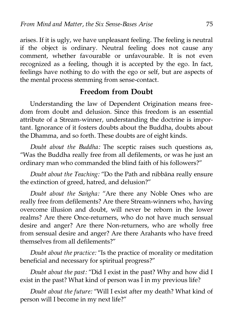arises. If it is ugly, we have unpleasant feeling. The feeling is neutral if the object is ordinary. Neutral feeling does not cause any comment, whether favourable or unfavourable. It is not even recognized as a feeling, though it is accepted by the ego. In fact, feelings have nothing to do with the ego or self, but are aspects of the mental process stemming from sense-contact.

#### **Freedom from Doubt**

Understanding the law of Dependent Origination means freedom from doubt and delusion. Since this freedom is an essential attribute of a Stream-winner, understanding the doctrine is important. Ignorance of it fosters doubts about the Buddha, doubts about the Dhamma, and so forth. These doubts are of eight kinds.

*Doubt about the Buddha:* The sceptic raises such questions as, "Was the Buddha really free from all defilements, or was he just an ordinary man who commanded the blind faith of his followers?"

*Doubt about the Teaching:* "Do the Path and nibbāna really ensure the extinction of greed, hatred, and delusion?"

*Doubt about the Saṅgha:* "Are there any Noble Ones who are really free from defilements? Are there Stream-winners who, having overcome illusion and doubt, will never be reborn in the lower realms? Are there Once-returners, who do not have much sensual desire and anger? Are there Non-returners, who are wholly free from sensual desire and anger? Are there Arahants who have freed themselves from all defilements?"

*Doubt about the practice:* "Is the practice of morality or meditation beneficial and necessary for spiritual progress?"

*Doubt about the past:* "Did I exist in the past? Why and how did I exist in the past? What kind of person was I in my previous life?

*Doubt about the future:* "Will I exist after my death? What kind of person will I become in my next life?"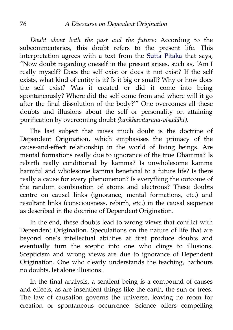*Doubt about both the past and the future:* According to the subcommentaries, this doubt refers to the present life. This interpretation agrees with a text from the Sutta Pitaka that says, "Now doubt regarding oneself in the present arises, such as, 'Am I really myself? Does the self exist or does it not exist? If the self exists, what kind of entity is it? Is it big or small? Why or how does the self exist? Was it created or did it come into being spontaneously? Where did the self come from and where will it go after the final dissolution of the body?'" One overcomes all these doubts and illusions about the self or personality on attaining purification by overcoming doubt *(kaṅkhāvitaraṇa-visuddhi).*

The last subject that raises much doubt is the doctrine of Dependent Origination, which emphasises the primacy of the cause-and-effect relationship in the world of living beings. Are mental formations really due to ignorance of the true Dhamma? Is rebirth really conditioned by kamma? Is unwholesome kamma harmful and wholesome kamma beneficial to a future life? Is there really a cause for every phenomenon? Is everything the outcome of the random combination of atoms and electrons? These doubts centre on causal links (ignorance, mental formations, etc.) and resultant links (consciousness, rebirth, etc.) in the causal sequence as described in the doctrine of Dependent Origination.

In the end, these doubts lead to wrong views that conflict with Dependent Origination. Speculations on the nature of life that are beyond one's intellectual abilities at first produce doubts and eventually turn the sceptic into one who clings to illusions. Scepticism and wrong views are due to ignorance of Dependent Origination. One who clearly understands the teaching, harbours no doubts, let alone illusions.

In the final analysis, a sentient being is a compound of causes and effects, as are insentient things like the earth, the sun or trees. The law of causation governs the universe, leaving no room for creation or spontaneous occurrence. Science offers compelling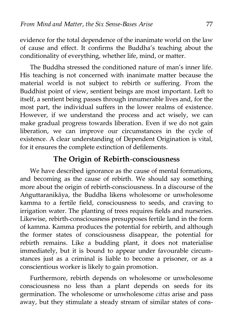evidence for the total dependence of the inanimate world on the law of cause and effect. It confirms the Buddha's teaching about the conditionality of everything, whether life, mind, or matter.

The Buddha stressed the conditioned nature of man's inner life. His teaching is not concerned with inanimate matter because the material world is not subject to rebirth or suffering. From the Buddhist point of view, sentient beings are most important. Left to itself, a sentient being passes through innumerable lives and, for the most part, the individual suffers in the lower realms of existence. However, if we understand the process and act wisely, we can make gradual progress towards liberation. Even if we do not gain liberation, we can improve our circumstances in the cycle of existence. A clear understanding of Dependent Origination is vital, for it ensures the complete extinction of defilements.

### **The Origin of Rebirth-consciousness**

We have described ignorance as the cause of mental formations, and becoming as the cause of rebirth. We should say something more about the origin of rebirth-consciousness. In a discourse of the Aṅguttaranikāya, the Buddha likens wholesome or unwholesome kamma to a fertile field, consciousness to seeds, and craving to irrigation water. The planting of trees requires fields and nurseries. Likewise, rebirth-consciousness presupposes fertile land in the form of kamma. Kamma produces the potential for rebirth, and although the former states of consciousness disappear, the potential for rebirth remains. Like a budding plant, it does not materialise immediately, but it is bound to appear under favourable circumstances just as a criminal is liable to become a prisoner, or as a conscientious worker is likely to gain promotion.

Furthermore, rebirth depends on wholesome or unwholesome consciousness no less than a plant depends on seeds for its germination. The wholesome or unwholesome *cittas* arise and pass away, but they stimulate a steady stream of similar states of cons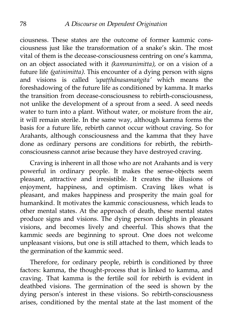ciousness. These states are the outcome of former kammic consciousness just like the transformation of a snake's skin. The most vital of them is the decease-consciousness centring on one's kamma, on an object associated with it *(kammanimitta),* or on a vision of a future life *(gatinimitta).* This encounter of a dying person with signs and visions is called *'upaṭṭhānasamaṅgita'* which means the foreshadowing of the future life as conditioned by kamma. It marks the transition from decease-consciousness to rebirth-consciousness, not unlike the development of a sprout from a seed. A seed needs water to turn into a plant. Without water, or moisture from the air, it will remain sterile. In the same way, although kamma forms the basis for a future life, rebirth cannot occur without craving. So for Arahants, although consciousness and the kamma that they have done as ordinary persons are conditions for rebirth, the rebirthconsciousness cannot arise because they have destroyed craving.

Craving is inherent in all those who are not Arahants and is very powerful in ordinary people. It makes the sense-objects seem pleasant, attractive and irresistible. It creates the illusions of enjoyment, happiness, and optimism. Craving likes what is pleasant, and makes happiness and prosperity the main goal for humankind. It motivates the kammic consciousness, which leads to other mental states. At the approach of death, these mental states produce signs and visions. The dying person delights in pleasant visions, and becomes lively and cheerful. This shows that the kammic seeds are beginning to sprout. One does not welcome unpleasant visions, but one is still attached to them, which leads to the germination of the kammic seed.

Therefore, for ordinary people, rebirth is conditioned by three factors: kamma, the thought-process that is linked to kamma, and craving. That kamma is the fertile soil for rebirth is evident in deathbed visions. The germination of the seed is shown by the dying person's interest in these visions. So rebirth-consciousness arises, conditioned by the mental state at the last moment of the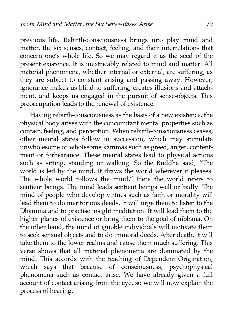previous life. Rebirth-consciousness brings into play mind and matter, the six senses, contact, feeling, and their interrelations that concern one's whole life. So we may regard it as the seed of the present existence. It is inextricably related to mind and matter. All material phenomena, whether internal or external, are suffering, as they are subject to constant arising and passing away. However, ignorance makes us blind to suffering, creates illusions and attachment, and keeps us engaged in the pursuit of sense-objects. This preoccupation leads to the renewal of existence.

Having rebirth-consciousness as the basis of a new existence, the physical body arises with the concomitant mental properties such as contact, feeling, and perception. When rebirth-consciousness ceases, other mental states follow in succession, which may stimulate unwholesome or wholesome kammas such as greed, anger, contentment or forbearance. These mental states lead to physical actions such as sitting, standing or walking. So the Buddha said, "The world is led by the mind. It draws the world wherever it pleases. The whole world follows the mind." Here the world refers to sentient beings. The mind leads sentient beings well or badly. The mind of people who develop virtues such as faith or morality will lead them to do meritorious deeds. It will urge them to listen to the Dhamma and to practise insight meditation. It will lead them to the higher planes of existence or bring them to the goal of nibbāna. On the other hand, the mind of ignoble individuals will motivate them to seek sensual objects and to do immoral deeds. After death, it will take them to the lower realms and cause them much suffering. This verse shows that all material phenomena are dominated by the mind. This accords with the teaching of Dependent Origination, which says that because of consciousness, psychophysical phenomena such as contact arise. We have already given a full account of contact arising from the eye, so we will now explain the process of hearing.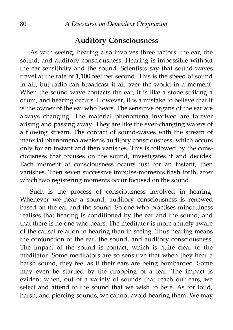## **Auditory Consciousness**

As with seeing, hearing also involves three factors: the ear, the sound, and auditory consciousness. Hearing is impossible without the ear-sensitivity and the sound. Scientists say that sound-waves travel at the rate of 1,100 feet per second. This is the speed of sound in air, but radio can broadcast it all over the world in a moment. When the sound-wave contacts the ear, it is like a stone striking a drum, and hearing occurs. However, it is a mistake to believe that it is the owner of the ear who hears. The sensitive organs of the ear are always changing. The material phenomena involved are forever arising and passing away. They are like the ever-changing waters of a flowing stream. The contact of sound-waves with the stream of material phenomena awakens auditory consciousness, which occurs only for an instant and then vanishes. This is followed by the consciousness that focuses on the sound, investigates it and decides. Each moment of consciousness occurs just for an instant, then vanishes. Then seven successive impulse-moments flash forth, after which two registering moments occur focused on the sound.

Such is the process of consciousness involved in hearing. Whenever we hear a sound, auditory consciousness is renewed based on the ear and the sound. So one who practises mindfulness realises that hearing is conditioned by the ear and the sound, and that there is no one who hears. The meditator is more acutely aware of the causal relation in hearing than in seeing. Thus hearing means the conjunction of the ear, the sound, and auditory consciousness. The impact of the sound is contact, which is quite clear to the meditator. Some meditators are so sensitive that when they hear a harsh sound, they feel as if their ears are being bombarded. Some may even be startled by the dropping of a leaf. The impact is evident when, out of a variety of sounds that reach our ears, we select and attend to the sound that we wish to here. As for loud, harsh, and piercing sounds, we cannot avoid hearing them. We may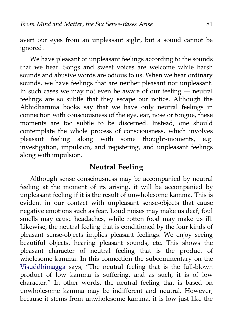avert our eyes from an unpleasant sight, but a sound cannot be ignored.

We have pleasant or unpleasant feelings according to the sounds that we hear. Songs and sweet voices are welcome while harsh sounds and abusive words are odious to us. When we hear ordinary sounds, we have feelings that are neither pleasant nor unpleasant. In such cases we may not even be aware of our feeling — neutral feelings are so subtle that they escape our notice. Although the Abhidhamma books say that we have only neutral feelings in connection with consciousness of the eye, ear, nose or tongue, these moments are too subtle to be discerned. Instead, one should contemplate the whole process of consciousness, which involves pleasant feeling along with some thought-moments, e.g. investigation, impulsion, and registering, and unpleasant feelings along with impulsion.

## **Neutral Feeling**

Although sense consciousness may be accompanied by neutral feeling at the moment of its arising, it will be accompanied by unpleasant feeling if it is the result of unwholesome kamma. This is evident in our contact with unpleasant sense-objects that cause negative emotions such as fear. Loud noises may make us deaf, foul smells may cause headaches, while rotten food may make us ill. Likewise, the neutral feeling that is conditioned by the four kinds of pleasant sense-objects implies pleasant feelings. We enjoy seeing beautiful objects, hearing pleasant sounds, etc. This shows the pleasant character of neutral feeling that is the product of wholesome kamma. In this connection the subcommentary on the [Visuddhimagga](http://www.abhidhamma.org/visuddhimagga-1.htm) says, "The neutral feeling that is the full-blown product of low kamma is suffering, and as such, it is of low character." In other words, the neutral feeling that is based on unwholesome kamma may be indifferent and neutral. However, because it stems from unwholesome kamma, it is low just like the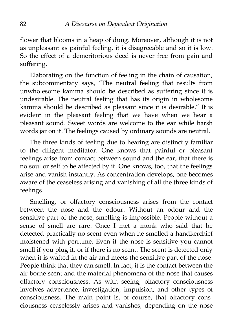flower that blooms in a heap of dung. Moreover, although it is not as unpleasant as painful feeling, it is disagreeable and so it is low. So the effect of a demeritorious deed is never free from pain and suffering.

Elaborating on the function of feeling in the chain of causation, the subcommentary says, "The neutral feeling that results from unwholesome kamma should be described as suffering since it is undesirable. The neutral feeling that has its origin in wholesome kamma should be described as pleasant since it is desirable." It is evident in the pleasant feeling that we have when we hear a pleasant sound. Sweet words are welcome to the ear while harsh words jar on it. The feelings caused by ordinary sounds are neutral.

The three kinds of feeling due to hearing are distinctly familiar to the diligent meditator. One knows that painful or pleasant feelings arise from contact between sound and the ear, that there is no soul or self to be affected by it. One knows, too, that the feelings arise and vanish instantly. As concentration develops, one becomes aware of the ceaseless arising and vanishing of all the three kinds of feelings.

Smelling, or olfactory consciousness arises from the contact between the nose and the odour. Without an odour and the sensitive part of the nose, smelling is impossible. People without a sense of smell are rare. Once I met a monk who said that he detected practically no scent even when he smelled a handkerchief moistened with perfume. Even if the nose is sensitive you cannot smell if you plug it, or if there is no scent. The scent is detected only when it is wafted in the air and meets the sensitive part of the nose. People think that they can smell. In fact, it is the contact between the air-borne scent and the material phenomena of the nose that causes olfactory consciousness. As with seeing, olfactory consciousness involves advertence, investigation, impulsion, and other types of consciousness. The main point is, of course, that olfactory consciousness ceaselessly arises and vanishes, depending on the nose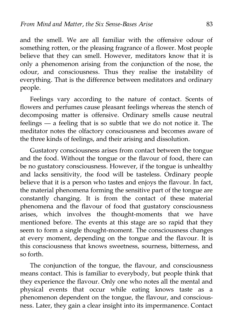and the smell. We are all familiar with the offensive odour of something rotten, or the pleasing fragrance of a flower. Most people believe that they can smell. However, meditators know that it is only a phenomenon arising from the conjunction of the nose, the odour, and consciousness. Thus they realise the instability of everything. That is the difference between meditators and ordinary people.

Feelings vary according to the nature of contact. Scents of flowers and perfumes cause pleasant feelings whereas the stench of decomposing matter is offensive. Ordinary smells cause neutral feelings — a feeling that is so subtle that we do not notice it. The meditator notes the olfactory consciousness and becomes aware of the three kinds of feelings, and their arising and dissolution.

Gustatory consciousness arises from contact between the tongue and the food. Without the tongue or the flavour of food, there can be no gustatory consciousness. However, if the tongue is unhealthy and lacks sensitivity, the food will be tasteless. Ordinary people believe that it is a person who tastes and enjoys the flavour. In fact, the material phenomena forming the sensitive part of the tongue are constantly changing. It is from the contact of these material phenomena and the flavour of food that gustatory consciousness arises, which involves the thought-moments that we have mentioned before. The events at this stage are so rapid that they seem to form a single thought-moment. The consciousness changes at every moment, depending on the tongue and the flavour. It is this consciousness that knows sweetness, sourness, bitterness, and so forth.

The conjunction of the tongue, the flavour, and consciousness means contact. This is familiar to everybody, but people think that they experience the flavour. Only one who notes all the mental and physical events that occur while eating knows taste as a phenomenon dependent on the tongue, the flavour, and consciousness. Later, they gain a clear insight into its impermanence. Contact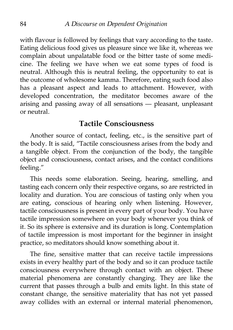with flavour is followed by feelings that vary according to the taste. Eating delicious food gives us pleasure since we like it, whereas we complain about unpalatable food or the bitter taste of some medicine. The feeling we have when we eat some types of food is neutral. Although this is neutral feeling, the opportunity to eat is the outcome of wholesome kamma. Therefore, eating such food also has a pleasant aspect and leads to attachment. However, with developed concentration, the meditator becomes aware of the arising and passing away of all sensations — pleasant, unpleasant or neutral.

#### **Tactile Consciousness**

Another source of contact, feeling, etc., is the sensitive part of the body. It is said, "Tactile consciousness arises from the body and a tangible object. From the conjunction of the body, the tangible object and consciousness, contact arises, and the contact conditions feeling."

This needs some elaboration. Seeing, hearing, smelling, and tasting each concern only their respective organs, so are restricted in locality and duration. You are conscious of tasting only when you are eating, conscious of hearing only when listening. However, tactile consciousness is present in every part of your body. You have tactile impression somewhere on your body whenever you think of it. So its sphere is extensive and its duration is long. Contemplation of tactile impression is most important for the beginner in insight practice, so meditators should know something about it.

The fine, sensitive matter that can receive tactile impressions exists in every healthy part of the body and so it can produce tactile consciousness everywhere through contact with an object. These material phenomena are constantly changing. They are like the current that passes through a bulb and emits light. In this state of constant change, the sensitive materiality that has not yet passed away collides with an external or internal material phenomenon,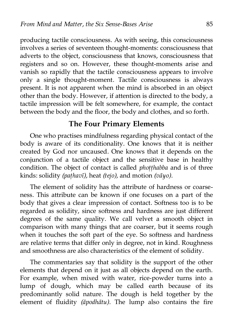producing tactile consciousness. As with seeing, this consciousness involves a series of seventeen thought-moments: consciousness that adverts to the object, consciousness that knows, consciousness that registers and so on. However, these thought-moments arise and vanish so rapidly that the tactile consciousness appears to involve only a single thought-moment. Tactile consciousness is always present. It is not apparent when the mind is absorbed in an object other than the body. However, if attention is directed to the body, a tactile impression will be felt somewhere, for example, the contact between the body and the floor, the body and clothes, and so forth.

#### **The Four Primary Elements**

One who practises mindfulness regarding physical contact of the body is aware of its conditionality. One knows that it is neither created by God nor uncaused. One knows that it depends on the conjunction of a tactile object and the sensitive base in healthy condition. The object of contact is called *phoṭṭhabba* and is of three kinds: solidity *(paṭhavī),* heat *(tejo),* and motion *(vāyo).*

The element of solidity has the attribute of hardness or coarseness. This attribute can be known if one focuses on a part of the body that gives a clear impression of contact. Softness too is to be regarded as solidity, since softness and hardness are just different degrees of the same quality. We call velvet a smooth object in comparison with many things that are coarser, but it seems rough when it touches the soft part of the eye. So softness and hardness are relative terms that differ only in degree, not in kind. Roughness and smoothness are also characteristics of the element of solidity.

The commentaries say that solidity is the support of the other elements that depend on it just as all objects depend on the earth. For example, when mixed with water, rice-powder turns into a lump of dough, which may be called earth because of its predominantly solid nature. The dough is held together by the element of fluidity *(āpodhātu).* The lump also contains the fire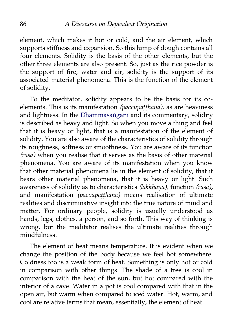element, which makes it hot or cold, and the air element, which supports stiffness and expansion. So this lump of dough contains all four elements. Solidity is the basis of the other elements, but the other three elements are also present. So, just as the rice powder is the support of fire, water and air, solidity is the support of its associated material phenomena. This is the function of the element of solidity.

To the meditator, solidity appears to be the basis for its coelements. This is its manifestation *(paccupaṭṭhāna),* as are heaviness and lightness. In the [Dhammasaṅganī](http://aimwell.org/DPPN/dhammasangani.htm) and its commentary, solidity is described as heavy and light. So when you move a thing and feel that it is heavy or light, that is a manifestation of the element of solidity. You are also aware of the characteristics of solidity through its roughness, softness or smoothness. You are aware of its function *(rasa)* when you realise that it serves as the basis of other material phenomena. You are aware of its manifestation when you know that other material phenomena lie in the element of solidity, that it bears other material phenomena, that it is heavy or light. Such awareness of solidity as to characteristics *(lakkhaṇa),* function *(rasa),* and manifestation *(paccupaṭṭhāna)* means realisation of ultimate realities and discriminative insight into the true nature of mind and matter. For ordinary people, solidity is usually understood as hands, legs, clothes, a person, and so forth. This way of thinking is wrong, but the meditator realises the ultimate realities through mindfulness.

The element of heat means temperature. It is evident when we change the position of the body because we feel hot somewhere. Coldness too is a weak form of heat. Something is only hot or cold in comparison with other things. The shade of a tree is cool in comparison with the heat of the sun, but hot compared with the interior of a cave. Water in a pot is cool compared with that in the open air, but warm when compared to iced water. Hot, warm, and cool are relative terms that mean, essentially, the element of heat.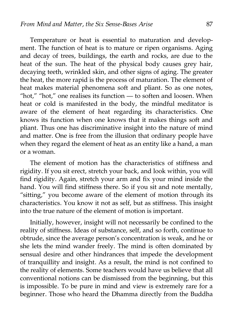Temperature or heat is essential to maturation and development. The function of heat is to mature or ripen organisms. Aging and decay of trees, buildings, the earth and rocks, are due to the heat of the sun. The heat of the physical body causes grey hair, decaying teeth, wrinkled skin, and other signs of aging. The greater the heat, the more rapid is the process of maturation. The element of heat makes material phenomena soft and pliant. So as one notes, "hot," "hot," one realises its function — to soften and loosen. When heat or cold is manifested in the body, the mindful meditator is aware of the element of heat regarding its characteristics. One knows its function when one knows that it makes things soft and pliant. Thus one has discriminative insight into the nature of mind and matter. One is free from the illusion that ordinary people have when they regard the element of heat as an entity like a hand, a man or a woman.

The element of motion has the characteristics of stiffness and rigidity. If you sit erect, stretch your back, and look within, you will find rigidity. Again, stretch your arm and fix your mind inside the hand. You will find stiffness there. So if you sit and note mentally, "sitting," you become aware of the element of motion through its characteristics. You know it not as self, but as stiffness. This insight into the true nature of the element of motion is important.

Initially, however, insight will not necessarily be confined to the reality of stiffness. Ideas of substance, self, and so forth, continue to obtrude, since the average person's concentration is weak, and he or she lets the mind wander freely. The mind is often dominated by sensual desire and other hindrances that impede the development of tranquillity and insight. As a result, the mind is not confined to the reality of elements. Some teachers would have us believe that all conventional notions can be dismissed from the beginning, but this is impossible. To be pure in mind and view is extremely rare for a beginner. Those who heard the Dhamma directly from the Buddha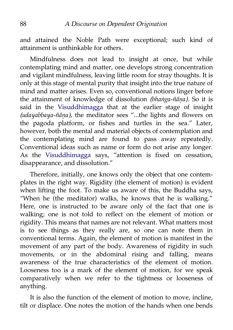and attained the Noble Path were exceptional; such kind of attainment is unthinkable for others.

Mindfulness does not lead to insight at once, but while contemplating mind and matter, one develops strong concentration and vigilant mindfulness, leaving little room for stray thoughts. It is only at this stage of mental purity that insight into the true nature of mind and matter arises. Even so, conventional notions linger before the attainment of knowledge of dissolution *(bhaṅga-ñāṇa).* So it is said in the [Visuddhimagga](http://www.abhidhamma.org/visuddhimagga-1.htm) that at the earlier stage of insight *(udayabbaya-ñāṇa),* the meditator sees "...the lights and flowers on the pagoda platform, or fishes and turtles in the sea." Later, however, both the mental and material objects of contemplation and the contemplating mind are found to pass away repeatedly. Conventional ideas such as name or form do not arise any longer. As the [Visuddhimagga](http://www.abhidhamma.org/visuddhimagga-1.htm) says, "attention is fixed on cessation, disappearance, and dissolution."

Therefore, initially, one knows only the object that one contemplates in the right way. Rigidity (the element of motion) is evident when lifting the foot. To make us aware of this, the Buddha says, "When he (the meditator) walks, he knows that he is walking." Here, one is instructed to be aware only of the fact that one is walking; one is not told to reflect on the element of motion or rigidity. This means that names are not relevant. What matters most is to see things as they really are, so one can note them in conventional terms. Again, the element of motion is manifest in the movement of any part of the body. Awareness of rigidity in such movements, or in the abdominal rising and falling, means awareness of the true characteristics of the element of motion. Looseness too is a mark of the element of motion, for we speak comparatively when we refer to the tightness or looseness of anything.

It is also the function of the element of motion to move, incline, tilt or displace. One notes the motion of the hands when one bends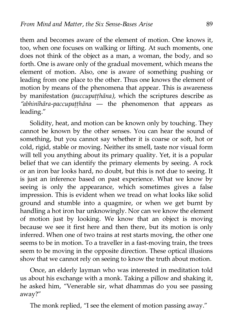them and becomes aware of the element of motion. One knows it, too, when one focuses on walking or lifting. At such moments, one does not think of the object as a man, a woman, the body, and so forth. One is aware only of the gradual movement, which means the element of motion. Also, one is aware of something pushing or leading from one place to the other. Thus one knows the element of motion by means of the phenomena that appear. This is awareness by manifestation *(paccupaṭṭhāna),* which the scriptures describe as *"abhinīhāra-paccupaṭṭhāna* — the phenomenon that appears as leading."

Solidity, heat, and motion can be known only by touching. They cannot be known by the other senses. You can hear the sound of something, but you cannot say whether it is coarse or soft, hot or cold, rigid, stable or moving. Neither its smell, taste nor visual form will tell you anything about its primary quality. Yet, it is a popular belief that we can identify the primary elements by seeing. A rock or an iron bar looks hard, no doubt, but this is not due to seeing. It is just an inference based on past experience. What we know by seeing is only the appearance, which sometimes gives a false impression. This is evident when we tread on what looks like solid ground and stumble into a quagmire, or when we get burnt by handling a hot iron bar unknowingly. Nor can we know the element of motion just by looking. We know that an object is moving because we see it first here and then there, but its motion is only inferred. When one of two trains at rest starts moving, the other one seems to be in motion. To a traveller in a fast-moving train, the trees seem to be moving in the opposite direction. These optical illusions show that we cannot rely on seeing to know the truth about motion.

Once, an elderly layman who was interested in meditation told us about his exchange with a monk. Taking a pillow and shaking it, he asked him, "Venerable sir, what dhammas do you see passing away?"

The monk replied, "I see the element of motion passing away."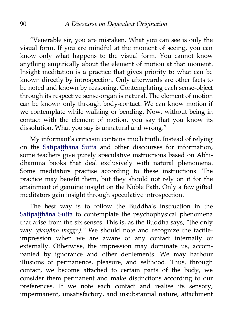"Venerable sir, you are mistaken. What you can see is only the visual form. If you are mindful at the moment of seeing, you can know only what happens to the visual form. You cannot know anything empirically about the element of motion at that moment. Insight meditation is a practice that gives priority to what can be known directly by introspection. Only afterwards are other facts to be noted and known by reasoning. Contemplating each sense-object through its respective sense-organ is natural. The element of motion can be known only through body-contact. We can know motion if we contemplate while walking or bending. Now, without being in contact with the element of motion, you say that you know its dissolution. What you say is unnatural and wrong."

My informant's criticism contains much truth. Instead of relying on the [Satipaṭṭhāna Sutta](http://www.accesstoinsight.org/tipitaka/mn/mn.010.soma.html) and other discourses for information, some teachers give purely speculative instructions based on Abhidhamma books that deal exclusively with natural phenomena. Some meditators practise according to these instructions. The practice may benefit them, but they should not rely on it for the attainment of genuine insight on the Noble Path. Only a few gifted meditators gain insight through speculative introspection.

The best way is to follow the Buddha's instruction in the Satipatthāna Sutta to contemplate the psychophysical phenomena that arise from the six senses. This is, as the Buddha says, "the only way *(ekayāno maggo)."* We should note and recognize the tactileimpression when we are aware of any contact internally or externally. Otherwise, the impression may dominate us, accompanied by ignorance and other defilements. We may harbour illusions of permanence, pleasure, and selfhood. Thus, through contact, we become attached to certain parts of the body, we consider them permanent and make distinctions according to our preferences. If we note each contact and realise its sensory, impermanent, unsatisfactory, and insubstantial nature, attachment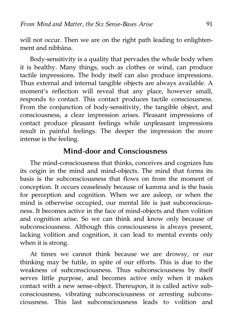will not occur. Then we are on the right path leading to enlightenment and nibbāna.

Body-sensitivity is a quality that pervades the whole body when it is healthy. Many things, such as clothes or wind, can produce tactile impressions. The body itself can also produce impressions. Thus external and internal tangible objects are always available. A moment's reflection will reveal that any place, however small, responds to contact. This contact produces tactile consciousness. From the conjunction of body-sensitivity, the tangible object, and consciousness, a clear impression arises. Pleasant impressions of contact produce pleasant feelings while unpleasant impressions result in painful feelings. The deeper the impression the more intense is the feeling.

#### **Mind-door and Consciousness**

The mind-consciousness that thinks, conceives and cognizes has its origin in the mind and mind-objects. The mind that forms its basis is the subconsciousness that flows on from the moment of conception. It occurs ceaselessly because of kamma and is the basis for perception and cognition. When we are asleep, or when the mind is otherwise occupied, our mental life is just subconsciousness. It becomes active in the face of mind-objects and then volition and cognition arise. So we can think and know only because of subconsciousness. Although this consciousness is always present, lacking volition and cognition, it can lead to mental events only when it is strong.

At times we cannot think because we are drowsy, or our thinking may be futile, in spite of our efforts. This is due to the weakness of subconsciousness. Thus subconsciousness by itself serves little purpose, and becomes active only when it makes contact with a new sense-object. Thereupon, it is called active subconsciousness, vibrating subconsciousness or arresting subconsciousness. This last subconsciousness leads to volition and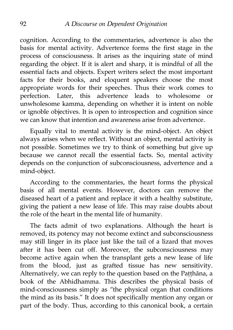cognition. According to the commentaries, advertence is also the basis for mental activity. Advertence forms the first stage in the process of consciousness. It arises as the inquiring state of mind regarding the object. If it is alert and sharp, it is mindful of all the essential facts and objects. Expert writers select the most important facts for their books, and eloquent speakers choose the most appropriate words for their speeches. Thus their work comes to perfection. Later, this advertence leads to wholesome or unwholesome kamma, depending on whether it is intent on noble or ignoble objectives. It is open to introspection and cognition since we can know that intention and awareness arise from advertence.

Equally vital to mental activity is the mind-object. An object always arises when we reflect. Without an object, mental activity is not possible. Sometimes we try to think of something but give up because we cannot recall the essential facts. So, mental activity depends on the conjunction of subconsciousness, advertence and a mind-object.

According to the commentaries, the heart forms the physical basis of all mental events. However, doctors can remove the diseased heart of a patient and replace it with a healthy substitute, giving the patient a new lease of life. This may raise doubts about the role of the heart in the mental life of humanity.

The facts admit of two explanations. Although the heart is removed, its potency may not become extinct and subconsciousness may still linger in its place just like the tail of a lizard that moves after it has been cut off. Moreover, the subconsciousness may become active again when the transplant gets a new lease of life from the blood, just as grafted tissue has new sensitivity. Alternatively, we can reply to the question based on the Paṭṭhāna, a book of the Abhidhamma. This describes the physical basis of mind-consciousness simply as "the physical organ that conditions the mind as its basis." It does not specifically mention any organ or part of the body. Thus, according to this canonical book, a certain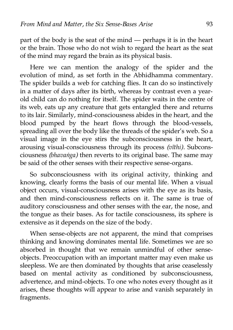part of the body is the seat of the mind — perhaps it is in the heart or the brain. Those who do not wish to regard the heart as the seat of the mind may regard the brain as its physical basis.

Here we can mention the analogy of the spider and the evolution of mind, as set forth in the Abhidhamma commentary. The spider builds a web for catching flies. It can do so instinctively in a matter of days after its birth, whereas by contrast even a yearold child can do nothing for itself. The spider waits in the centre of its web, eats up any creature that gets entangled there and returns to its lair. Similarly, mind-consciousness abides in the heart, and the blood pumped by the heart flows through the blood-vessels, spreading all over the body like the threads of the spider's web. So a visual image in the eye stirs the subconsciousness in the heart, arousing visual-consciousness through its process *(vīthi).* Subconsciousness *(bhavaṅga)* then reverts to its original base. The same may be said of the other senses with their respective sense-organs.

So subconsciousness with its original activity, thinking and knowing, clearly forms the basis of our mental life. When a visual object occurs, visual-consciousness arises with the eye as its basis, and then mind-consciousness reflects on it. The same is true of auditory consciousness and other senses with the ear, the nose, and the tongue as their bases. As for tactile consciousness, its sphere is extensive as it depends on the size of the body.

When sense-objects are not apparent, the mind that comprises thinking and knowing dominates mental life. Sometimes we are so absorbed in thought that we remain unmindful of other senseobjects. Preoccupation with an important matter may even make us sleepless. We are then dominated by thoughts that arise ceaselessly based on mental activity as conditioned by subconsciousness, advertence, and mind-objects. To one who notes every thought as it arises, these thoughts will appear to arise and vanish separately in fragments.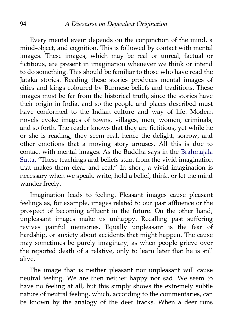Every mental event depends on the conjunction of the mind, a mind-object, and cognition. This is followed by contact with mental images. These images, which may be real or unreal, factual or fictitious, are present in imagination whenever we think or intend to do something. This should be familiar to those who have read the Jātaka stories. Reading these stories produces mental images of cities and kings coloured by Burmese beliefs and traditions. These images must be far from the historical truth, since the stories have their origin in India, and so the people and places described must have conformed to the Indian culture and way of life. Modern novels evoke images of towns, villages, men, women, criminals, and so forth. The reader knows that they are fictitious, yet while he or she is reading, they seem real, hence the delight, sorrow, and other emotions that a moving story arouses. All this is due to contact with mental images. As the Buddha says in the [Brahmajāla](http://aimwell.org/DPPN/brahmajala_s.htm) [Sutta,](http://aimwell.org/DPPN/brahmajala_s.htm) "These teachings and beliefs stem from the vivid imagination that makes them clear and real." In short, a vivid imagination is necessary when we speak, write, hold a belief, think, or let the mind wander freely.

Imagination leads to feeling. Pleasant images cause pleasant feelings as, for example, images related to our past affluence or the prospect of becoming affluent in the future. On the other hand, unpleasant images make us unhappy. Recalling past suffering revives painful memories. Equally unpleasant is the fear of hardship, or anxiety about accidents that might happen. The cause may sometimes be purely imaginary, as when people grieve over the reported death of a relative, only to learn later that he is still alive.

The image that is neither pleasant nor unpleasant will cause neutral feeling. We are then neither happy nor sad. We seem to have no feeling at all, but this simply shows the extremely subtle nature of neutral feeling, which, according to the commentaries, can be known by the analogy of the deer tracks. When a deer runs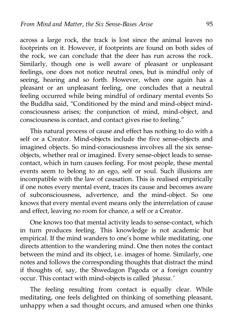across a large rock, the track is lost since the animal leaves no footprints on it. However, if footprints are found on both sides of the rock, we can conclude that the deer has run across the rock. Similarly, though one is well aware of pleasant or unpleasant feelings, one does not notice neutral ones, but is mindful only of seeing, hearing and so forth. However, when one again has a pleasant or an unpleasant feeling, one concludes that a neutral feeling occurred while being mindful of ordinary mental events So the Buddha said, "Conditioned by the mind and mind-object mindconsciousness arises; the conjunction of mind, mind-object, and consciousness is contact, and contact gives rise to feeling."

This natural process of cause and effect has nothing to do with a self or a Creator. Mind-objects include the five sense-objects and imagined objects. So mind-consciousness involves all the six senseobjects, whether real or imagined. Every sense-object leads to sensecontact, which in turn causes feeling. For most people, these mental events seem to belong to an ego, self or soul. Such illusions are incompatible with the law of causation. This is realised empirically if one notes every mental event, traces its cause and becomes aware of subconsciousness, advertence, and the mind-object. So one knows that every mental event means only the interrelation of cause and effect, leaving no room for chance, a self or a Creator.

One knows too that mental activity leads to sense-contact, which in turn produces feeling. This knowledge is not academic but empirical. If the mind wanders to one's home while meditating, one directs attention to the wandering mind. One then notes the contact between the mind and its object, i.e. images of home. Similarly, one notes and follows the corresponding thoughts that distract the mind if thoughts of, say, the Shwedagon Pagoda or a foreign country occur. This contact with mind-objects is called *'phassa.'*

The feeling resulting from contact is equally clear. While meditating, one feels delighted on thinking of something pleasant, unhappy when a sad thought occurs, and amused when one thinks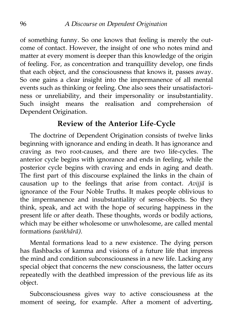of something funny. So one knows that feeling is merely the outcome of contact. However, the insight of one who notes mind and matter at every moment is deeper than this knowledge of the origin of feeling. For, as concentration and tranquillity develop, one finds that each object, and the consciousness that knows it, passes away. So one gains a clear insight into the impermanence of all mental events such as thinking or feeling. One also sees their unsatisfactoriness or unreliability, and their impersonality or insubstantiality. Such insight means the realisation and comprehension of Dependent Origination.

## **Review of the Anterior Life-Cycle**

The doctrine of Dependent Origination consists of twelve links beginning with ignorance and ending in death. It has ignorance and craving as two root-causes, and there are two life-cycles. The anterior cycle begins with ignorance and ends in feeling, while the posterior cycle begins with craving and ends in aging and death. The first part of this discourse explained the links in the chain of causation up to the feelings that arise from contact. *Avijjā* is ignorance of the Four Noble Truths. It makes people oblivious to the impermanence and insubstantiality of sense-objects. So they think, speak, and act with the hope of securing happiness in the present life or after death. These thoughts, words or bodily actions, which may be either wholesome or unwholesome, are called mental formations *(saṅkhārā).*

Mental formations lead to a new existence. The dying person has flashbacks of kamma and visions of a future life that impress the mind and condition subconsciousness in a new life. Lacking any special object that concerns the new consciousness, the latter occurs repeatedly with the deathbed impression of the previous life as its object.

Subconsciousness gives way to active consciousness at the moment of seeing, for example. After a moment of adverting,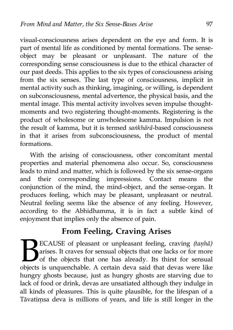visual-consciousness arises dependent on the eye and form. It is part of mental life as conditioned by mental formations. The senseobject may be pleasant or unpleasant. The nature of the corresponding sense consciousness is due to the ethical character of our past deeds. This applies to the six types of consciousness arising from the six senses. The last type of consciousness, implicit in mental activity such as thinking, imagining, or willing, is dependent on subconsciousness, mental advertence, the physical basis, and the mental image. This mental activity involves seven impulse thoughtmoments and two registering thought-moments. Registering is the product of wholesome or unwholesome kamma. Impulsion is not the result of kamma, but it is termed *saṅkhārā*-based consciousness in that it arises from subconsciousness, the product of mental formations.

With the arising of consciousness, other concomitant mental properties and material phenomena also occur. So, consciousness leads to mind and matter, which is followed by the six sense-organs and their corresponding impressions. Contact means the conjunction of the mind, the mind-object, and the sense-organ. It produces feeling, which may be pleasant, unpleasant or neutral. Neutral feeling seems like the absence of any feeling. However, according to the Abhidhamma, it is in fact a subtle kind of enjoyment that implies only the absence of pain.

# **From Feeling, Craving Arises**

ECAUSE of pleasant or unpleasant feeling, craving *(taṇhā)* arises. It craves for sensual objects that one lacks or for more of the objects that one has already. Its thirst for sensual ECAUSE of pleasant or unpleasant feeling, craving (tanha) arises. It craves for sensual objects that one lacks or for more of the objects that one has already. Its thirst for sensual objects is unquenchable. A certain deva hungry ghosts because, just as hungry ghosts are starving due to lack of food or drink, devas are unsatiated although they indulge in all kinds of pleasures. This is quite plausible, for the lifespan of a Tāvatiṃsa deva is millions of years, and life is still longer in the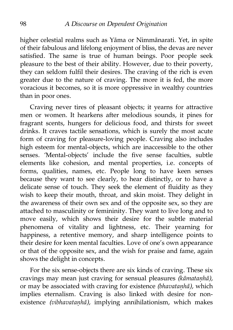higher celestial realms such as Yāma or Nimmānarati. Yet, in spite of their fabulous and lifelong enjoyment of bliss, the devas are never satisfied. The same is true of human beings. Poor people seek pleasure to the best of their ability. However, due to their poverty, they can seldom fulfil their desires. The craving of the rich is even greater due to the nature of craving. The more it is fed, the more voracious it becomes, so it is more oppressive in wealthy countries than in poor ones.

Craving never tires of pleasant objects; it yearns for attractive men or women. It hearkens after melodious sounds, it pines for fragrant scents, hungers for delicious food, and thirsts for sweet drinks. It craves tactile sensations, which is surely the most acute form of craving for pleasure-loving people. Craving also includes high esteem for mental-objects, which are inaccessible to the other senses. 'Mental-objects' include the five sense faculties, subtle elements like cohesion, and mental properties, i.e. concepts of forms, qualities, names, etc. People long to have keen senses because they want to see clearly, to hear distinctly, or to have a delicate sense of touch. They seek the element of fluidity as they wish to keep their mouth, throat, and skin moist. They delight in the awareness of their own sex and of the opposite sex, so they are attached to masculinity or femininity. They want to live long and to move easily, which shows their desire for the subtle material phenomena of vitality and lightness, etc. Their yearning for happiness, a retentive memory, and sharp intelligence points to their desire for keen mental faculties. Love of one's own appearance or that of the opposite sex, and the wish for praise and fame, again shows the delight in concepts.

For the six sense-objects there are six kinds of craving. These six cravings may mean just craving for sensual pleasures *(kāmataṇhā),* or may be associated with craving for existence *(bhavataṇhā),* which implies eternalism. Craving is also linked with desire for nonexistence *(vibhavataṇhā),* implying annihilationism, which makes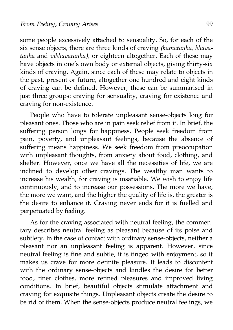some people excessively attached to sensuality. So, for each of the six sense objects, there are three kinds of craving *(kāmataṇhā, bhavataṇhā* and *vibhavataṇhā),* or eighteen altogether. Each of these may have objects in one's own body or external objects, giving thirty-six kinds of craving. Again, since each of these may relate to objects in the past, present or future, altogether one hundred and eight kinds of craving can be defined. However, these can be summarised in just three groups: craving for sensuality, craving for existence and craving for non-existence.

People who have to tolerate unpleasant sense-objects long for pleasant ones. Those who are in pain seek relief from it. In brief, the suffering person longs for happiness. People seek freedom from pain, poverty, and unpleasant feelings, because the absence of suffering means happiness. We seek freedom from preoccupation with unpleasant thoughts, from anxiety about food, clothing, and shelter. However, once we have all the necessities of life, we are inclined to develop other cravings. The wealthy man wants to increase his wealth, for craving is insatiable. We wish to enjoy life continuously, and to increase our possessions. The more we have, the more we want, and the higher the quality of life is, the greater is the desire to enhance it. Craving never ends for it is fuelled and perpetuated by feeling.

As for the craving associated with neutral feeling, the commentary describes neutral feeling as pleasant because of its poise and subtlety. In the case of contact with ordinary sense-objects, neither a pleasant nor an unpleasant feeling is apparent. However, since neutral feeling is fine and subtle, it is tinged with enjoyment, so it makes us crave for more definite pleasure. It leads to discontent with the ordinary sense-objects and kindles the desire for better food, finer clothes, more refined pleasures and improved living conditions. In brief, beautiful objects stimulate attachment and craving for exquisite things. Unpleasant objects create the desire to be rid of them. When the sense-objects produce neutral feelings, we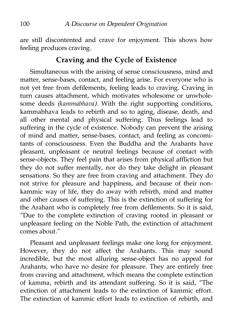are still discontented and crave for enjoyment. This shows how feeling produces craving.

## **Craving and the Cycle of Existence**

Simultaneous with the arising of sense consciousness, mind and matter, sense-bases, contact, and feeling arise. For everyone who is not yet free from defilements, feeling leads to craving. Craving in turn causes attachment, which motivates wholesome or unwholesome deeds *(kammabhava).* With the right supporting conditions, kammabhava leads to rebirth and so to aging, disease, death, and all other mental and physical suffering. Thus feelings lead to suffering in the cycle of existence. Nobody can prevent the arising of mind and matter, sense-bases, contact, and feeling as concomitants of consciousness. Even the Buddha and the Arahants have pleasant, unpleasant or neutral feelings because of contact with sense-objects. They feel pain that arises from physical affliction but they do not suffer mentally, nor do they take delight in pleasant sensations. So they are free from craving and attachment. They do not strive for pleasure and happiness, and because of their nonkammic way of life, they do away with rebirth, mind and matter and other causes of suffering. This is the extinction of suffering for the Arahant who is completely free from defilements. So it is said, "Due to the complete extinction of craving rooted in pleasant or unpleasant feeling on the Noble Path, the extinction of attachment comes about."

Pleasant and unpleasant feelings make one long for enjoyment. However, they do not affect the Arahants. This may sound incredible, but the most alluring sense-object has no appeal for Arahants, who have no desire for pleasure. They are entirely free from craving and attachment, which means the complete extinction of kamma, rebirth and its attendant suffering. So it is said, "The extinction of attachment leads to the extinction of kammic effort. The extinction of kammic effort leads to extinction of rebirth, and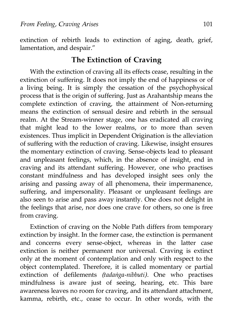extinction of rebirth leads to extinction of aging, death, grief, lamentation, and despair."

### **The Extinction of Craving**

With the extinction of craving all its effects cease, resulting in the extinction of suffering. It does not imply the end of happiness or of a living being. It is simply the cessation of the psychophysical process that is the origin of suffering. Just as Arahantship means the complete extinction of craving, the attainment of Non-returning means the extinction of sensual desire and rebirth in the sensual realm. At the Stream-winner stage, one has eradicated all craving that might lead to the lower realms, or to more than seven existences. Thus implicit in Dependent Origination is the alleviation of suffering with the reduction of craving. Likewise, insight ensures the momentary extinction of craving. Sense-objects lead to pleasant and unpleasant feelings, which, in the absence of insight, end in craving and its attendant suffering. However, one who practises constant mindfulness and has developed insight sees only the arising and passing away of all phenomena, their impermanence, suffering, and impersonality. Pleasant or unpleasant feelings are also seen to arise and pass away instantly. One does not delight in the feelings that arise, nor does one crave for others, so one is free from craving.

Extinction of craving on the Noble Path differs from temporary extinction by insight. In the former case, the extinction is permanent and concerns every sense-object, whereas in the latter case extinction is neither permanent nor universal. Craving is extinct only at the moment of contemplation and only with respect to the object contemplated. Therefore, it is called momentary or partial extinction of defilements *(tadaṅga-nibbuti).* One who practises mindfulness is aware just of seeing, hearing, etc. This bare awareness leaves no room for craving, and its attendant attachment, kamma, rebirth, etc., cease to occur. In other words, with the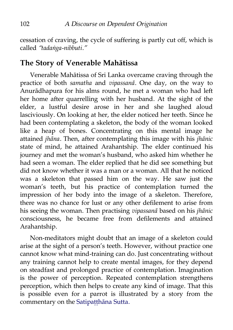cessation of craving, the cycle of suffering is partly cut off, which is called *"tadaṅga-nibbuti."*

### **The Story of Venerable Mahātissa**

Venerable Mahātissa of Sri Lanka overcame craving through the practice of both *samatha* and *vipassanā.* One day, on the way to Anurādhapura for his alms round, he met a woman who had left her home after quarrelling with her husband. At the sight of the elder, a lustful desire arose in her and she laughed aloud lasciviously. On looking at her, the elder noticed her teeth. Since he had been contemplating a skeleton, the body of the woman looked like a heap of bones. Concentrating on this mental image he attained *jhāna*. Then, after contemplating this image with his *jhānic* state of mind, he attained Arahantship. The elder continued his journey and met the woman's husband, who asked him whether he had seen a woman. The elder replied that he did see something but did not know whether it was a man or a woman. All that he noticed was a skeleton that passed him on the way. He saw just the woman's teeth, but his practice of contemplation turned the impression of her body into the image of a skeleton. Therefore, there was no chance for lust or any other defilement to arise from his seeing the woman. Then practising *vipassanā* based on his *jhānic* consciousness, he became free from defilements and attained Arahantship.

Non-meditators might doubt that an image of a skeleton could arise at the sight of a person's teeth. However, without practice one cannot know what mind-training can do. Just concentrating without any training cannot help to create mental images, for they depend on steadfast and prolonged practice of contemplation. Imagination is the power of perception. Repeated contemplation strengthens perception, which then helps to create any kind of image. That this is possible even for a parrot is illustrated by a story from the commentary on the Satipatthāna Sutta.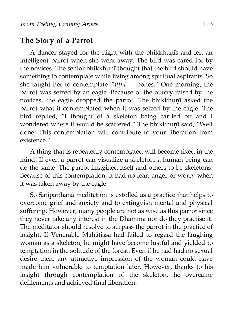#### **The Story of a Parrot**

A dancer stayed for the night with the bhikkhunis and left an intelligent parrot when she went away. The bird was cared for by the novices. The senior bhikkhunī thought that the bird should have something to contemplate while living among spiritual aspirants. So she taught her to contemplate *"aṭṭhi* — bones." One morning, the parrot was seized by an eagle. Because of the outcry raised by the novices, the eagle dropped the parrot. The bhikkhuṇī asked the parrot what it contemplated when it was seized by the eagle. The bird replied, "I thought of a skeleton being carried off and I wondered where it would be scattered." The bhikkhunī said, "Well done! This contemplation will contribute to your liberation from existence."

A thing that is repeatedly contemplated will become fixed in the mind. If even a parrot can visualize a skeleton, a human being can do the same. The parrot imagined itself and others to be skeletons. Because of this contemplation, it had no fear, anger or worry when it was taken away by the eagle.

So Satipaṭṭhāna meditation is extolled as a practice that helps to overcome grief and anxiety and to extinguish mental and physical suffering. However, many people are not as wise as this parrot since they never take any interest in the Dhamma nor do they practise it. The meditator should resolve to surpass the parrot in the practice of insight. If Venerable Mahātissa had failed to regard the laughing woman as a skeleton, he might have become lustful and yielded to temptation in the solitude of the forest. Even if he had had no sexual desire then, any attractive impression of the woman could have made him vulnerable to temptation later. However, thanks to his insight through contemplation of the skeleton, he overcame defilements and achieved final liberation.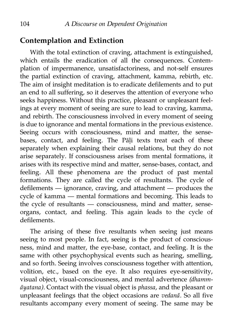### **Contemplation and Extinction**

With the total extinction of craving, attachment is extinguished, which entails the eradication of all the consequences. Contemplation of impermanence, unsatisfactoriness, and not-self ensures the partial extinction of craving, attachment, kamma, rebirth, etc. The aim of insight meditation is to eradicate defilements and to put an end to all suffering, so it deserves the attention of everyone who seeks happiness. Without this practice, pleasant or unpleasant feelings at every moment of seeing are sure to lead to craving, kamma, and rebirth. The consciousness involved in every moment of seeing is due to ignorance and mental formations in the previous existence. Seeing occurs with consciousness, mind and matter, the sensebases, contact, and feeling. The Pāli texts treat each of these separately when explaining their causal relations, but they do not arise separately. If consciousness arises from mental formations, it arises with its respective mind and matter, sense-bases, contact, and feeling. All these phenomena are the product of past mental formations. They are called the cycle of resultants. The cycle of defilements — ignorance, craving, and attachment — produces the cycle of kamma — mental formations and becoming. This leads to the cycle of resultants — consciousness, mind and matter, senseorgans, contact, and feeling. This again leads to the cycle of defilements.

The arising of these five resultants when seeing just means seeing to most people. In fact, seeing is the product of consciousness, mind and matter, the eye-base, contact, and feeling. It is the same with other psychophysical events such as hearing, smelling, and so forth. Seeing involves consciousness together with attention, volition, etc., based on the eye. It also requires eye-sensitivity, visual object, visual-consciousness, and mental advertence *(dhammāyatana).* Contact with the visual object is *phassa,* and the pleasant or unpleasant feelings that the object occasions are *vedanā.* So all five resultants accompany every moment of seeing. The same may be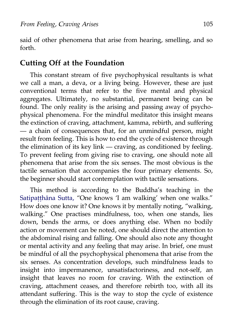said of other phenomena that arise from hearing, smelling, and so forth.

#### **Cutting Off at the Foundation**

This constant stream of five psychophysical resultants is what we call a man, a deva, or a living being. However, these are just conventional terms that refer to the five mental and physical aggregates. Ultimately, no substantial, permanent being can be found. The only reality is the arising and passing away of psychophysical phenomena. For the mindful meditator this insight means the extinction of craving, attachment, kamma, rebirth, and suffering — a chain of consequences that, for an unmindful person, might result from feeling. This is how to end the cycle of existence through the elimination of its key link — craving, as conditioned by feeling. To prevent feeling from giving rise to craving, one should note all phenomena that arise from the six senses. The most obvious is the tactile sensation that accompanies the four primary elements. So, the beginner should start contemplation with tactile sensations.

This method is according to the Buddha's teaching in the [Satipaṭṭhāna Sutta,](http://www.accesstoinsight.org/tipitaka/mn/mn.010.soma.html) "One knows 'I am walking' when one walks." How does one know it? One knows it by mentally noting, "walking, walking." One practises mindfulness, too, when one stands, lies down, bends the arms, or does anything else. When no bodily action or movement can be noted, one should direct the attention to the abdominal rising and falling. One should also note any thought or mental activity and any feeling that may arise. In brief, one must be mindful of all the psychophysical phenomena that arise from the six senses. As concentration develops, such mindfulness leads to insight into impermanence, unsatisfactoriness, and not-self, an insight that leaves no room for craving. With the extinction of craving, attachment ceases, and therefore rebirth too, with all its attendant suffering. This is the way to stop the cycle of existence through the elimination of its root cause, craving.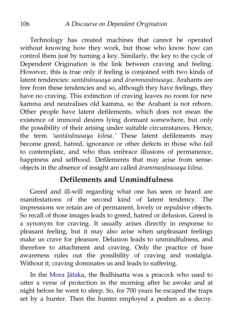Technology has created machines that cannot be operated without knowing how they work, but those who know how can control them just by turning a key. Similarly, the key to the cycle of Dependent Origination is the link between craving and feeling. However, this is true only if feeling is conjoined with two kinds of latent tendencies: *santānānusaya* and *ārammaṇānusaya.* Arahants are free from these tendencies and so, although they have feelings, they have no craving. This extinction of craving leaves no room for new kamma and neutralises old kamma, so the Arahant is not reborn. Other people have latent defilements, which does not mean the existence of immoral desires lying dormant somewhere, but only the possibility of their arising under suitable circumstances. Hence, the term *'santānānusaya kilesa.'* These latent defilements may become greed, hatred, ignorance or other defects in those who fail to contemplate, and who thus embrace illusions of permanence, happiness and selfhood. Defilements that may arise from senseobjects in the absence of insight are called *ārammaṇānusaya kilesa.*

#### **Defilements and Unmindfulness**

Greed and ill-will regarding what one has seen or heard are manifestations of the second kind of latent tendency. The impressions we retain are of permanent, lovely or repulsive objects. So recall of those images leads to greed, hatred or delusion. Greed is a synonym for craving. It usually arises directly in response to pleasant feeling, but it may also arise when unpleasant feelings make us crave for pleasure. Delusion leads to unmindfulness, and therefore to attachment and craving. Only the practice of bare awareness rules out the possibility of craving and nostalgia. Without it, craving dominates us and leads to suffering.

In the [Mora Jātaka,](http://aimwell.org/DPPN/mora_jat_159.htm) the Bodhisatta was a peacock who used to utter a verse of protection in the morning after he awoke and at night before he went to sleep. So, for 700 years he escaped the traps set by a hunter. Then the hunter employed a peahen as a decoy.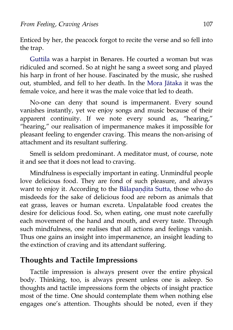Enticed by her, the peacock forgot to recite the verse and so fell into the trap.

[Guttila](http://aimwell.org/DPPN/guttila.htm) was a harpist in Benares. He courted a woman but was ridiculed and scorned. So at night he sang a sweet song and played his harp in front of her house. Fascinated by the music, she rushed out, stumbled, and fell to her death. In the [Mora Jātaka](http://aimwell.org/DPPN/mora_jat_159.htm) it was the female voice, and here it was the male voice that led to death.

No-one can deny that sound is impermanent. Every sound vanishes instantly, yet we enjoy songs and music because of their apparent continuity. If we note every sound as, "hearing," "hearing," our realisation of impermanence makes it impossible for pleasant feeling to engender craving. This means the non-arising of attachment and its resultant suffering.

Smell is seldom predominant. A meditator must, of course, note it and see that it does not lead to craving.

Mindfulness is especially important in eating. Unmindful people love delicious food. They are fond of such pleasure, and always want to enjoy it. According to the Bālapandita Sutta, those who do misdeeds for the sake of delicious food are reborn as animals that eat grass, leaves or human excreta. Unpalatable food creates the desire for delicious food. So, when eating, one must note carefully each movement of the hand and mouth, and every taste. Through such mindfulness, one realises that all actions and feelings vanish. Thus one gains an insight into impermanence, an insight leading to the extinction of craving and its attendant suffering.

### **Thoughts and Tactile Impressions**

Tactile impression is always present over the entire physical body. Thinking, too, is always present unless one is asleep. So thoughts and tactile impressions form the objects of insight practice most of the time. One should contemplate them when nothing else engages one's attention. Thoughts should be noted, even if they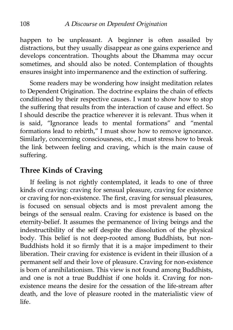happen to be unpleasant. A beginner is often assailed by distractions, but they usually disappear as one gains experience and develops concentration. Thoughts about the Dhamma may occur sometimes, and should also be noted. Contemplation of thoughts ensures insight into impermanence and the extinction of suffering.

Some readers may be wondering how insight meditation relates to Dependent Origination. The doctrine explains the chain of effects conditioned by their respective causes. I want to show how to stop the suffering that results from the interaction of cause and effect. So I should describe the practice wherever it is relevant. Thus when it is said, "Ignorance leads to mental formations" and "mental formations lead to rebirth," I must show how to remove ignorance. Similarly, concerning consciousness, etc., I must stress how to break the link between feeling and craving, which is the main cause of suffering.

### **Three Kinds of Craving**

If feeling is not rightly contemplated, it leads to one of three kinds of craving: craving for sensual pleasure, craving for existence or craving for non-existence. The first, craving for sensual pleasures, is focused on sensual objects and is most prevalent among the beings of the sensual realm. Craving for existence is based on the eternity-belief. It assumes the permanence of living beings and the indestructibility of the self despite the dissolution of the physical body. This belief is not deep-rooted among Buddhists, but non-Buddhists hold it so firmly that it is a major impediment to their liberation. Their craving for existence is evident in their illusion of a permanent self and their love of pleasure. Craving for non-existence is born of annihilationism. This view is not found among Buddhists, and one is not a true Buddhist if one holds it. Craving for nonexistence means the desire for the cessation of the life-stream after death, and the love of pleasure rooted in the materialistic view of life.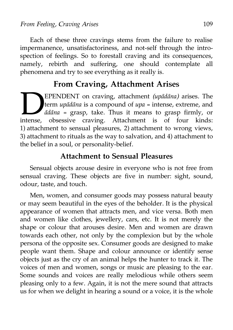Each of these three cravings stems from the failure to realise impermanence, unsatisfactoriness, and not-self through the introspection of feelings. So to forestall craving and its consequences, namely, rebirth and suffering, one should contemplate all phenomena and try to see everything as it really is.

### **From Craving, Attachment Arises**

EPENDENT on craving, attachment *(upādāna)* arises. The term *upādāna* is a compound of *upa* = intense, extreme, and *ādāna* = grasp, take. Thus it means to grasp firmly, or obsessive craving. Attachment is of four kinds: 1) attachment to sensual pleasures, 2) attachment to wrong views, 3) attachment to rituals as the way to salvation, and 4) attachment to the belief in a soul, or personality-belief. intense,

### **Attachment to Sensual Pleasures**

Sensual objects arouse desire in everyone who is not free from sensual craving. These objects are five in number: sight, sound, odour, taste, and touch.

Men, women, and consumer goods may possess natural beauty or may seem beautiful in the eyes of the beholder. It is the physical appearance of women that attracts men, and vice versa. Both men and women like clothes, jewellery, cars, etc. It is not merely the shape or colour that arouses desire. Men and women are drawn towards each other, not only by the complexion but by the whole persona of the opposite sex. Consumer goods are designed to make people want them. Shape and colour announce or identify sense objects just as the cry of an animal helps the hunter to track it. The voices of men and women, songs or music are pleasing to the ear. Some sounds and voices are really melodious while others seem pleasing only to a few. Again, it is not the mere sound that attracts us for when we delight in hearing a sound or a voice, it is the whole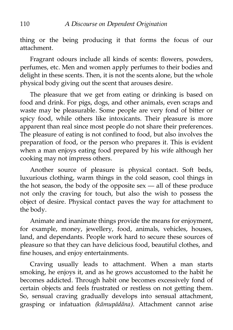thing or the being producing it that forms the focus of our attachment.

Fragrant odours include all kinds of scents: flowers, powders, perfumes, etc. Men and women apply perfumes to their bodies and delight in these scents. Then, it is not the scents alone, but the whole physical body giving out the scent that arouses desire.

The pleasure that we get from eating or drinking is based on food and drink. For pigs, dogs, and other animals, even scraps and waste may be pleasurable. Some people are very fond of bitter or spicy food, while others like intoxicants. Their pleasure is more apparent than real since most people do not share their preferences. The pleasure of eating is not confined to food, but also involves the preparation of food, or the person who prepares it. This is evident when a man enjoys eating food prepared by his wife although her cooking may not impress others.

Another source of pleasure is physical contact. Soft beds, luxurious clothing, warm things in the cold season, cool things in the hot season, the body of the opposite sex — all of these produce not only the craving for touch, but also the wish to possess the object of desire. Physical contact paves the way for attachment to the body.

Animate and inanimate things provide the means for enjoyment, for example, money, jewellery, food, animals, vehicles, houses, land, and dependants. People work hard to secure these sources of pleasure so that they can have delicious food, beautiful clothes, and fine houses, and enjoy entertainments.

Craving usually leads to attachment. When a man starts smoking, he enjoys it, and as he grows accustomed to the habit he becomes addicted. Through habit one becomes excessively fond of certain objects and feels frustrated or restless on not getting them. So, sensual craving gradually develops into sensual attachment, grasping or infatuation *(kāmupādāna).* Attachment cannot arise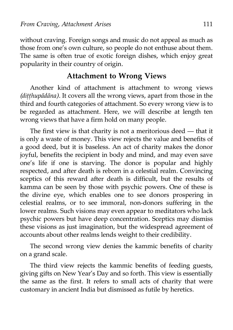without craving. Foreign songs and music do not appeal as much as those from one's own culture, so people do not enthuse about them. The same is often true of exotic foreign dishes, which enjoy great popularity in their country of origin.

#### **Attachment to Wrong Views**

Another kind of attachment is attachment to wrong views *(diṭṭhupādāna).* It covers all the wrong views, apart from those in the third and fourth categories of attachment. So every wrong view is to be regarded as attachment. Here, we will describe at length ten wrong views that have a firm hold on many people.

The first view is that charity is not a meritorious deed — that it is only a waste of money. This view rejects the value and benefits of a good deed, but it is baseless. An act of charity makes the donor joyful, benefits the recipient in body and mind, and may even save one's life if one is starving. The donor is popular and highly respected, and after death is reborn in a celestial realm. Convincing sceptics of this reward after death is difficult, but the results of kamma can be seen by those with psychic powers. One of these is the divine eye, which enables one to see donors prospering in celestial realms, or to see immoral, non-donors suffering in the lower realms. Such visions may even appear to meditators who lack psychic powers but have deep concentration. Sceptics may dismiss these visions as just imagination, but the widespread agreement of accounts about other realms lends weight to their credibility.

The second wrong view denies the kammic benefits of charity on a grand scale.

The third view rejects the kammic benefits of feeding guests, giving gifts on New Year's Day and so forth. This view is essentially the same as the first. It refers to small acts of charity that were customary in ancient India but dismissed as futile by heretics.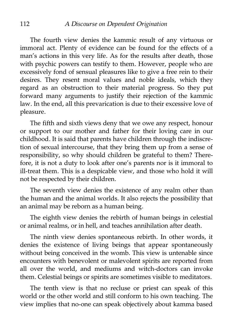The fourth view denies the kammic result of any virtuous or immoral act. Plenty of evidence can be found for the effects of a man's actions in this very life. As for the results after death, those with psychic powers can testify to them. However, people who are excessively fond of sensual pleasures like to give a free rein to their desires. They resent moral values and noble ideals, which they regard as an obstruction to their material progress. So they put forward many arguments to justify their rejection of the kammic law. In the end, all this prevarication is due to their excessive love of pleasure.

The fifth and sixth views deny that we owe any respect, honour or support to our mother and father for their loving care in our childhood. It is said that parents have children through the indiscretion of sexual intercourse, that they bring them up from a sense of responsibility, so why should children be grateful to them? Therefore, it is not a duty to look after one's parents nor is it immoral to ill-treat them. This is a despicable view, and those who hold it will not be respected by their children.

The seventh view denies the existence of any realm other than the human and the animal worlds. It also rejects the possibility that an animal may be reborn as a human being.

The eighth view denies the rebirth of human beings in celestial or animal realms, or in hell, and teaches annihilation after death.

The ninth view denies spontaneous rebirth. In other words, it denies the existence of living beings that appear spontaneously without being conceived in the womb. This view is untenable since encounters with benevolent or malevolent spirits are reported from all over the world, and mediums and witch-doctors can invoke them. Celestial beings or spirits are sometimes visible to meditators.

The tenth view is that no recluse or priest can speak of this world or the other world and still conform to his own teaching. The view implies that no-one can speak objectively about kamma based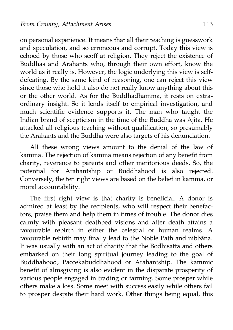on personal experience. It means that all their teaching is guesswork and speculation, and so erroneous and corrupt. Today this view is echoed by those who scoff at religion. They reject the existence of Buddhas and Arahants who, through their own effort, know the world as it really is. However, the logic underlying this view is selfdefeating. By the same kind of reasoning, one can reject this view since those who hold it also do not really know anything about this or the other world. As for the Buddhadhamma, it rests on extraordinary insight. So it lends itself to empirical investigation, and much scientific evidence supports it. The man who taught the Indian brand of scepticism in the time of the Buddha was Ajita. He attacked all religious teaching without qualification, so presumably the Arahants and the Buddha were also targets of his denunciation.

All these wrong views amount to the denial of the law of kamma. The rejection of kamma means rejection of any benefit from charity, reverence to parents and other meritorious deeds. So, the potential for Arahantship or Buddhahood is also rejected. Conversely, the ten right views are based on the belief in kamma, or moral accountability.

The first right view is that charity is beneficial. A donor is admired at least by the recipients, who will respect their benefactors, praise them and help them in times of trouble. The donor dies calmly with pleasant deathbed visions and after death attains a favourable rebirth in either the celestial or human realms. A favourable rebirth may finally lead to the Noble Path and nibbāna. It was usually with an act of charity that the Bodhisatta and others embarked on their long spiritual journey leading to the goal of Buddhahood, Paccekabuddhahood or Arahantship. The kammic benefit of almsgiving is also evident in the disparate prosperity of various people engaged in trading or farming. Some prosper while others make a loss. Some meet with success easily while others fail to prosper despite their hard work. Other things being equal, this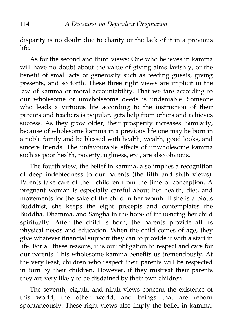disparity is no doubt due to charity or the lack of it in a previous life.

As for the second and third views: One who believes in kamma will have no doubt about the value of giving alms lavishly, or the benefit of small acts of generosity such as feeding guests, giving presents, and so forth. These three right views are implicit in the law of kamma or moral accountability. That we fare according to our wholesome or unwholesome deeds is undeniable. Someone who leads a virtuous life according to the instruction of their parents and teachers is popular, gets help from others and achieves success. As they grow older, their prosperity increases. Similarly, because of wholesome kamma in a previous life one may be born in a noble family and be blessed with health, wealth, good looks, and sincere friends. The unfavourable effects of unwholesome kamma such as poor health, poverty, ugliness, etc., are also obvious.

The fourth view, the belief in kamma, also implies a recognition of deep indebtedness to our parents (the fifth and sixth views). Parents take care of their children from the time of conception. A pregnant woman is especially careful about her health, diet, and movements for the sake of the child in her womb. If she is a pious Buddhist, she keeps the eight precepts and contemplates the Buddha, Dhamma, and Saṅgha in the hope of influencing her child spiritually. After the child is born, the parents provide all its physical needs and education. When the child comes of age, they give whatever financial support they can to provide it with a start in life. For all these reasons, it is our obligation to respect and care for our parents. This wholesome kamma benefits us tremendously. At the very least, children who respect their parents will be respected in turn by their children. However, if they mistreat their parents they are very likely to be disdained by their own children.

The seventh, eighth, and ninth views concern the existence of this world, the other world, and beings that are reborn spontaneously. These right views also imply the belief in kamma.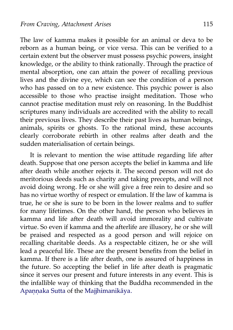The law of kamma makes it possible for an animal or deva to be reborn as a human being, or vice versa. This can be verified to a certain extent but the observer must possess psychic powers, insight knowledge, or the ability to think rationally. Through the practice of mental absorption, one can attain the power of recalling previous lives and the divine eye, which can see the condition of a person who has passed on to a new existence. This psychic power is also accessible to those who practise insight meditation. Those who cannot practise meditation must rely on reasoning. In the Buddhist scriptures many individuals are accredited with the ability to recall their previous lives. They describe their past lives as human beings, animals, spirits or ghosts. To the rational mind, these accounts clearly corroborate rebirth in other realms after death and the sudden materialisation of certain beings.

It is relevant to mention the wise attitude regarding life after death. Suppose that one person accepts the belief in kamma and life after death while another rejects it. The second person will not do meritorious deeds such as charity and taking precepts, and will not avoid doing wrong. He or she will give a free rein to desire and so has no virtue worthy of respect or emulation. If the law of kamma is true, he or she is sure to be born in the lower realms and to suffer for many lifetimes. On the other hand, the person who believes in kamma and life after death will avoid immorality and cultivate virtue. So even if kamma and the afterlife are illusory, he or she will be praised and respected as a good person and will rejoice on recalling charitable deeds. As a respectable citizen, he or she will lead a peaceful life. These are the present benefits from the belief in kamma. If there is a life after death, one is assured of happiness in the future. So accepting the belief in life after death is pragmatic since it serves our present and future interests in any event. This is the infallible way of thinking that the Buddha recommended in the Apannaka Sutta of the [Majjhimanikāya.](http://aimwell.org/DPPN/majjhima_nikaya.htm)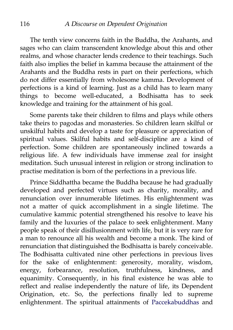The tenth view concerns faith in the Buddha, the Arahants, and sages who can claim transcendent knowledge about this and other realms, and whose character lends credence to their teachings. Such faith also implies the belief in kamma because the attainment of the Arahants and the Buddha rests in part on their perfections, which do not differ essentially from wholesome kamma. Development of perfections is a kind of learning. Just as a child has to learn many things to become well-educated, a Bodhisatta has to seek knowledge and training for the attainment of his goal.

Some parents take their children to films and plays while others take theirs to pagodas and monasteries. So children learn skilful or unskilful habits and develop a taste for pleasure or appreciation of spiritual values. Skilful habits and self-discipline are a kind of perfection. Some children are spontaneously inclined towards a religious life. A few individuals have immense zeal for insight meditation. Such unusual interest in religion or strong inclination to practise meditation is born of the perfections in a previous life.

Prince Siddhattha became the Buddha because he had gradually developed and perfected virtues such as charity, morality, and renunciation over innumerable lifetimes. His enlightenment was not a matter of quick accomplishment in a single lifetime. The cumulative kammic potential strengthened his resolve to leave his family and the luxuries of the palace to seek enlightenment. Many people speak of their disillusionment with life, but it is very rare for a man to renounce all his wealth and become a monk. The kind of renunciation that distinguished the Bodhisatta is barely conceivable. The Bodhisatta cultivated nine other perfections in previous lives for the sake of enlightenment: generosity, morality, wisdom, energy, forbearance, resolution, truthfulness, kindness, and equanimity. Consequently, in his final existence he was able to reflect and realise independently the nature of life, its Dependent Origination, etc. So, the perfections finally led to supreme enlightenment. The spiritual attainments of [Paccekabuddhas](http://aimwell.org/DPPN/pacceka_buddha.htm) and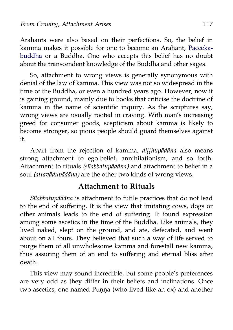Arahants were also based on their perfections. So, the belief in kamma makes it possible for one to become an Arahant, [Pacceka](http://aimwell.org/DPPN/pacceka_buddha.htm)[buddha](http://aimwell.org/DPPN/pacceka_buddha.htm) or a Buddha. One who accepts this belief has no doubt about the transcendent knowledge of the Buddha and other sages.

So, attachment to wrong views is generally synonymous with denial of the law of kamma. This view was not so widespread in the time of the Buddha, or even a hundred years ago. However, now it is gaining ground, mainly due to books that criticise the doctrine of kamma in the name of scientific inquiry. As the scriptures say, wrong views are usually rooted in craving. With man's increasing greed for consumer goods, scepticism about kamma is likely to become stronger, so pious people should guard themselves against it.

Apart from the rejection of kamma, *diṭṭhupādāna* also means strong attachment to ego-belief, annihilationism, and so forth. Attachment to rituals *(sīlabbatupādāna)* and attachment to belief in a soul *(attavādupādāna)* are the other two kinds of wrong views.

#### **Attachment to Rituals**

*Sīlabbatupādāna* is attachment to futile practices that do not lead to the end of suffering. It is the view that imitating cows, dogs or other animals leads to the end of suffering. It found expression among some ascetics in the time of the Buddha. Like animals, they lived naked, slept on the ground, and ate, defecated, and went about on all fours. They believed that such a way of life served to purge them of all unwholesome kamma and forestall new kamma, thus assuring them of an end to suffering and eternal bliss after death.

This view may sound incredible, but some people's preferences are very odd as they differ in their beliefs and inclinations. Once two ascetics, one named Punna (who lived like an ox) and another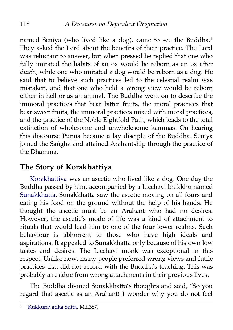named Seniya (who lived like a dog), came to see the Buddha.<sup>[1](#page-125-0)</sup> They asked the Lord about the benefits of their practice. The Lord was reluctant to answer, but when pressed he replied that one who fully imitated the habits of an ox would be reborn as an ox after death, while one who imitated a dog would be reborn as a dog. He said that to believe such practices led to the celestial realm was mistaken, and that one who held a wrong view would be reborn either in hell or as an animal. The Buddha went on to describe the immoral practices that bear bitter fruits, the moral practices that bear sweet fruits, the immoral practices mixed with moral practices, and the practice of the Noble Eightfold Path, which leads to the total extinction of wholesome and unwholesome kammas. On hearing this discourse Punna became a lay disciple of the Buddha. Seniya joined the Saṅgha and attained Arahantship through the practice of the Dhamma.

## **The Story of Korakhattiya**

[Korakhattiya](http://aimwell.org/DPPN/korakkhatta.htm) was an ascetic who lived like a dog. One day the Buddha passed by him, accompanied by a Licchavī bhikkhu named [Sunakkhatta.](http://aimwell.org/DPPN/sunakkhatta.htm) Sunakkhatta saw the ascetic moving on all fours and eating his food on the ground without the help of his hands. He thought the ascetic must be an Arahant who had no desires. However, the ascetic's mode of life was a kind of attachment to rituals that would lead him to one of the four lower realms. Such behaviour is abhorrent to those who have high ideals and aspirations. It appealed to Sunakkhatta only because of his own low tastes and desires. The Licchavī monk was exceptional in this respect. Unlike now, many people preferred wrong views and futile practices that did not accord with the Buddha's teaching. This was probably a residue from wrong attachments in their previous lives.

The Buddha divined Sunakkhatta's thoughts and said, "So you regard that ascetic as an Arahant! I wonder why you do not feel

<span id="page-125-0"></span><sup>1</sup> [Kukkuravatika Sutta,](http://aimwell.org/DPPN/kukkuravatika_s.htm) M.i.387.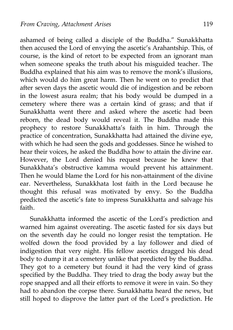ashamed of being called a disciple of the Buddha." Sunakkhatta then accused the Lord of envying the ascetic's Arahantship. This, of course, is the kind of retort to be expected from an ignorant man when someone speaks the truth about his misguided teacher. The Buddha explained that his aim was to remove the monk's illusions, which would do him great harm. Then he went on to predict that after seven days the ascetic would die of indigestion and be reborn in the lowest asura realm; that his body would be dumped in a cemetery where there was a certain kind of grass; and that if Sunakkhatta went there and asked where the ascetic had been reborn, the dead body would reveal it. The Buddha made this prophecy to restore Sunakkhatta's faith in him. Through the practice of concentration, Sunakkhatta had attained the divine eye, with which he had seen the gods and goddesses. Since he wished to hear their voices, he asked the Buddha how to attain the divine ear. However, the Lord denied his request because he knew that Sunakkhata's obstructive kamma would prevent his attainment. Then he would blame the Lord for his non-attainment of the divine ear. Nevertheless, Sunakkhata lost faith in the Lord because he thought this refusal was motivated by envy. So the Buddha predicted the ascetic's fate to impress Sunakkhatta and salvage his faith.

Sunakkhatta informed the ascetic of the Lord's prediction and warned him against overeating. The ascetic fasted for six days but on the seventh day he could no longer resist the temptation. He wolfed down the food provided by a lay follower and died of indigestion that very night. His fellow ascetics dragged his dead body to dump it at a cemetery unlike that predicted by the Buddha. They got to a cemetery but found it had the very kind of grass specified by the Buddha. They tried to drag the body away but the rope snapped and all their efforts to remove it were in vain. So they had to abandon the corpse there. Sunakkhatta heard the news, but still hoped to disprove the latter part of the Lord's prediction. He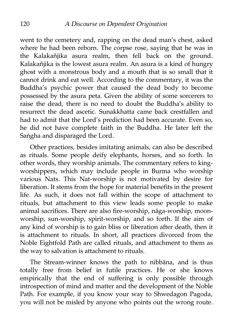went to the cemetery and, rapping on the dead man's chest, asked where he had been reborn. The corpse rose, saying that he was in the Kalakañjika asura realm, then fell back on the ground. Kalakañjika is the lowest asura realm. An asura is a kind of hungry ghost with a monstrous body and a mouth that is so small that it cannot drink and eat well. According to the commentary, it was the Buddha's psychic power that caused the dead body to become possessed by the asura peta. Given the ability of some sorcerers to raise the dead, there is no need to doubt the Buddha's ability to resurrect the dead ascetic. Sunakkhatta came back crestfallen and had to admit that the Lord's prediction had been accurate. Even so, he did not have complete faith in the Buddha. He later left the Saṅgha and disparaged the Lord.

Other practices, besides imitating animals, can also be described as rituals. Some people deify elephants, horses, and so forth. In other words, they worship animals. The commentary refers to kingworshippers, which may include people in Burma who worship various Nats. This Nat-worship is not motivated by desire for liberation. It stems from the hope for material benefits in the present life. As such, it does not fall within the scope of attachment to rituals, but attachment to this view leads some people to make animal sacrifices. There are also fire-worship, nāga-worship, moonworship, sun-worship, spirit-worship, and so forth. If the aim of any kind of worship is to gain bliss or liberation after death, then it is attachment to rituals. In short, all practices divorced from the Noble Eightfold Path are called rituals, and attachment to them as the way to salvation is attachment to rituals.

The Stream-winner knows the path to nibbāna, and is thus totally free from belief in futile practices. He or she knows empirically that the end of suffering is only possible through introspection of mind and matter and the development of the Noble Path. For example, if you know your way to Shwedagon Pagoda, you will not be misled by anyone who points out the wrong route.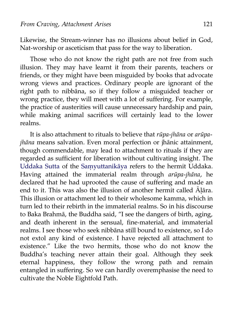Likewise, the Stream-winner has no illusions about belief in God, Nat-worship or asceticism that pass for the way to liberation.

Those who do not know the right path are not free from such illusion. They may have learnt it from their parents, teachers or friends, or they might have been misguided by books that advocate wrong views and practices. Ordinary people are ignorant of the right path to nibbāna, so if they follow a misguided teacher or wrong practice, they will meet with a lot of suffering. For example, the practice of austerities will cause unnecessary hardship and pain, while making animal sacrifices will certainly lead to the lower realms.

It is also attachment to rituals to believe that *rūpa-jhāna* or *arūpajhāna* means salvation. Even moral perfection or jhānic attainment, though commendable, may lead to attachment to rituals if they are regarded as sufficient for liberation without cultivating insight. The [Uddaka Sutta](http://aimwell.org/DPPN/uddaka_raamaputta.htm) of the [Saṃyuttanikāya](http://aimwell.org/DPPN/samyutta_nikaya.htm) refers to the hermit Uddaka. Having attained the immaterial realm through *arūpa-jhāna,* he declared that he had uprooted the cause of suffering and made an end to it. This was also the illusion of another hermit called Āḷāra. This illusion or attachment led to their wholesome kamma, which in turn led to their rebirth in the immaterial realms. So in his discourse to Baka Brahmā, the Buddha said, "I see the dangers of birth, aging, and death inherent in the sensual, fine-material, and immaterial realms. I see those who seek nibbāna still bound to existence, so I do not extol any kind of existence. I have rejected all attachment to existence." Like the two hermits, those who do not know the Buddha's teaching never attain their goal. Although they seek eternal happiness, they follow the wrong path and remain entangled in suffering. So we can hardly overemphasise the need to cultivate the Noble Eightfold Path.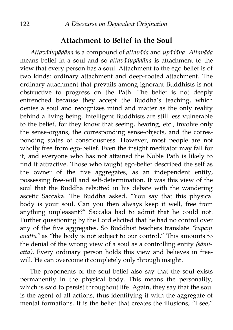### **Attachment to Belief in the Soul**

*Attavādupādāna* is a compound of *attavāda* and *upādāna. Attavāda* means belief in a soul and so *attavādupādāna* is attachment to the view that every person has a soul. Attachment to the ego-belief is of two kinds: ordinary attachment and deep-rooted attachment. The ordinary attachment that prevails among ignorant Buddhists is not obstructive to progress on the Path. The belief is not deeply entrenched because they accept the Buddha's teaching, which denies a soul and recognizes mind and matter as the only reality behind a living being. Intelligent Buddhists are still less vulnerable to the belief, for they know that seeing, hearing, etc., involve only the sense-organs, the corresponding sense-objects, and the corresponding states of consciousness. However, most people are not wholly free from ego-belief. Even the insight meditator may fall for it, and everyone who has not attained the Noble Path is likely to find it attractive. Those who taught ego-belief described the self as the owner of the five aggregates, as an independent entity, possessing free-will and self-determination. It was this view of the soul that the Buddha rebutted in his debate with the wandering ascetic Saccaka. The Buddha asked, "You say that this physical body is your soul. Can you then always keep it well, free from anything unpleasant?" Saccaka had to admit that he could not. Further questioning by the Lord elicited that he had no control over any of the five aggregates. So Buddhist teachers translate *"rūpaṃ anattā"* as "the body is not subject to our control." This amounts to the denial of the wrong view of a soul as a controlling entity *(sāmiatta).* Every ordinary person holds this view and believes in freewill. He can overcome it completely only through insight.

The proponents of the soul belief also say that the soul exists permanently in the physical body. This means the personality, which is said to persist throughout life. Again, they say that the soul is the agent of all actions, thus identifying it with the aggregate of mental formations. It is the belief that creates the illusions, "I see,"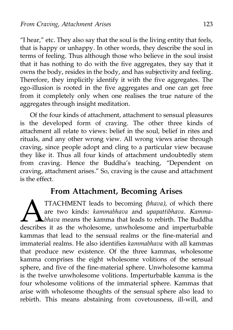"I hear," etc. They also say that the soul is the living entity that feels, that is happy or unhappy. In other words, they describe the soul in terms of feeling. Thus although those who believe in the soul insist that it has nothing to do with the five aggregates, they say that it owns the body, resides in the body, and has subjectivity and feeling. Therefore, they implicitly identify it with the five aggregates. The ego-illusion is rooted in the five aggregates and one can get free from it completely only when one realises the true nature of the aggregates through insight meditation.

Of the four kinds of attachment, attachment to sensual pleasures is the developed form of craving. The other three kinds of attachment all relate to views: belief in the soul, belief in rites and rituals, and any other wrong view. All wrong views arise through craving, since people adopt and cling to a particular view because they like it. Thus all four kinds of attachment undoubtedly stem from craving. Hence the Buddha's teaching, "Dependent on craving, attachment arises." So, craving is the cause and attachment is the effect.

## **From Attachment, Becoming Arises**

TTACHMENT leads to becoming *(bhava),* of which there are two kinds: *kammabhava* and *upapattibhava. Kammabhava* means the kamma that leads to rebirth. The Buddha TTACHMENT leads to becoming (bhava), of which there are two kinds: kammabhava and upapattibhava. Kamma-<br>bhava means the kamma that leads to rebirth. The Buddha describes it as the wholesome, unwholesome and imperturbable kammas that lead to the sensual realms or the fine-material and immaterial realms. He also identifies *kammabhava* with all kammas that produce new existence. Of the three kammas, wholesome kamma comprises the eight wholesome volitions of the sensual sphere, and five of the fine-material sphere. Unwholesome kamma is the twelve unwholesome volitions. Imperturbable kamma is the four wholesome volitions of the immaterial sphere. Kammas that arise with wholesome thoughts of the sensual sphere also lead to rebirth. This means abstaining from covetousness, ill-will, and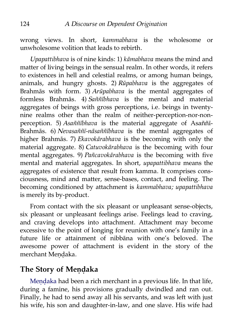wrong views. In short, *kammabhava* is the wholesome or unwholesome volition that leads to rebirth.

*Upapattibhava* is of nine kinds: 1) *kāmabhava* means the mind and matter of living beings in the sensual realm. In other words, it refers to existences in hell and celestial realms, or among human beings, animals, and hungry ghosts. 2) *Rūpabhava* is the aggregates of Brahmās with form. 3) *Arūpabhava* is the mental aggregates of formless Brahmās. 4) *Saññībhava* is the mental and material aggregates of beings with gross perceptions, i.e. beings in twentynine realms other than the realm of neither-perception-nor-nonperception. 5) *Asaññībhava* is the material aggregate of Asaññī-Brahmās. 6) *Nevasaññī-nāsaññībhava* is the mental aggregates of higher Brahmās. 7) *Ekavokārabhava* is the becoming with only the material aggregate. 8) *Catuvokārabhava* is the becoming with four mental aggregates. 9) *Pañcavokārabhava* is the becoming with five mental and material aggregates. In short, *upapattibhava* means the aggregates of existence that result from kamma. It comprises consciousness, mind and matter, sense-bases, contact, and feeling. The becoming conditioned by attachment is *kammabhava; upapattibhava* is merely its by-product.

From contact with the six pleasant or unpleasant sense-objects, six pleasant or unpleasant feelings arise. Feelings lead to craving, and craving develops into attachment. Attachment may become excessive to the point of longing for reunion with one's family in a future life or attainment of nibbāna with one's beloved. The awesome power of attachment is evident in the story of the merchant Meṇḍaka.

### **The Story of Meṇḍaka**

Mendaka had been a rich merchant in a previous life. In that life, during a famine, his provisions gradually dwindled and ran out. Finally, he had to send away all his servants, and was left with just his wife, his son and daughter-in-law, and one slave. His wife had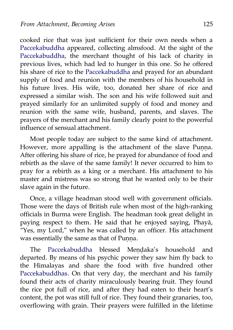cooked rice that was just sufficient for their own needs when a [Paccekabuddha](http://aimwell.org/DPPN/pacceka_buddha.htm) appeared, collecting almsfood. At the sight of the [Paccekabuddha,](http://aimwell.org/DPPN/pacceka_buddha.htm) the merchant thought of his lack of charity in previous lives, which had led to hunger in this one. So he offered his share of rice to the [Paccekabuddha](http://aimwell.org/DPPN/pacceka_buddha.htm) and prayed for an abundant supply of food and reunion with the members of his household in his future lives. His wife, too, donated her share of rice and expressed a similar wish. The son and his wife followed suit and prayed similarly for an unlimited supply of food and money and reunion with the same wife, husband, parents, and slaves. The prayers of the merchant and his family clearly point to the powerful influence of sensual attachment.

Most people today are subject to the same kind of attachment. However, more appalling is the attachment of the slave Punna. After offering his share of rice, he prayed for abundance of food and rebirth as the slave of the same family! It never occurred to him to pray for a rebirth as a king or a merchant. His attachment to his master and mistress was so strong that he wanted only to be their slave again in the future.

Once, a village headman stood well with government officials. Those were the days of British rule when most of the high-ranking officials in Burma were English. The headman took great delight in paying respect to them. He said that he enjoyed saying, Phayā, "Yes, my Lord," when he was called by an officer. His attachment was essentially the same as that of Punna.

The [Paccekabuddha](http://aimwell.org/DPPN/pacceka_buddha.htm) blessed Mendaka's household and departed. By means of his psychic power they saw him fly back to the Himalayas and share the food with five hundred other [Paccekabuddhas.](http://aimwell.org/DPPN/pacceka_buddha.htm) On that very day, the merchant and his family found their acts of charity miraculously bearing fruit. They found the rice pot full of rice, and after they had eaten to their heart's content, the pot was still full of rice. They found their granaries, too, overflowing with grain. Their prayers were fulfilled in the lifetime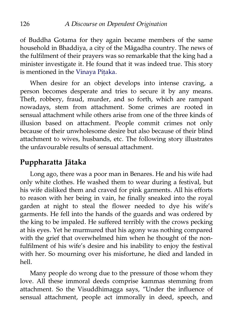of Buddha Gotama for they again became members of the same household in Bhaddiya, a city of the Māgadha country. The news of the fulfilment of their prayers was so remarkable that the king had a minister investigate it. He found that it was indeed true. This story is mentioned in the [Vinaya Piṭaka.](http://www.accesstoinsight.org/tipitaka/vin/index.html)

When desire for an object develops into intense craving, a person becomes desperate and tries to secure it by any means. Theft, robbery, fraud, murder, and so forth, which are rampant nowadays, stem from attachment. Some crimes are rooted in sensual attachment while others arise from one of the three kinds of illusion based on attachment. People commit crimes not only because of their unwholesome desire but also because of their blind attachment to wives, husbands, etc. The following story illustrates the unfavourable results of sensual attachment.

## **Puppharatta Jātaka**

Long ago, there was a poor man in Benares. He and his wife had only white clothes. He washed them to wear during a festival, but his wife disliked them and craved for pink garments. All his efforts to reason with her being in vain, he finally sneaked into the royal garden at night to steal the flower needed to dye his wife's garments. He fell into the hands of the guards and was ordered by the king to be impaled. He suffered terribly with the crows pecking at his eyes. Yet he murmured that his agony was nothing compared with the grief that overwhelmed him when he thought of the nonfulfilment of his wife's desire and his inability to enjoy the festival with her. So mourning over his misfortune, he died and landed in hell.

Many people do wrong due to the pressure of those whom they love. All these immoral deeds comprise kammas stemming from attachment. So the Visuddhimagga says, "Under the influence of sensual attachment, people act immorally in deed, speech, and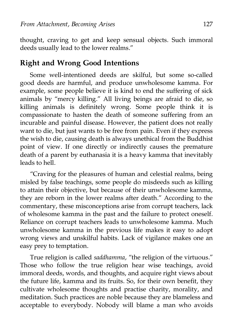thought, craving to get and keep sensual objects. Such immoral deeds usually lead to the lower realms."

## **Right and Wrong Good Intentions**

Some well-intentioned deeds are skilful, but some so-called good deeds are harmful, and produce unwholesome kamma. For example, some people believe it is kind to end the suffering of sick animals by "mercy killing." All living beings are afraid to die, so killing animals is definitely wrong. Some people think it is compassionate to hasten the death of someone suffering from an incurable and painful disease. However, the patient does not really want to die, but just wants to be free from pain. Even if they express the wish to die, causing death is always unethical from the Buddhist point of view. If one directly or indirectly causes the premature death of a parent by euthanasia it is a heavy kamma that inevitably leads to hell.

"Craving for the pleasures of human and celestial realms, being misled by false teachings, some people do misdeeds such as killing to attain their objective, but because of their unwholesome kamma, they are reborn in the lower realms after death." According to the commentary, these misconceptions arise from corrupt teachers, lack of wholesome kamma in the past and the failure to protect oneself. Reliance on corrupt teachers leads to unwholesome kamma. Much unwholesome kamma in the previous life makes it easy to adopt wrong views and unskilful habits. Lack of vigilance makes one an easy prey to temptation.

True religion is called *saddhamma,* "the religion of the virtuous." Those who follow the true religion hear wise teachings, avoid immoral deeds, words, and thoughts, and acquire right views about the future life, kamma and its fruits. So, for their own benefit, they cultivate wholesome thoughts and practise charity, morality, and meditation. Such practices are noble because they are blameless and acceptable to everybody. Nobody will blame a man who avoids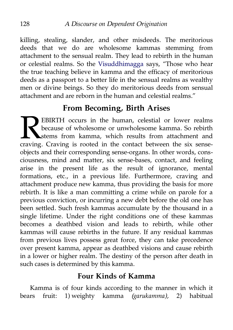killing, stealing, slander, and other misdeeds. The meritorious deeds that we do are wholesome kammas stemming from attachment to the sensual realm. They lead to rebirth in the human or celestial realms. So the [Visuddhimagga](http://www.abhidhamma.org/visuddhimagga-1.htm) says, "Those who hear the true teaching believe in kamma and the efficacy of meritorious deeds as a passport to a better life in the sensual realms as wealthy men or divine beings. So they do meritorious deeds from sensual attachment and are reborn in the human and celestial realms."

# **From Becoming, Birth Arises**

EBIRTH occurs in the human, celestial or lower realms because of wholesome or unwholesome kamma. So rebirth stems from kamma, which results from attachment and **CRAVIST EBIRTH** occurs in the human, celestial or lower realms because of wholesome or unwholesome kamma. So rebirth stems from kamma, which results from attachment and craving. Craving is rooted in the contact between th objects and their corresponding sense-organs. In other words, consciousness, mind and matter, six sense-bases, contact, and feeling arise in the present life as the result of ignorance, mental formations, etc., in a previous life. Furthermore, craving and attachment produce new kamma, thus providing the basis for more rebirth. It is like a man committing a crime while on parole for a previous conviction, or incurring a new debt before the old one has been settled. Such fresh kammas accumulate by the thousand in a single lifetime. Under the right conditions one of these kammas becomes a deathbed vision and leads to rebirth, while other kammas will cause rebirths in the future. If any residual kammas from previous lives possess great force, they can take precedence over present kamma, appear as deathbed visions and cause rebirth in a lower or higher realm. The destiny of the person after death in such cases is determined by this kamma.

#### **Four Kinds of Kamma**

Kamma is of four kinds according to the manner in which it bears fruit: 1) weighty kamma *(garukamma),* 2) habitual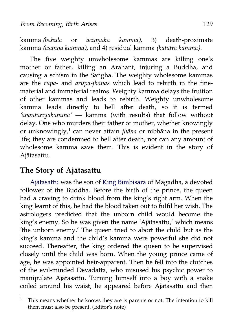kamma *(bahula* or *āciṇṇaka kamma),* 3) death-proximate kamma *(āsanna kamma),* and 4) residual kamma *(katattā kamma).*

The five weighty unwholesome kammas are killing one's mother or father, killing an Arahant, injuring a Buddha, and causing a schism in the Saṅgha. The weighty wholesome kammas are the *rūpa-* and *arūpa-jhānas* which lead to rebirth in the finematerial and immaterial realms. Weighty kamma delays the fruition of other kammas and leads to rebirth. Weighty unwholesome kamma leads directly to hell after death, so it is termed *'ānantariyakamma'* — kamma (with results) that follow without delay. One who murders their father or mother, whether knowingly or unknowingly,[1](#page-136-0) can never attain *jhāna* or nibbāna in the present life; they are condemned to hell after death, nor can any amount of wholesome kamma save them. This is evident in the story of Ajātasattu.

## **The Story of Ajātasattu**

[Ajātasattu](http://aimwell.org/DPPN/ajatasattu.htm) was the son of [King Bimbisāra](http://aimwell.org/DPPN/bimbisara.htm) of Māgadha, a devoted follower of the Buddha. Before the birth of the prince, the queen had a craving to drink blood from the king's right arm. When the king learnt of this, he had the blood taken out to fulfil her wish. The astrologers predicted that the unborn child would become the king's enemy. So he was given the name 'Ajātasattu,' which means 'the unborn enemy.' The queen tried to abort the child but as the king's kamma and the child's kamma were powerful she did not succeed. Thereafter, the king ordered the queen to be supervised closely until the child was born. When the young prince came of age, he was appointed heir-apparent. Then he fell into the clutches of the evil-minded Devadatta, who misused his psychic power to manipulate Ajātasattu. Turning himself into a boy with a snake coiled around his waist, he appeared before Ajātasattu and then

<span id="page-136-0"></span><sup>&</sup>lt;sup>1</sup> This means whether he knows they are is parents or not. The intention to kill them must also be present. (Editor's note)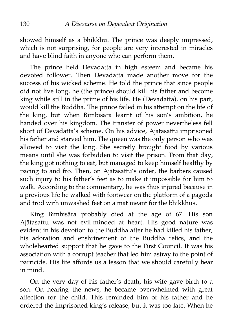showed himself as a bhikkhu. The prince was deeply impressed, which is not surprising, for people are very interested in miracles and have blind faith in anyone who can perform them.

The prince held Devadatta in high esteem and became his devoted follower. Then Devadatta made another move for the success of his wicked scheme. He told the prince that since people did not live long, he (the prince) should kill his father and become king while still in the prime of his life. He (Devadatta), on his part, would kill the Buddha. The prince failed in his attempt on the life of the king, but when Bimbisāra learnt of his son's ambition, he handed over his kingdom. The transfer of power nevertheless fell short of Devadatta's scheme. On his advice, Ajātasattu imprisoned his father and starved him. The queen was the only person who was allowed to visit the king. She secretly brought food by various means until she was forbidden to visit the prison. From that day, the king got nothing to eat, but managed to keep himself healthy by pacing to and fro. Then, on Ajātasattu's order, the barbers caused such injury to his father's feet as to make it impossible for him to walk. According to the commentary, he was thus injured because in a previous life he walked with footwear on the platform of a pagoda and trod with unwashed feet on a mat meant for the bhikkhus.

King Bimbisāra probably died at the age of 67. His son Ajātasattu was not evil-minded at heart. His good nature was evident in his devotion to the Buddha after he had killed his father, his adoration and enshrinement of the Buddha relics, and the wholehearted support that he gave to the First Council. It was his association with a corrupt teacher that led him astray to the point of parricide. His life affords us a lesson that we should carefully bear in mind.

On the very day of his father's death, his wife gave birth to a son. On hearing the news, he became overwhelmed with great affection for the child. This reminded him of his father and he ordered the imprisoned king's release, but it was too late. When he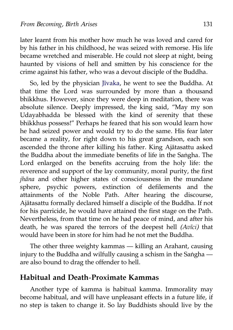later learnt from his mother how much he was loved and cared for by his father in his childhood, he was seized with remorse. His life became wretched and miserable. He could not sleep at night, being haunted by visions of hell and smitten by his conscience for the crime against his father, who was a devout disciple of the Buddha.

So, led by the physician [Jīvaka,](http://aimwell.org/DPPN/jiivaka.htm) he went to see the Buddha. At that time the Lord was surrounded by more than a thousand bhikkhus. However, since they were deep in meditation, there was absolute silence. Deeply impressed, the king said, "May my son Udayabhadda be blessed with the kind of serenity that these bhikkhus possess!" Perhaps he feared that his son would learn how he had seized power and would try to do the same. His fear later became a reality, for right down to his great grandson, each son ascended the throne after killing his father. King Ajātasattu asked the Buddha about the immediate benefits of life in the Saṅgha. The Lord enlarged on the benefits accruing from the holy life: the reverence and support of the lay community, moral purity, the first *jhāna* and other higher states of consciousness in the mundane sphere, psychic powers, extinction of defilements and the attainments of the Noble Path. After hearing the discourse, Ajātasattu formally declared himself a disciple of the Buddha. If not for his parricide, he would have attained the first stage on the Path. Nevertheless, from that time on he had peace of mind, and after his death, he was spared the terrors of the deepest hell *(Avīci)* that would have been in store for him had he not met the Buddha.

The other three weighty kammas — killing an Arahant, causing injury to the Buddha and wilfully causing a schism in the Saṅgha are also bound to drag the offender to hell.

#### **Habitual and Death-Proximate Kammas**

Another type of kamma is habitual kamma. Immorality may become habitual, and will have unpleasant effects in a future life, if no step is taken to change it. So lay Buddhists should live by the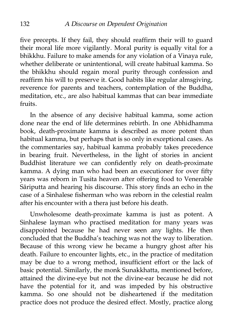five precepts. If they fail, they should reaffirm their will to guard their moral life more vigilantly. Moral purity is equally vital for a bhikkhu. Failure to make amends for any violation of a Vinaya rule, whether deliberate or unintentional, will create habitual kamma. So the bhikkhu should regain moral purity through confession and reaffirm his will to preserve it. Good habits like regular almsgiving, reverence for parents and teachers, contemplation of the Buddha, meditation, etc., are also habitual kammas that can bear immediate fruits.

In the absence of any decisive habitual kamma, some action done near the end of life determines rebirth. In one Abhidhamma book, death-proximate kamma is described as more potent than habitual kamma, but perhaps that is so only in exceptional cases. As the commentaries say, habitual kamma probably takes precedence in bearing fruit. Nevertheless, in the light of stories in ancient Buddhist literature we can confidently rely on death-proximate kamma. A dying man who had been an executioner for over fifty years was reborn in Tusita heaven after offering food to Venerable Sāriputta and hearing his discourse. This story finds an echo in the case of a Sinhalese fisherman who was reborn in the celestial realm after his encounter with a thera just before his death.

Unwholesome death-proximate kamma is just as potent. A Sinhalese layman who practised meditation for many years was disappointed because he had never seen any lights. He then concluded that the Buddha's teaching was not the way to liberation. Because of this wrong view he became a hungry ghost after his death. Failure to encounter lights, etc., in the practice of meditation may be due to a wrong method, insufficient effort or the lack of basic potential. Similarly, the monk Sunakkhatta, mentioned before, attained the divine-eye but not the divine-ear because he did not have the potential for it, and was impeded by his obstructive kamma. So one should not be disheartened if the meditation practice does not produce the desired effect. Mostly, practice along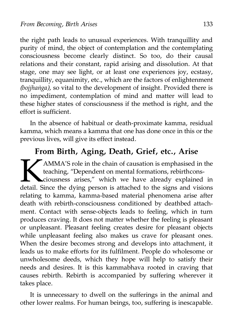the right path leads to unusual experiences. With tranquillity and purity of mind, the object of contemplation and the contemplating consciousness become clearly distinct. So too, do their causal relations and their constant, rapid arising and dissolution. At that stage, one may see light, or at least one experiences joy, ecstasy, tranquillity, equanimity, etc., which are the factors of enlightenment *(bojjhaṅga),* so vital to the development of insight. Provided there is no impediment, contemplation of mind and matter will lead to these higher states of consciousness if the method is right, and the effort is sufficient.

In the absence of habitual or death-proximate kamma, residual kamma, which means a kamma that one has done once in this or the previous lives, will give its effect instead.

# **From Birth, Aging, Death, Grief, etc., Arise**

AMMA'S role in the chain of causation is emphasised in the teaching, "Dependent on mental formations, rebirthconsciousness arises," which we have already explained in detail. Since the dying person is attached to the signs and visions relating to kamma, kamma-based material phenomena arise after death with rebirth-consciousness conditioned by deathbed attachment. Contact with sense-objects leads to feeling, which in turn produces craving. It does not matter whether the feeling is pleasant or unpleasant. Pleasant feeling creates desire for pleasant objects while unpleasant feeling also makes us crave for pleasant ones. When the desire becomes strong and develops into attachment, it leads us to make efforts for its fulfilment. People do wholesome or unwholesome deeds, which they hope will help to satisfy their needs and desires. It is this kammabhava rooted in craving that causes rebirth. Rebirth is accompanied by suffering wherever it takes place.  $\left| \sum_{\text{detail } S}$ 

It is unnecessary to dwell on the sufferings in the animal and other lower realms. For human beings, too, suffering is inescapable.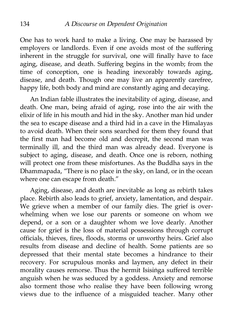One has to work hard to make a living. One may be harassed by employers or landlords. Even if one avoids most of the suffering inherent in the struggle for survival, one will finally have to face aging, disease, and death. Suffering begins in the womb; from the time of conception, one is heading inexorably towards aging, disease, and death. Though one may live an apparently carefree, happy life, both body and mind are constantly aging and decaying.

An Indian fable illustrates the inevitability of aging, disease, and death. One man, being afraid of aging, rose into the air with the elixir of life in his mouth and hid in the sky. Another man hid under the sea to escape disease and a third hid in a cave in the Himalayas to avoid death. When their sons searched for them they found that the first man had become old and decrepit, the second man was terminally ill, and the third man was already dead. Everyone is subject to aging, disease, and death. Once one is reborn, nothing will protect one from these misfortunes. As the Buddha says in the Dhammapada, "There is no place in the sky, on land, or in the ocean where one can escape from death."

Aging, disease, and death are inevitable as long as rebirth takes place. Rebirth also leads to grief, anxiety, lamentation, and despair. We grieve when a member of our family dies. The grief is overwhelming when we lose our parents or someone on whom we depend, or a son or a daughter whom we love dearly. Another cause for grief is the loss of material possessions through corrupt officials, thieves, fires, floods, storms or unworthy heirs. Grief also results from disease and decline of health. Some patients are so depressed that their mental state becomes a hindrance to their recovery. For scrupulous monks and laymen, any defect in their morality causes remorse. Thus the hermit Isisiṅga suffered terrible anguish when he was seduced by a goddess. Anxiety and remorse also torment those who realise they have been following wrong views due to the influence of a misguided teacher. Many other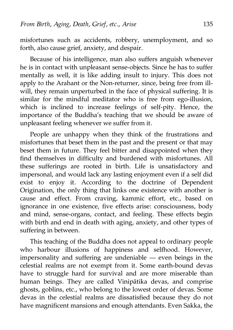misfortunes such as accidents, robbery, unemployment, and so forth, also cause grief, anxiety, and despair.

Because of his intelligence, man also suffers anguish whenever he is in contact with unpleasant sense-objects. Since he has to suffer mentally as well, it is like adding insult to injury. This does not apply to the Arahant or the Non-returner, since, being free from illwill, they remain unperturbed in the face of physical suffering. It is similar for the mindful meditator who is free from ego-illusion, which is inclined to increase feelings of self-pity. Hence, the importance of the Buddha's teaching that we should be aware of unpleasant feeling whenever we suffer from it.

People are unhappy when they think of the frustrations and misfortunes that beset them in the past and the present or that may beset them in future. They feel bitter and disappointed when they find themselves in difficulty and burdened with misfortunes. All these sufferings are rooted in birth. Life is unsatisfactory and impersonal, and would lack any lasting enjoyment even if a self did exist to enjoy it. According to the doctrine of Dependent Origination, the only thing that links one existence with another is cause and effect. From craving, kammic effort, etc., based on ignorance in one existence, five effects arise: consciousness, body and mind, sense-organs, contact, and feeling. These effects begin with birth and end in death with aging, anxiety, and other types of suffering in between.

This teaching of the Buddha does not appeal to ordinary people who harbour illusions of happiness and selfhood. However, impersonality and suffering are undeniable — even beings in the celestial realms are not exempt from it. Some earth-bound devas have to struggle hard for survival and are more miserable than human beings. They are called Vinipātika devas, and comprise ghosts, goblins, etc., who belong to the lowest order of devas. Some devas in the celestial realms are dissatisfied because they do not have magnificent mansions and enough attendants. Even Sakka, the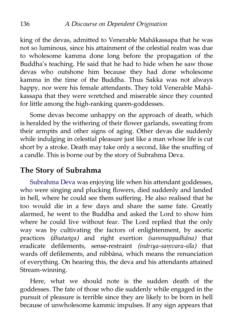king of the devas, admitted to Venerable Mahākassapa that he was not so luminous, since his attainment of the celestial realm was due to wholesome kamma done long before the propagation of the Buddha's teaching. He said that he had to hide when he saw those devas who outshone him because they had done wholesome kamma in the time of the Buddha. Thus Sakka was not always happy, nor were his female attendants. They told Venerable Mahākassapa that they were wretched and miserable since they counted for little among the high-ranking queen-goddesses.

Some devas become unhappy on the approach of death, which is heralded by the withering of their flower garlands, sweating from their armpits and other signs of aging. Other devas die suddenly while indulging in celestial pleasure just like a man whose life is cut short by a stroke. Death may take only a second, like the snuffing of a candle. This is borne out by the story of Subrahma Deva.

## **The Story of Subrahma**

[Subrahma Deva](http://aimwell.org/DPPN/subrahmaa.htm) was enjoying life when his attendant goddesses, who were singing and plucking flowers, died suddenly and landed in hell, where he could see them suffering. He also realised that he too would die in a few days and share the same fate. Greatly alarmed, he went to the Buddha and asked the Lord to show him where he could live without fear. The Lord replied that the only way was by cultivating the factors of enlightenment, by ascetic practices *(dhutaṅga)* and right exertion *(sammappadhāna)* that eradicate defilements, sense-restraint *(indriya-saṃvara-sīla)* that wards off defilements, and nibbāna, which means the renunciation of everything. On hearing this, the deva and his attendants attained Stream-winning.

Here, what we should note is the sudden death of the goddesses. The fate of those who die suddenly while engaged in the pursuit of pleasure is terrible since they are likely to be born in hell because of unwholesome kammic impulses. If any sign appears that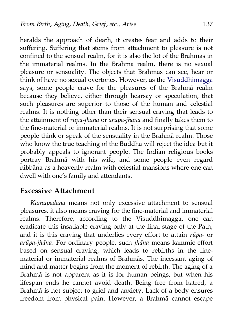heralds the approach of death, it creates fear and adds to their suffering. Suffering that stems from attachment to pleasure is not confined to the sensual realm, for it is also the lot of the Brahmās in the immaterial realms. In the Brahmā realm, there is no sexual pleasure or sensuality. The objects that Brahmās can see, hear or think of have no sexual overtones. However, as the [Visuddhimagga](http://www.abhidhamma.org/visuddhimagga-1.htm) says, some people crave for the pleasures of the Brahmā realm because they believe, either through hearsay or speculation, that such pleasures are superior to those of the human and celestial realms. It is nothing other than their sensual craving that leads to the attainment of *rūpa-jhāna* or *arūpa-jhāna* and finally takes them to the fine-material or immaterial realms. It is not surprising that some people think or speak of the sensuality in the Brahmā realm. Those who know the true teaching of the Buddha will reject the idea but it probably appeals to ignorant people. The Indian religious books portray Brahmā with his wife, and some people even regard nibbāna as a heavenly realm with celestial mansions where one can dwell with one's family and attendants.

### **Excessive Attachment**

*Kāmupādāna* means not only excessive attachment to sensual pleasures, it also means craving for the fine-material and immaterial realms. Therefore, according to the Visuddhimagga, one can eradicate this insatiable craving only at the final stage of the Path, and it is this craving that underlies every effort to attain *rūpa-* or *arūpa-jhāna.* For ordinary people, such *jhāna* means kammic effort based on sensual craving, which leads to rebirths in the finematerial or immaterial realms of Brahmās. The incessant aging of mind and matter begins from the moment of rebirth. The aging of a Brahmā is not apparent as it is for human beings, but when his lifespan ends he cannot avoid death. Being free from hatred, a Brahmā is not subject to grief and anxiety. Lack of a body ensures freedom from physical pain. However, a Brahmā cannot escape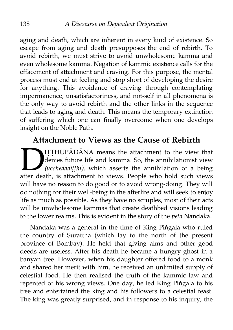aging and death, which are inherent in every kind of existence. So escape from aging and death presupposes the end of rebirth. To avoid rebirth, we must strive to avoid unwholesome kamma and even wholesome kamma. Negation of kammic existence calls for the effacement of attachment and craving. For this purpose, the mental process must end at feeling and stop short of developing the desire for anything. This avoidance of craving through contemplating impermanence, unsatisfactoriness, and not-self in all phenomena is the only way to avoid rebirth and the other links in the sequence that leads to aging and death. This means the temporary extinction of suffering which one can finally overcome when one develops insight on the Noble Path.

# **Attachment to Views as the Cause of Rebirth**

IṬṬHUPĀDĀNA means the attachment to the view that denies future life and kamma. So, the annihilationist view *(ucchedadiṭṭhi),* which asserts the annihilation of a being ITTHUPĀDĀNA means the attachment to the view that<br>denies future life and kamma. So, the annihilationist view<br>(*ucchedadiṭṭhi),* which asserts the annihilation of a being<br>after death, is attachment to views. People who hold will have no reason to do good or to avoid wrong-doing. They will do nothing for their well-being in the afterlife and will seek to enjoy life as much as possible. As they have no scruples, most of their acts will be unwholesome kammas that create deathbed visions leading to the lower realms. This is evident in the story of the *peta* Nandaka.

Nandaka was a general in the time of King Piṅgala who ruled the country of Surattha (which lay to the north of the present province of Bombay). He held that giving alms and other good deeds are useless. After his death he became a hungry ghost in a banyan tree. However, when his daughter offered food to a monk and shared her merit with him, he received an unlimited supply of celestial food. He then realised the truth of the kammic law and repented of his wrong views. One day, he led King Piṅgala to his tree and entertained the king and his followers to a celestial feast. The king was greatly surprised, and in response to his inquiry, the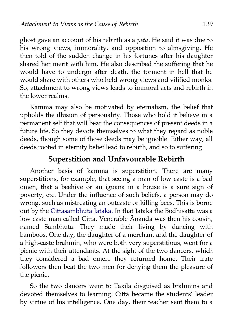ghost gave an account of his rebirth as a *peta.* He said it was due to his wrong views, immorality, and opposition to almsgiving. He then told of the sudden change in his fortunes after his daughter shared her merit with him. He also described the suffering that he would have to undergo after death, the torment in hell that he would share with others who held wrong views and vilified monks. So, attachment to wrong views leads to immoral acts and rebirth in the lower realms.

Kamma may also be motivated by eternalism, the belief that upholds the illusion of personality. Those who hold it believe in a permanent self that will bear the consequences of present deeds in a future life. So they devote themselves to what they regard as noble deeds, though some of those deeds may be ignoble. Either way, all deeds rooted in eternity belief lead to rebirth, and so to suffering.

### **Superstition and Unfavourable Rebirth**

Another basis of kamma is superstition. There are many superstitions, for example, that seeing a man of low caste is a bad omen, that a beehive or an iguana in a house is a sure sign of poverty, etc. Under the influence of such beliefs, a person may do wrong, such as mistreating an outcaste or killing bees. This is borne out by the [Cittasambhūta Jātaka.](http://aimwell.org/DPPN/citta_sambhuuta_jat_498.htm) In that Jātaka the Bodhisatta was a low caste man called Citta. Venerable Ānanda was then his cousin, named Sambhūta. They made their living by dancing with bamboos. One day, the daughter of a merchant and the daughter of a high-caste brahmin, who were both very superstitious, went for a picnic with their attendants. At the sight of the two dancers, which they considered a bad omen, they returned home. Their irate followers then beat the two men for denying them the pleasure of the picnic.

So the two dancers went to Taxila disguised as brahmins and devoted themselves to learning. Citta became the students' leader by virtue of his intelligence. One day, their teacher sent them to a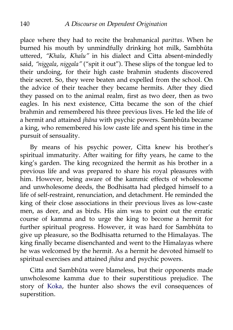place where they had to recite the brahmanical *parittas.* When he burned his mouth by unmindfully drinking hot milk, Sambhūta uttered, *"Khalu, Khalu"* in his dialect and Citta absent-mindedly said, *"niggala, niggala"* ("spit it out"). These slips of the tongue led to their undoing, for their high caste brahmin students discovered their secret. So, they were beaten and expelled from the school. On the advice of their teacher they became hermits. After they died they passed on to the animal realm, first as two deer, then as two eagles. In his next existence, Citta became the son of the chief brahmin and remembered his three previous lives. He led the life of a hermit and attained *jhāna* with psychic powers. Sambhūta became a king, who remembered his low caste life and spent his time in the pursuit of sensuality.

By means of his psychic power, Citta knew his brother's spiritual immaturity. After waiting for fifty years, he came to the king's garden. The king recognized the hermit as his brother in a previous life and was prepared to share his royal pleasures with him. However, being aware of the kammic effects of wholesome and unwholesome deeds, the Bodhisatta had pledged himself to a life of self-restraint, renunciation, and detachment. He reminded the king of their close associations in their previous lives as low-caste men, as deer, and as birds. His aim was to point out the erratic course of kamma and to urge the king to become a hermit for further spiritual progress. However, it was hard for Sambhūta to give up pleasure, so the Bodhisatta returned to the Himalayas. The king finally became disenchanted and went to the Himalayas where he was welcomed by the hermit. As a hermit he devoted himself to spiritual exercises and attained *jhāna* and psychic powers.

Citta and Sambhūta were blameless, but their opponents made unwholesome kamma due to their superstitious prejudice. The story of [Koka,](http://aimwell.org/DPPN/koka.htm) the hunter also shows the evil consequences of superstition.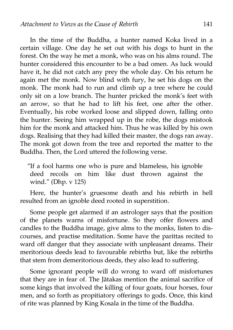In the time of the Buddha, a hunter named Koka lived in a certain village. One day he set out with his dogs to hunt in the forest. On the way he met a monk, who was on his alms round. The hunter considered this encounter to be a bad omen. As luck would have it, he did not catch any prey the whole day. On his return he again met the monk. Now blind with fury, he set his dogs on the monk. The monk had to run and climb up a tree where he could only sit on a low branch. The hunter pricked the monk's feet with an arrow, so that he had to lift his feet, one after the other. Eventually, his robe worked loose and slipped down, falling onto the hunter. Seeing him wrapped up in the robe, the dogs mistook him for the monk and attacked him. Thus he was killed by his own dogs. Realising that they had killed their master, the dogs ran away. The monk got down from the tree and reported the matter to the Buddha. Then, the Lord uttered the following verse.

"If a fool harms one who is pure and blameless, his ignoble deed recoils on him like dust thrown against the wind." (Dhp. v 125)

Here, the hunter's gruesome death and his rebirth in hell resulted from an ignoble deed rooted in superstition.

Some people get alarmed if an astrologer says that the position of the planets warns of misfortune. So they offer flowers and candles to the Buddha image, give alms to the monks, listen to discourses, and practise meditation. Some have the parittas recited to ward off danger that they associate with unpleasant dreams. Their meritorious deeds lead to favourable rebirths but, like the rebirths that stem from demeritorious deeds, they also lead to suffering.

Some ignorant people will do wrong to ward off misfortunes that they are in fear of. The Jātakas mention the animal sacrifice of some kings that involved the killing of four goats, four horses, four men, and so forth as propitiatory offerings to gods. Once, this kind of rite was planned by King Kosala in the time of the Buddha.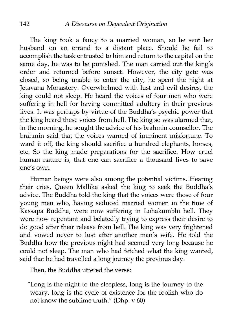The king took a fancy to a married woman, so he sent her husband on an errand to a distant place. Should he fail to accomplish the task entrusted to him and return to the capital on the same day, he was to be punished. The man carried out the king's order and returned before sunset. However, the city gate was closed, so being unable to enter the city, he spent the night at Jetavana Monastery. Overwhelmed with lust and evil desires, the king could not sleep. He heard the voices of four men who were suffering in hell for having committed adultery in their previous lives. It was perhaps by virtue of the Buddha's psychic power that the king heard these voices from hell. The king so was alarmed that, in the morning, he sought the advice of his brahmin counsellor. The brahmin said that the voices warned of imminent misfortune. To ward it off, the king should sacrifice a hundred elephants, horses, etc. So the king made preparations for the sacrifice. How cruel human nature is, that one can sacrifice a thousand lives to save one's own.

Human beings were also among the potential victims. Hearing their cries, Queen Mallikā asked the king to seek the Buddha's advice. The Buddha told the king that the voices were those of four young men who, having seduced married women in the time of Kassapa Buddha, were now suffering in Lohakumbhī hell. They were now repentant and belatedly trying to express their desire to do good after their release from hell. The king was very frightened and vowed never to lust after another man's wife. He told the Buddha how the previous night had seemed very long because he could not sleep. The man who had fetched what the king wanted, said that he had travelled a long journey the previous day.

Then, the Buddha uttered the verse:

"Long is the night to the sleepless, long is the journey to the weary, long is the cycle of existence for the foolish who do not know the sublime truth." (Dhp. v 60)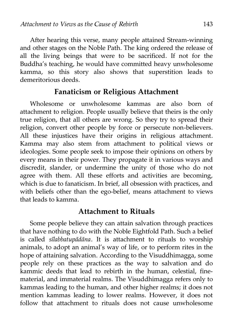After hearing this verse, many people attained Stream-winning and other stages on the Noble Path. The king ordered the release of all the living beings that were to be sacrificed. If not for the Buddha's teaching, he would have committed heavy unwholesome kamma, so this story also shows that superstition leads to demeritorious deeds.

#### **Fanaticism or Religious Attachment**

Wholesome or unwholesome kammas are also born of attachment to religion. People usually believe that theirs is the only true religion, that all others are wrong. So they try to spread their religion, convert other people by force or persecute non-believers. All these injustices have their origins in religious attachment. Kamma may also stem from attachment to political views or ideologies. Some people seek to impose their opinions on others by every means in their power. They propagate it in various ways and discredit, slander, or undermine the unity of those who do not agree with them. All these efforts and activities are becoming, which is due to fanaticism. In brief, all obsession with practices, and with beliefs other than the ego-belief, means attachment to views that leads to kamma.

#### **Attachment to Rituals**

Some people believe they can attain salvation through practices that have nothing to do with the Noble Eightfold Path. Such a belief is called *sīlabbatupādāna.* It is attachment to rituals to worship animals, to adopt an animal's way of life, or to perform rites in the hope of attaining salvation. According to the Visuddhimagga, some people rely on these practices as the way to salvation and do kammic deeds that lead to rebirth in the human, celestial, finematerial, and immaterial realms. The Visuddhimagga refers only to kammas leading to the human, and other higher realms; it does not mention kammas leading to lower realms. However, it does not follow that attachment to rituals does not cause unwholesome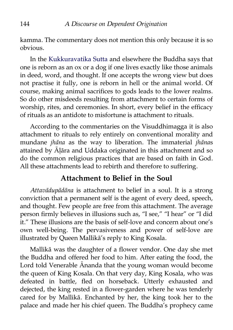kamma. The commentary does not mention this only because it is so obvious.

In the [Kukkuravatika Sutta](http://aimwell.org/DPPN/kukkuravatika_s.htm) and elsewhere the Buddha says that one is reborn as an ox or a dog if one lives exactly like those animals in deed, word, and thought. If one accepts the wrong view but does not practise it fully, one is reborn in hell or the animal world. Of course, making animal sacrifices to gods leads to the lower realms. So do other misdeeds resulting from attachment to certain forms of worship, rites, and ceremonies. In short, every belief in the efficacy of rituals as an antidote to misfortune is attachment to rituals.

According to the commentaries on the Visuddhimagga it is also attachment to rituals to rely entirely on conventional morality and mundane *jhāna* as the way to liberation. The immaterial *jhāna*s attained by Āḷāra and Uddaka originated in this attachment and so do the common religious practices that are based on faith in God. All these attachments lead to rebirth and therefore to suffering.

### **Attachment to Belief in the Soul**

*Attavādupādāna* is attachment to belief in a soul. It is a strong conviction that a permanent self is the agent of every deed, speech, and thought. Few people are free from this attachment. The average person firmly believes in illusions such as, "I see," "I hear" or "I did it." These illusions are the basis of self-love and concern about one's own well-being. The pervasiveness and power of self-love are illustrated by Queen Mallikā's reply to King Kosala.

Mallikā was the daughter of a flower vendor. One day she met the Buddha and offered her food to him. After eating the food, the Lord told Venerable Ānanda that the young woman would become the queen of King Kosala. On that very day, King Kosala, who was defeated in battle, fled on horseback. Utterly exhausted and dejected, the king rested in a flower-garden where he was tenderly cared for by Mallikā. Enchanted by her, the king took her to the palace and made her his chief queen. The Buddha's prophecy came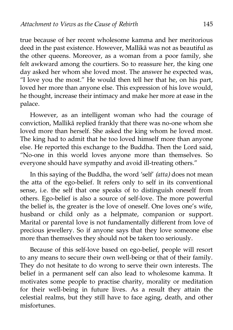true because of her recent wholesome kamma and her meritorious deed in the past existence. However, Mallikā was not as beautiful as the other queens. Moreover, as a woman from a poor family, she felt awkward among the courtiers. So to reassure her, the king one day asked her whom she loved most. The answer he expected was, "I love you the most." He would then tell her that he, on his part, loved her more than anyone else. This expression of his love would, he thought, increase their intimacy and make her more at ease in the palace.

However, as an intelligent woman who had the courage of conviction, Mallikā replied frankly that there was no-one whom she loved more than herself. She asked the king whom he loved most. The king had to admit that he too loved himself more than anyone else. He reported this exchange to the Buddha. Then the Lord said, "No-one in this world loves anyone more than themselves. So everyone should have sympathy and avoid ill-treating others."

In this saying of the Buddha, the word 'self' *(atta)* does not mean the atta of the ego-belief. It refers only to self in its conventional sense, i.e. the self that one speaks of to distinguish oneself from others. Ego-belief is also a source of self-love. The more powerful the belief is, the greater is the love of oneself. One loves one's wife, husband or child only as a helpmate, companion or support. Marital or parental love is not fundamentally different from love of precious jewellery. So if anyone says that they love someone else more than themselves they should not be taken too seriously.

Because of this self-love based on ego-belief, people will resort to any means to secure their own well-being or that of their family. They do not hesitate to do wrong to serve their own interests. The belief in a permanent self can also lead to wholesome kamma. It motivates some people to practise charity, morality or meditation for their well-being in future lives. As a result they attain the celestial realms, but they still have to face aging, death, and other misfortunes.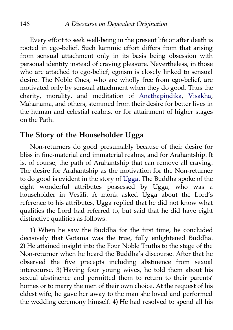Every effort to seek well-being in the present life or after death is rooted in ego-belief. Such kammic effort differs from that arising from sensual attachment only in its basis being obsession with personal identity instead of craving pleasure. Nevertheless, in those who are attached to ego-belief, egoism is closely linked to sensual desire. The Noble Ones, who are wholly free from ego-belief, are motivated only by sensual attachment when they do good. Thus the charity, morality, and meditation of Anāthapindika, [Visākhā,](http://aimwell.org/DPPN/visaakhaa.htm) Mahānāma, and others, stemmed from their desire for better lives in the human and celestial realms, or for attainment of higher stages on the Path.

## **The Story of the Householder Ugga**

Non-returners do good presumably because of their desire for bliss in fine-material and immaterial realms, and for Arahantship. It is, of course, the path of Arahantship that can remove all craving. The desire for Arahantship as the motivation for the Non-returner to do good is evident in the story of [Ugga.](http://aimwell.org/DPPN/ugga.htm) The Buddha spoke of the eight wonderful attributes possessed by Ugga, who was a householder in Vesālī. A monk asked Ugga about the Lord's reference to his attributes, Ugga replied that he did not know what qualities the Lord had referred to, but said that he did have eight distinctive qualities as follows.

1) When he saw the Buddha for the first time, he concluded decisively that Gotama was the true, fully enlightened Buddha. 2) He attained insight into the Four Noble Truths to the stage of the Non-returner when he heard the Buddha's discourse. After that he observed the five precepts including abstinence from sexual intercourse. 3) Having four young wives, he told them about his sexual abstinence and permitted them to return to their parents' homes or to marry the men of their own choice. At the request of his eldest wife, he gave her away to the man she loved and performed the wedding ceremony himself. 4) He had resolved to spend all his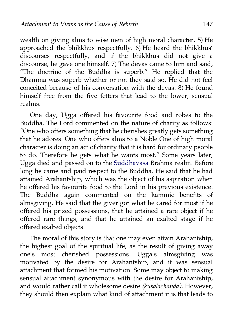wealth on giving alms to wise men of high moral character. 5) He approached the bhikkhus respectfully. 6) He heard the bhikkhus' discourses respectfully, and if the bhikkhus did not give a discourse, he gave one himself. 7) The devas came to him and said, "The doctrine of the Buddha is superb." He replied that the Dhamma was superb whether or not they said so. He did not feel conceited because of his conversation with the devas. 8) He found himself free from the five fetters that lead to the lower, sensual realms.

One day, Ugga offered his favourite food and robes to the Buddha. The Lord commented on the nature of charity as follows: "One who offers something that he cherishes greatly gets something that he adores. One who offers alms to a Noble One of high moral character is doing an act of charity that it is hard for ordinary people to do. Therefore he gets what he wants most." Some years later, Ugga died and passed on to the [Suddhāvāsa](http://aimwell.org/DPPN/suddhaavaasaa.htm) Brahmā realm. Before long he came and paid respect to the Buddha. He said that he had attained Arahantship, which was the object of his aspiration when he offered his favourite food to the Lord in his previous existence. The Buddha again commented on the kammic benefits of almsgiving. He said that the giver got what he cared for most if he offered his prized possessions, that he attained a rare object if he offered rare things, and that he attained an exalted stage if he offered exalted objects.

The moral of this story is that one may even attain Arahantship, the highest goal of the spiritual life, as the result of giving away one's most cherished possessions. Ugga's almsgiving was motivated by the desire for Arahantship, and it was sensual attachment that formed his motivation. Some may object to making sensual attachment synonymous with the desire for Arahantship, and would rather call it wholesome desire *(kusalachanda).* However, they should then explain what kind of attachment it is that leads to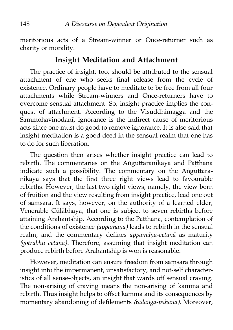meritorious acts of a Stream-winner or Once-returner such as charity or morality.

### **Insight Meditation and Attachment**

The practice of insight, too, should be attributed to the sensual attachment of one who seeks final release from the cycle of existence. Ordinary people have to meditate to be free from all four attachments while Stream-winners and Once-returners have to overcome sensual attachment. So, insight practice implies the conquest of attachment. According to the Visuddhimagga and the Sammohavinodanī, ignorance is the indirect cause of meritorious acts since one must do good to remove ignorance. It is also said that insight meditation is a good deed in the sensual realm that one has to do for such liberation.

The question then arises whether insight practice can lead to rebirth. The commentaries on the Aṅguttaranikāya and Patthāna indicate such a possibility. The commentary on the Aṅguttaranikāya says that the first three right views lead to favourable rebirths. However, the last two right views, namely, the view born of fruition and the view resulting from insight practice, lead one out of saṃsāra. It says, however, on the authority of a learned elder, Venerable Cūḷābhaya, that one is subject to seven rebirths before attaining Arahantship. According to the Paṭṭhāna, contemplation of the conditions of existence *(appamāṇa)* leads to rebirth in the sensual realm, and the commentary defines *appamāṇa-cetanā* as maturity *(gotrabhū cetanā).* Therefore, assuming that insight meditation can produce rebirth before Arahantship is won is reasonable.

However, meditation can ensure freedom from saṃsāra through insight into the impermanent, unsatisfactory, and not-self characteristics of all sense-objects, an insight that wards off sensual craving. The non-arising of craving means the non-arising of kamma and rebirth. Thus insight helps to offset kamma and its consequences by momentary abandoning of defilements *(tadaṅga-pahāna).* Moreover,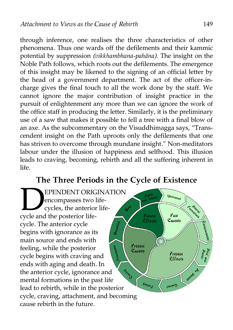through inference, one realises the three characteristics of other phenomena. Thus one wards off the defilements and their kammic potential by suppression *(vikkhambhana-pahāna).* The insight on the Noble Path follows, which roots out the defilements. The emergence of this insight may be likened to the signing of an official letter by the head of a government department. The act of the officer-incharge gives the final touch to all the work done by the staff. We cannot ignore the major contribution of insight practice in the pursuit of enlightenment any more than we can ignore the work of the office staff in producing the letter. Similarly, it is the preliminary use of a saw that makes it possible to fell a tree with a final blow of an axe. As the subcommentary on the Visuddhimagga says, "Transcendent insight on the Path uproots only the defilements that one has striven to overcome through mundane insight." Non-meditators labour under the illusion of happiness and selfhood. This illusion leads to craving, becoming, rebirth and all the suffering inherent in life.

## **The Three Periods in the Cycle of Existence**

EPENDENT ORIG<br>
encompasses two l<br>
cycles, the anterior<br>
cycle and the posterior life-EPENDENT ORIGINATION  $l_{\mathcal{G}n_{\text{O}r_{\text{d}}n_{\text{C}\text{C}}}}$ encompasses two life-Formations cycles, the anterior life- $\boldsymbol{\delta}^{\zeta}$ Past Future Effects Causes cycle. The anterior cycle begins with ignorance as its main source and ends with Present Arrachment feeling, while the posterior Causes Present cycle begins with craving and **Effects** ends with aging and death. In **CROSSES** AS **Eunido** the anterior cycle, ignorance and mental formations in the past life  $\varepsilon_{u_{\parallel}}$ Contae<sub>l</sub> lead to rebirth, while in the posterior cycle, craving, attachment, and becoming cause rebirth in the future.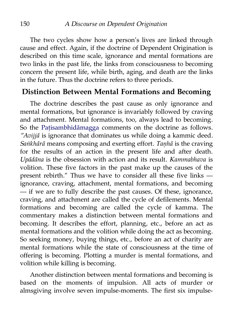The two cycles show how a person's lives are linked through cause and effect. Again, if the doctrine of Dependent Origination is described on this time scale, ignorance and mental formations are two links in the past life, the links from consciousness to becoming concern the present life, while birth, aging, and death are the links in the future. Thus the doctrine refers to three periods.

#### **Distinction Between Mental Formations and Becoming**

The doctrine describes the past cause as only ignorance and mental formations, but ignorance is invariably followed by craving and attachment. Mental formations, too, always lead to becoming. So the Patisambhidāmagga comments on the doctrine as follows. *"Avijjā* is ignorance that dominates us while doing a kammic deed. *Saṅkhārā* means composing and exerting effort. *Taṇhā* is the craving for the results of an action in the present life and after death. *Upādāna* is the obsession with action and its result. *Kammabhava* is volition. These five factors in the past make up the causes of the present rebirth." Thus we have to consider all these five links ignorance, craving, attachment, mental formations, and becoming — if we are to fully describe the past causes. Of these, ignorance, craving, and attachment are called the cycle of defilements. Mental formations and becoming are called the cycle of kamma. The commentary makes a distinction between mental formations and becoming. It describes the effort, planning, etc., before an act as mental formations and the volition while doing the act as becoming. So seeking money, buying things, etc., before an act of charity are mental formations while the state of consciousness at the time of offering is becoming. Plotting a murder is mental formations, and volition while killing is becoming.

Another distinction between mental formations and becoming is based on the moments of impulsion. All acts of murder or almsgiving involve seven impulse-moments. The first six impulse-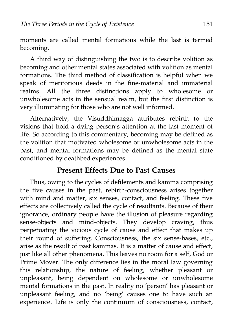moments are called mental formations while the last is termed becoming.

A third way of distinguishing the two is to describe volition as becoming and other mental states associated with volition as mental formations. The third method of classification is helpful when we speak of meritorious deeds in the fine-material and immaterial realms. All the three distinctions apply to wholesome or unwholesome acts in the sensual realm, but the first distinction is very illuminating for those who are not well informed.

Alternatively, the Visuddhimagga attributes rebirth to the visions that hold a dying person's attention at the last moment of life. So according to this commentary, becoming may be defined as the volition that motivated wholesome or unwholesome acts in the past, and mental formations may be defined as the mental state conditioned by deathbed experiences.

## **Present Effects Due to Past Causes**

Thus, owing to the cycles of defilements and kamma comprising the five causes in the past, rebirth-consciousness arises together with mind and matter, six senses, contact, and feeling. These five effects are collectively called the cycle of resultants. Because of their ignorance, ordinary people have the illusion of pleasure regarding sense-objects and mind-objects. They develop craving, thus perpetuating the vicious cycle of cause and effect that makes up their round of suffering. Consciousness, the six sense-bases, etc., arise as the result of past kammas. It is a matter of cause and effect, just like all other phenomena. This leaves no room for a self, God or Prime Mover. The only difference lies in the moral law governing this relationship, the nature of feeling, whether pleasant or unpleasant, being dependent on wholesome or unwholesome mental formations in the past. In reality no 'person' has pleasant or unpleasant feeling, and no 'being' causes one to have such an experience. Life is only the continuum of consciousness, contact,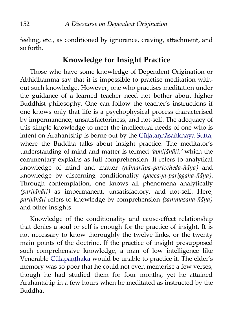feeling, etc., as conditioned by ignorance, craving, attachment, and so forth.

### **Knowledge for Insight Practice**

Those who have some knowledge of Dependent Origination or Abhidhamma say that it is impossible to practise meditation without such knowledge. However, one who practises meditation under the guidance of a learned teacher need not bother about higher Buddhist philosophy. One can follow the teacher's instructions if one knows only that life is a psychophysical process characterised by impermanence, unsatisfactoriness, and not-self. The adequacy of this simple knowledge to meet the intellectual needs of one who is intent on Arahantship is borne out by the [Cūḷataṇhāsaṅkhaya Sutta,](http://aimwell.org/DPPN/cuula_tanhaasankhaya_s.htm) where the Buddha talks about insight practice. The meditator's understanding of mind and matter is termed *'abhijānāti,'* which the commentary explains as full comprehension. It refers to analytical knowledge of mind and matter *(nāmarūpa-pariccheda-ñāṇa)* and knowledge by discerning conditionality *(paccaya-pariggaha-ñāṇa).* Through contemplation, one knows all phenomena analytically *(parijānāti)* as impermanent, unsatisfactory, and not-self. Here, *parijānāti* refers to knowledge by comprehension *(sammasana-ñāṇa)* and other insights.

Knowledge of the conditionality and cause-effect relationship that denies a soul or self is enough for the practice of insight. It is not necessary to know thoroughly the twelve links, or the twenty main points of the doctrine. If the practice of insight presupposed such comprehensive knowledge, a man of low intelligence like Venerable [Cūḷapaṇṭhaka](http://aimwell.org/DPPN/cuula_panthaka_th.htm) would be unable to practice it. The elder's memory was so poor that he could not even memorise a few verses, though he had studied them for four months, yet he attained Arahantship in a few hours when he meditated as instructed by the Buddha.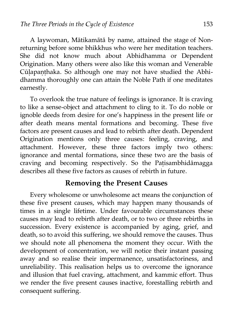A laywoman, Mātikamātā by name, attained the stage of Nonreturning before some bhikkhus who were her meditation teachers. She did not know much about Abhidhamma or Dependent Origination. Many others were also like this woman and Venerable Cūḷapaṇṭhaka. So although one may not have studied the Abhidhamma thoroughly one can attain the Noble Path if one meditates earnestly.

To overlook the true nature of feelings is ignorance. It is craving to like a sense-object and attachment to cling to it. To do noble or ignoble deeds from desire for one's happiness in the present life or after death means mental formations and becoming. These five factors are present causes and lead to rebirth after death. Dependent Origination mentions only three causes: feeling, craving, and attachment. However, these three factors imply two others: ignorance and mental formations, since these two are the basis of craving and becoming respectively. So the Paṭisambhidāmagga describes all these five factors as causes of rebirth in future.

### **Removing the Present Causes**

Every wholesome or unwholesome act means the conjunction of these five present causes, which may happen many thousands of times in a single lifetime. Under favourable circumstances these causes may lead to rebirth after death, or to two or three rebirths in succession. Every existence is accompanied by aging, grief, and death, so to avoid this suffering, we should remove the causes. Thus we should note all phenomena the moment they occur. With the development of concentration, we will notice their instant passing away and so realise their impermanence, unsatisfactoriness, and unreliability. This realisation helps us to overcome the ignorance and illusion that fuel craving, attachment, and kammic effort. Thus we render the five present causes inactive, forestalling rebirth and consequent suffering.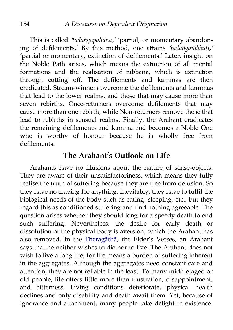This is called *'tadaṅgapahāna,'* 'partial, or momentary abandoning of defilements.' By this method, one attains *'tadaṅganibbuti,'* 'partial or momentary, extinction of defilements.' Later, insight on the Noble Path arises, which means the extinction of all mental formations and the realisation of nibbāna, which is extinction through cutting off. The defilements and kammas are then eradicated. Stream-winners overcome the defilements and kammas that lead to the lower realms, and those that may cause more than seven rebirths. Once-returners overcome defilements that may cause more than one rebirth, while Non-returners remove those that lead to rebirths in sensual realms. Finally, the Arahant eradicates the remaining defilements and kamma and becomes a Noble One who is worthy of honour because he is wholly free from defilements.

#### **The Arahant's Outlook on Life**

Arahants have no illusions about the nature of sense-objects. They are aware of their unsatisfactoriness, which means they fully realise the truth of suffering because they are free from delusion. So they have no craving for anything. Inevitably, they have to fulfil the biological needs of the body such as eating, sleeping, etc., but they regard this as conditioned suffering and find nothing agreeable. The question arises whether they should long for a speedy death to end such suffering. Nevertheless, the desire for early death or dissolution of the physical body is aversion, which the Arahant has also removed. In the [Theragāthā,](http://aimwell.org/DPPN/theragaathaa.htm) the Elder's Verses, an Arahant says that he neither wishes to die nor to live. The Arahant does not wish to live a long life, for life means a burden of suffering inherent in the aggregates. Although the aggregates need constant care and attention, they are not reliable in the least. To many middle-aged or old people, life offers little more than frustration, disappointment, and bitterness. Living conditions deteriorate, physical health declines and only disability and death await them. Yet, because of ignorance and attachment, many people take delight in existence.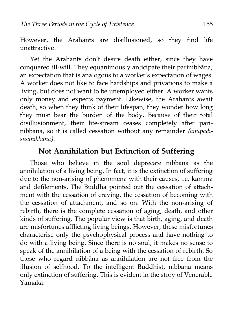However, the Arahants are disillusioned, so they find life unattractive.

Yet the Arahants don't desire death either, since they have conquered ill-will. They equanimously anticipate their parinibbāna, an expectation that is analogous to a worker's expectation of wages. A worker does not like to face hardships and privations to make a living, but does not want to be unemployed either. A worker wants only money and expects payment. Likewise, the Arahants await death, so when they think of their lifespan, they wonder how long they must bear the burden of the body. Because of their total disillusionment, their life-stream ceases completely after parinibbāna, so it is called cessation without any remainder *(anupādisesanibbāna).*

#### **Not Annihilation but Extinction of Suffering**

Those who believe in the soul deprecate nibbāna as the annihilation of a living being. In fact, it is the extinction of suffering due to the non-arising of phenomena with their causes, i.e. kamma and defilements. The Buddha pointed out the cessation of attachment with the cessation of craving, the cessation of becoming with the cessation of attachment, and so on. With the non-arising of rebirth, there is the complete cessation of aging, death, and other kinds of suffering. The popular view is that birth, aging, and death are misfortunes afflicting living beings. However, these misfortunes characterise only the psychophysical process and have nothing to do with a living being. Since there is no soul, it makes no sense to speak of the annihilation of a being with the cessation of rebirth. So those who regard nibbāna as annihilation are not free from the illusion of selfhood. To the intelligent Buddhist, nibbāna means only extinction of suffering. This is evident in the story of Venerable Yamaka.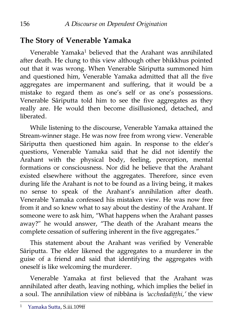# **The Story of Venerable Yamaka**

Venerable Yamaka<sup>[1](#page-163-0)</sup> believed that the Arahant was annihilated after death. He clung to this view although other bhikkhus pointed out that it was wrong. When Venerable Sāriputta summoned him and questioned him, Venerable Yamaka admitted that all the five aggregates are impermanent and suffering, that it would be a mistake to regard them as one's self or as one's possessions. Venerable Sāriputta told him to see the five aggregates as they really are. He would then become disillusioned, detached, and liberated.

While listening to the discourse, Venerable Yamaka attained the Stream-winner stage. He was now free from wrong view. Venerable Sāriputta then questioned him again. In response to the elder's questions, Venerable Yamaka said that he did not identify the Arahant with the physical body, feeling, perception, mental formations or consciousness. Nor did he believe that the Arahant existed elsewhere without the aggregates. Therefore, since even during life the Arahant is not to be found as a living being, it makes no sense to speak of the Arahant's annihilation after death. Venerable Yamaka confessed his mistaken view. He was now free from it and so knew what to say about the destiny of the Arahant. If someone were to ask him, "What happens when the Arahant passes away?" he would answer, "The death of the Arahant means the complete cessation of suffering inherent in the five aggregates."

This statement about the Arahant was verified by Venerable Sāriputta. The elder likened the aggregates to a murderer in the guise of a friend and said that identifying the aggregates with oneself is like welcoming the murderer.

Venerable Yamaka at first believed that the Arahant was annihilated after death, leaving nothing, which implies the belief in a soul. The annihilation view of nibbāna is *'ucchedadiṭṭhi,'* the view

<span id="page-163-0"></span><sup>1</sup> [Yamaka Sutta,](http://aimwell.org/DPPN/yamaka_sutta.htm) S.iii.109ff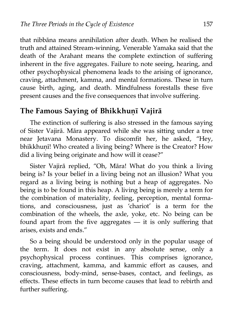that nibbāna means annihilation after death. When he realised the truth and attained Stream-winning, Venerable Yamaka said that the death of the Arahant means the complete extinction of suffering inherent in the five aggregates. Failure to note seeing, hearing, and other psychophysical phenomena leads to the arising of ignorance, craving, attachment, kamma, and mental formations. These in turn cause birth, aging, and death. Mindfulness forestalls these five present causes and the five consequences that involve suffering.

### **The Famous Saying of Bhikkhuṇī Vajirā**

The extinction of suffering is also stressed in the famous saying of Sister Vajirā. Māra appeared while she was sitting under a tree near Jetavana Monastery. To discomfit her, he asked, "Hey, bhikkhuṇī! Who created a living being? Where is the Creator? How did a living being originate and how will it cease?"

Sister Vajirā replied, "Oh, Māra! What do you think a living being is? Is your belief in a living being not an illusion? What you regard as a living being is nothing but a heap of aggregates. No being is to be found in this heap. A living being is merely a term for the combination of materiality, feeling, perception, mental formations, and consciousness, just as 'chariot' is a term for the combination of the wheels, the axle, yoke, etc. No being can be found apart from the five aggregates — it is only suffering that arises, exists and ends."

So a being should be understood only in the popular usage of the term. It does not exist in any absolute sense, only a psychophysical process continues. This comprises ignorance, craving, attachment, kamma, and kammic effort as causes, and consciousness, body-mind, sense-bases, contact, and feelings, as effects. These effects in turn become causes that lead to rebirth and further suffering.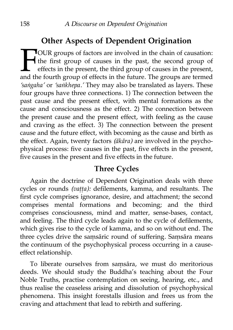# **Other Aspects of Dependent Origination**

OUR groups of factors are involved in the chain of causation: the first group of causes in the past, the second group of effects in the present, the third group of causes in the present, and the fourth group of effects in the future. The groups are termed *'saṅgaha'* or *'saṅkhepa.'* They may also be translated as layers. These four groups have three connections. 1) The connection between the past cause and the present effect, with mental formations as the cause and consciousness as the effect. 2) The connection between the present cause and the present effect, with feeling as the cause and craving as the effect. 3) The connection between the present cause and the future effect, with becoming as the cause and birth as the effect. Again, twenty factors *(ākāra)* are involved in the psychophysical process: five causes in the past, five effects in the present, five causes in the present and five effects in the future.  $\prod_{\substack{\text{and the}}}$ 

## **Three Cycles**

Again the doctrine of Dependent Origination deals with three cycles or rounds *(vaṭṭa):* defilements, kamma, and resultants. The first cycle comprises ignorance, desire, and attachment; the second comprises mental formations and becoming; and the third comprises consciousness, mind and matter, sense-bases, contact, and feeling. The third cycle leads again to the cycle of defilements, which gives rise to the cycle of kamma, and so on without end. The three cycles drive the saṃsāric round of suffering. Saṃsāra means the continuum of the psychophysical process occurring in a causeeffect relationship.

To liberate ourselves from saṃsāra, we must do meritorious deeds. We should study the Buddha's teaching about the Four Noble Truths, practise contemplation on seeing, hearing, etc., and thus realise the ceaseless arising and dissolution of psychophysical phenomena. This insight forestalls illusion and frees us from the craving and attachment that lead to rebirth and suffering.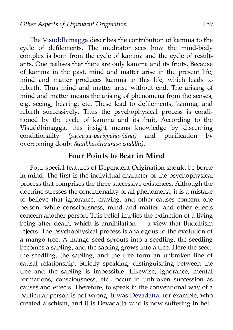The [Visuddhimagga](http://www.abhidhamma.org/visuddhimagga-1.htm) describes the contribution of kamma to the cycle of defilements. The meditator sees how the mind-body complex is born from the cycle of kamma and the cycle of resultants. One realises that there are only kamma and its fruits. Because of kamma in the past, mind and matter arise in the present life; mind and matter produces kamma in this life, which leads to rebirth. Thus mind and matter arise without end. The arising of mind and matter means the arising of phenomena from the senses, e.g. seeing, hearing, etc. These lead to defilements, kamma, and rebirth successively. Thus the psychophysical process is conditioned by the cycle of kamma and its fruit. According to the Visuddhimagga, this insight means knowledge by discerning conditionality *(paccaya-pariggaha-ñāṇa)* and purification by overcoming doubt *(kaṅkhāvitaraṇa-visuddhi).*

#### **Four Points to Bear in Mind**

Four special features of Dependent Origination should be borne in mind. The first is the individual character of the psychophysical process that comprises the three successive existences. Although the doctrine stresses the conditionality of all phenomena, it is a mistake to believe that ignorance, craving, and other causes concern one person, while consciousness, mind and matter, and other effects concern another person. This belief implies the extinction of a living being after death, which is annihilation — a view that Buddhism rejects. The psychophysical process is analogous to the evolution of a mango tree. A mango seed sprouts into a seedling, the seedling becomes a sapling, and the sapling grows into a tree. Here the seed, the seedling, the sapling, and the tree form an unbroken line of causal relationship. Strictly speaking, distinguishing between the tree and the sapling is impossible. Likewise, ignorance, mental formations, consciousness, etc., occur in unbroken succession as causes and effects. Therefore, to speak in the conventional way of a particular person is not wrong. It was [Devadatta,](http://aimwell.org/DPPN/devadatta.htm) for example, who created a schism, and it is Devadatta who is now suffering in hell.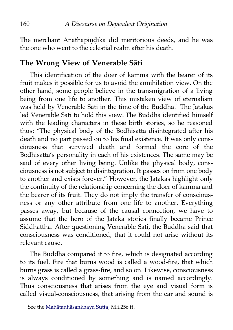The merchant Anāthapindika did meritorious deeds, and he was the one who went to the celestial realm after his death.

# **The Wrong View of Venerable Sāti**

This identification of the doer of kamma with the bearer of its fruit makes it possible for us to avoid the annihilation view. On the other hand, some people believe in the transmigration of a living being from one life to another. This mistaken view of eternalism was held by Venerable Sāti in the time of the Buddha.<sup>[1](#page-167-0)</sup> The Jātakas led Venerable Sāti to hold this view. The Buddha identified himself with the leading characters in these birth stories, so he reasoned thus: "The physical body of the Bodhisatta disintegrated after his death and no part passed on to his final existence. It was only consciousness that survived death and formed the core of the Bodhisatta's personality in each of his existences. The same may be said of every other living being. Unlike the physical body, consciousness is not subject to disintegration. It passes on from one body to another and exists forever." However, the Jātakas highlight only the continuity of the relationship concerning the doer of kamma and the bearer of its fruit. They do not imply the transfer of consciousness or any other attribute from one life to another. Everything passes away, but because of the causal connection, we have to assume that the hero of the Jātaka stories finally became Prince Siddhattha. After questioning Venerable Sāti, the Buddha said that consciousness was conditioned, that it could not arise without its relevant cause.

The Buddha compared it to fire, which is designated according to its fuel. Fire that burns wood is called a wood-fire, that which burns grass is called a grass-fire, and so on. Likewise, consciousness is always conditioned by something and is named accordingly. Thus consciousness that arises from the eye and visual form is called visual-consciousness, that arising from the ear and sound is

<span id="page-167-0"></span><sup>&</sup>lt;sup>1</sup> See the [Mahātanhāsankhaya Sutta,](http://aimwell.org/DPPN/mahatanhasankhaya_s.htm) M.i.256 ff.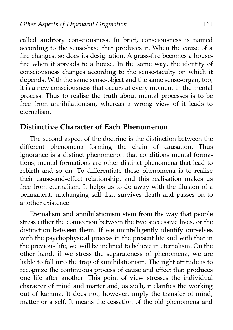called auditory consciousness. In brief, consciousness is named according to the sense-base that produces it. When the cause of a fire changes, so does its designation. A grass-fire becomes a housefire when it spreads to a house. In the same way, the identity of consciousness changes according to the sense-faculty on which it depends. With the same sense-object and the same sense-organ, too, it is a new consciousness that occurs at every moment in the mental process. Thus to realise the truth about mental processes is to be free from annihilationism, whereas a wrong view of it leads to eternalism.

### **Distinctive Character of Each Phenomenon**

The second aspect of the doctrine is the distinction between the different phenomena forming the chain of causation. Thus ignorance is a distinct phenomenon that conditions mental formations, mental formations are other distinct phenomena that lead to rebirth and so on. To differentiate these phenomena is to realise their cause-and-effect relationship, and this realisation makes us free from eternalism. It helps us to do away with the illusion of a permanent, unchanging self that survives death and passes on to another existence.

Eternalism and annihilationism stem from the way that people stress either the connection between the two successive lives, or the distinction between them. If we unintelligently identify ourselves with the psychophysical process in the present life and with that in the previous life, we will be inclined to believe in eternalism. On the other hand, if we stress the separateness of phenomena, we are liable to fall into the trap of annihilationism. The right attitude is to recognize the continuous process of cause and effect that produces one life after another. This point of view stresses the individual character of mind and matter and, as such, it clarifies the working out of kamma. It does not, however, imply the transfer of mind, matter or a self. It means the cessation of the old phenomena and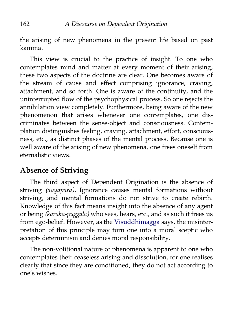the arising of new phenomena in the present life based on past kamma.

This view is crucial to the practice of insight. To one who contemplates mind and matter at every moment of their arising, these two aspects of the doctrine are clear. One becomes aware of the stream of cause and effect comprising ignorance, craving, attachment, and so forth. One is aware of the continuity, and the uninterrupted flow of the psychophysical process. So one rejects the annihilation view completely. Furthermore, being aware of the new phenomenon that arises whenever one contemplates, one discriminates between the sense-object and consciousness. Contemplation distinguishes feeling, craving, attachment, effort, consciousness, etc., as distinct phases of the mental process. Because one is well aware of the arising of new phenomena, one frees oneself from eternalistic views.

## **Absence of Striving**

The third aspect of Dependent Origination is the absence of striving *(avyāpāra).* Ignorance causes mental formations without striving, and mental formations do not strive to create rebirth. Knowledge of this fact means insight into the absence of any agent or being *(kāraka-puggala)* who sees, hears, etc., and as such it frees us from ego-belief. However, as the [Visuddhimagga](http://www.abhidhamma.org/visuddhimagga-1.htm) says, the misinterpretation of this principle may turn one into a moral sceptic who accepts determinism and denies moral responsibility.

The non-volitional nature of phenomena is apparent to one who contemplates their ceaseless arising and dissolution, for one realises clearly that since they are conditioned, they do not act according to one's wishes.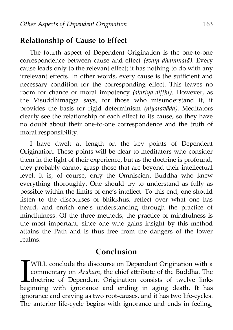### **Relationship of Cause to Effect**

The fourth aspect of Dependent Origination is the one-to-one correspondence between cause and effect *(evaṃ dhammatā).* Every cause leads only to the relevant effect; it has nothing to do with any irrelevant effects. In other words, every cause is the sufficient and necessary condition for the corresponding effect. This leaves no room for chance or moral impotency *(akiriya-diṭṭhi).* However, as the Visuddhimagga says, for those who misunderstand it, it provides the basis for rigid determinism *(niyatavāda).* Meditators clearly see the relationship of each effect to its cause, so they have no doubt about their one-to-one correspondence and the truth of moral responsibility.

I have dwelt at length on the key points of Dependent Origination. These points will be clear to meditators who consider them in the light of their experience, but as the doctrine is profound, they probably cannot grasp those that are beyond their intellectual level. It is, of course, only the Omniscient Buddha who knew everything thoroughly. One should try to understand as fully as possible within the limits of one's intellect. To this end, one should listen to the discourses of bhikkhus, reflect over what one has heard, and enrich one's understanding through the practice of mindfulness. Of the three methods, the practice of mindfulness is the most important, since one who gains insight by this method attains the Path and is thus free from the dangers of the lower realms.

### **Conclusion**

WILL conclude the discourse on Dependent Origination with a commentary on *Arahaṃ,* the chief attribute of the Buddha. The doctrine of Dependent Origination consists of twelve links WILL conclude the discourse on Dependent Origination with a commentary on *Araham*, the chief attribute of the Buddha. The doctrine of Dependent Origination consists of twelve links beginning with ignorance and ending in a ignorance and craving as two root-causes, and it has two life-cycles. The anterior life-cycle begins with ignorance and ends in feeling,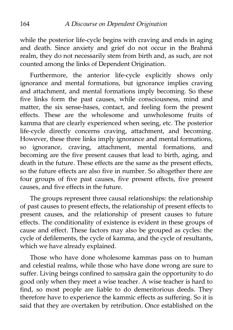while the posterior life-cycle begins with craving and ends in aging and death. Since anxiety and grief do not occur in the Brahmā realm, they do not necessarily stem from birth and, as such, are not counted among the links of Dependent Origination.

Furthermore, the anterior life-cycle explicitly shows only ignorance and mental formations, but ignorance implies craving and attachment, and mental formations imply becoming. So these five links form the past causes, while consciousness, mind and matter, the six sense-bases, contact, and feeling form the present effects. These are the wholesome and unwholesome fruits of kamma that are clearly experienced when seeing, etc. The posterior life-cycle directly concerns craving, attachment, and becoming. However, these three links imply ignorance and mental formations, so ignorance, craving, attachment, mental formations, and becoming are the five present causes that lead to birth, aging, and death in the future. These effects are the same as the present effects, so the future effects are also five in number. So altogether there are four groups of five past causes, five present effects, five present causes, and five effects in the future.

The groups represent three causal relationships: the relationship of past causes to present effects, the relationship of present effects to present causes, and the relationship of present causes to future effects. The conditionality of existence is evident in these groups of cause and effect. These factors may also be grouped as cycles: the cycle of defilements, the cycle of kamma, and the cycle of resultants, which we have already explained.

Those who have done wholesome kammas pass on to human and celestial realms, while those who have done wrong are sure to suffer. Living beings confined to samsāra gain the opportunity to do good only when they meet a wise teacher. A wise teacher is hard to find, so most people are liable to do demeritorious deeds. They therefore have to experience the kammic effects as suffering. So it is said that they are overtaken by retribution. Once established on the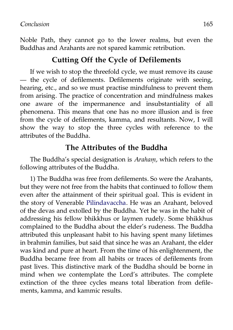Noble Path, they cannot go to the lower realms, but even the Buddhas and Arahants are not spared kammic retribution.

### **Cutting Off the Cycle of Defilements**

If we wish to stop the threefold cycle, we must remove its cause — the cycle of defilements. Defilements originate with seeing, hearing, etc., and so we must practise mindfulness to prevent them from arising. The practice of concentration and mindfulness makes one aware of the impermanence and insubstantiality of all phenomena. This means that one has no more illusion and is free from the cycle of defilements, kamma, and resultants. Now, I will show the way to stop the three cycles with reference to the attributes of the Buddha.

### **The Attributes of the Buddha**

The Buddha's special designation is *Arahaṃ,* which refers to the following attributes of the Buddha.

1) The Buddha was free from defilements. So were the Arahants, but they were not free from the habits that continued to follow them even after the attainment of their spiritual goal. This is evident in the story of Venerable [Pilindavaccha.](http://aimwell.org/DPPN/pilinda_vaccha.htm) He was an Arahant, beloved of the devas and extolled by the Buddha. Yet he was in the habit of addressing his fellow bhikkhus or laymen rudely. Some bhikkhus complained to the Buddha about the elder's rudeness. The Buddha attributed this unpleasant habit to his having spent many lifetimes in brahmin families, but said that since he was an Arahant, the elder was kind and pure at heart. From the time of his enlightenment, the Buddha became free from all habits or traces of defilements from past lives. This distinctive mark of the Buddha should be borne in mind when we contemplate the Lord's attributes. The complete extinction of the three cycles means total liberation from defilements, kamma, and kammic results.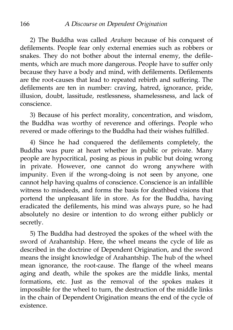2) The Buddha was called *Arahaṃ* because of his conquest of defilements. People fear only external enemies such as robbers or snakes. They do not bother about the internal enemy, the defilements, which are much more dangerous. People have to suffer only because they have a body and mind, with defilements. Defilements are the root-causes that lead to repeated rebirth and suffering. The defilements are ten in number: craving, hatred, ignorance, pride, illusion, doubt, lassitude, restlessness, shamelessness, and lack of conscience.

3) Because of his perfect morality, concentration, and wisdom, the Buddha was worthy of reverence and offerings. People who revered or made offerings to the Buddha had their wishes fulfilled.

4) Since he had conquered the defilements completely, the Buddha was pure at heart whether in public or private. Many people are hypocritical, posing as pious in public but doing wrong in private. However, one cannot do wrong anywhere with impunity. Even if the wrong-doing is not seen by anyone, one cannot help having qualms of conscience. Conscience is an infallible witness to misdeeds, and forms the basis for deathbed visions that portend the unpleasant life in store. As for the Buddha, having eradicated the defilements, his mind was always pure, so he had absolutely no desire or intention to do wrong either publicly or secretly.

5) The Buddha had destroyed the spokes of the wheel with the sword of Arahantship. Here, the wheel means the cycle of life as described in the doctrine of Dependent Origination, and the sword means the insight knowledge of Arahantship. The hub of the wheel mean ignorance, the root-cause. The flange of the wheel means aging and death, while the spokes are the middle links, mental formations, etc. Just as the removal of the spokes makes it impossible for the wheel to turn, the destruction of the middle links in the chain of Dependent Origination means the end of the cycle of existence.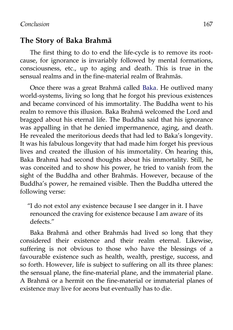### **The Story of Baka Brahmā**

The first thing to do to end the life-cycle is to remove its rootcause, for ignorance is invariably followed by mental formations, consciousness, etc., up to aging and death. This is true in the sensual realms and in the fine-material realm of Brahmās.

Once there was a great Brahmā called [Baka.](http://aimwell.org/DPPN/baka.htm) He outlived many world-systems, living so long that he forgot his previous existences and became convinced of his immortality. The Buddha went to his realm to remove this illusion. Baka Brahmā welcomed the Lord and bragged about his eternal life. The Buddha said that his ignorance was appalling in that he denied impermanence, aging, and death. He revealed the meritorious deeds that had led to Baka's longevity. It was his fabulous longevity that had made him forget his previous lives and created the illusion of his immortality. On hearing this, Baka Brahmā had second thoughts about his immortality. Still, he was conceited and to show his power, he tried to vanish from the sight of the Buddha and other Brahmās. However, because of the Buddha's power, he remained visible. Then the Buddha uttered the following verse:

"I do not extol any existence because I see danger in it. I have renounced the craving for existence because I am aware of its defects."

Baka Brahmā and other Brahmās had lived so long that they considered their existence and their realm eternal. Likewise, suffering is not obvious to those who have the blessings of a favourable existence such as health, wealth, prestige, success, and so forth. However, life is subject to suffering on all its three planes: the sensual plane, the fine-material plane, and the immaterial plane. A Brahmā or a hermit on the fine-material or immaterial planes of existence may live for aeons but eventually has to die.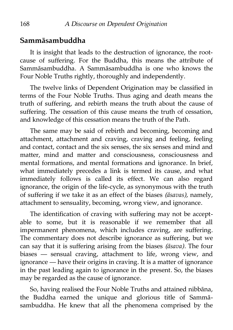## **Sammāsambuddha**

It is insight that leads to the destruction of ignorance, the rootcause of suffering. For the Buddha, this means the attribute of Sammāsambuddha. A Sammāsambuddha is one who knows the Four Noble Truths rightly, thoroughly and independently.

The twelve links of Dependent Origination may be classified in terms of the Four Noble Truths. Thus aging and death means the truth of suffering, and rebirth means the truth about the cause of suffering. The cessation of this cause means the truth of cessation, and knowledge of this cessation means the truth of the Path.

The same may be said of rebirth and becoming, becoming and attachment, attachment and craving, craving and feeling, feeling and contact, contact and the six senses, the six senses and mind and matter, mind and matter and consciousness, consciousness and mental formations, and mental formations and ignorance. In brief, what immediately precedes a link is termed its cause, and what immediately follows is called its effect. We can also regard ignorance, the origin of the life-cycle, as synonymous with the truth of suffering if we take it as an effect of the biases *(āsavas),* namely, attachment to sensuality, becoming, wrong view, and ignorance.

The identification of craving with suffering may not be acceptable to some, but it is reasonable if we remember that all impermanent phenomena, which includes craving, are suffering. The commentary does not describe ignorance as suffering, but we can say that it is suffering arising from the biases *(āsava).* The four biases — sensual craving, attachment to life, wrong view, and ignorance — have their origins in craving. It is a matter of ignorance in the past leading again to ignorance in the present. So, the biases may be regarded as the cause of ignorance.

So, having realised the Four Noble Truths and attained nibbāna, the Buddha earned the unique and glorious title of Sammāsambuddha. He knew that all the phenomena comprised by the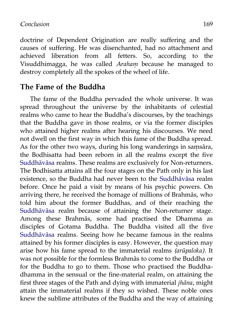#### *Conclusion* 169

doctrine of Dependent Origination are really suffering and the causes of suffering. He was disenchanted, had no attachment and achieved liberation from all fetters. So, according to the Visuddhimagga, he was called *Arahaṃ* because he managed to destroy completely all the spokes of the wheel of life.

#### **The Fame of the Buddha**

The fame of the Buddha pervaded the whole universe. It was spread throughout the universe by the inhabitants of celestial realms who came to hear the Buddha's discourses, by the teachings that the Buddha gave in those realms, or via the former disciples who attained higher realms after hearing his discourses. We need not dwell on the first way in which this fame of the Buddha spread. As for the other two ways, during his long wanderings in samsāra, the Bodhisatta had been reborn in all the realms except the five [Suddhāvāsa](http://aimwell.org/DPPN/suddhaavaasaa.htm) realms. These realms are exclusively for Non-returners. The Bodhisatta attains all the four stages on the Path only in his last existence, so the Buddha had never been to the [Suddhāvāsa](http://aimwell.org/DPPN/suddhaavaasaa.htm) realm before. Once he paid a visit by means of his psychic powers. On arriving there, he received the homage of millions of Brahmās, who told him about the former Buddhas, and of their reaching the [Suddhāvāsa](http://aimwell.org/DPPN/suddhaavaasaa.htm) realm because of attaining the Non-returner stage. Among these Brahmās, some had practised the Dhamma as disciples of Gotama Buddha. The Buddha visited all the five [Suddhāvāsa](http://aimwell.org/DPPN/suddhaavaasaa.htm) realms. Seeing how he became famous in the realms attained by his former disciples is easy. However, the question may arise how his fame spread to the immaterial realms *(arūpaloka).* It was not possible for the formless Brahmās to come to the Buddha or for the Buddha to go to them. Those who practised the Buddhadhamma in the sensual or the fine-material realm, on attaining the first three stages of the Path and dying with immaterial *jhāna*, might attain the immaterial realms if they so wished. These noble ones knew the sublime attributes of the Buddha and the way of attaining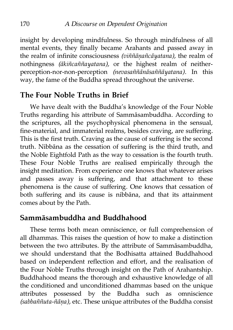insight by developing mindfulness. So through mindfulness of all mental events, they finally became Arahants and passed away in the realm of infinite consciousness *(viññāṇañcāyatana),* the realm of nothingness *(ākiñcaññayatana),* or the highest realm of neitherperception-nor-non-perception *(nevasaññānāsaññāyatana).* In this way, the fame of the Buddha spread throughout the universe.

## **The Four Noble Truths in Brief**

We have dealt with the Buddha's knowledge of the Four Noble Truths regarding his attribute of Sammāsambuddha. According to the scriptures, all the psychophysical phenomena in the sensual, fine-material, and immaterial realms, besides craving, are suffering. This is the first truth. Craving as the cause of suffering is the second truth. Nibbāna as the cessation of suffering is the third truth, and the Noble Eightfold Path as the way to cessation is the fourth truth. These Four Noble Truths are realised empirically through the insight meditation. From experience one knows that whatever arises and passes away is suffering, and that attachment to these phenomena is the cause of suffering. One knows that cessation of both suffering and its cause is nibbāna, and that its attainment comes about by the Path.

## **Sammāsambuddha and Buddhahood**

These terms both mean omniscience, or full comprehension of all dhammas. This raises the question of how to make a distinction between the two attributes. By the attribute of Sammāsambuddha, we should understand that the Bodhisatta attained Buddhahood based on independent reflection and effort, and the realisation of the Four Noble Truths through insight on the Path of Arahantship. Buddhahood means the thorough and exhaustive knowledge of all the conditioned and unconditioned dhammas based on the unique attributes possessed by the Buddha such as omniscience *(sabbaññuta-ñāṇa),* etc. These unique attributes of the Buddha consist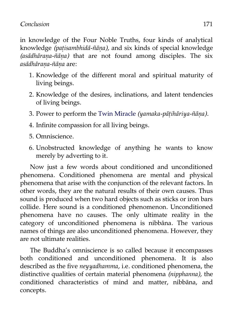#### *Conclusion* 171

in knowledge of the Four Noble Truths, four kinds of analytical knowledge *(paṭisambhidā-ñāṇa),* and six kinds of special knowledge *(asādhāraṇa-ñāṇa)* that are not found among disciples. The six *asādhāraṇa-ñāṇa* are:

- 1. Knowledge of the different moral and spiritual maturity of living beings.
- 2. Knowledge of the desires, inclinations, and latent tendencies of living beings.
- 3. Power to perform the [Twin Miracle](http://aimwell.org/DPPN/yamaka_paatihaariya.htm) *(yamaka-pāṭihāriya-ñāṇa).*
- 4. Infinite compassion for all living beings.
- 5. Omniscience.
- 6. Unobstructed knowledge of anything he wants to know merely by adverting to it.

Now just a few words about conditioned and unconditioned phenomena. Conditioned phenomena are mental and physical phenomena that arise with the conjunction of the relevant factors. In other words, they are the natural results of their own causes. Thus sound is produced when two hard objects such as sticks or iron bars collide. Here sound is a conditioned phenomenon. Unconditioned phenomena have no causes. The only ultimate reality in the category of unconditioned phenomena is nibbāna. The various names of things are also unconditioned phenomena. However, they are not ultimate realities.

The Buddha's omniscience is so called because it encompasses both conditioned and unconditioned phenomena. It is also described as the five *neyyadhamma,* i.e. conditioned phenomena, the distinctive qualities of certain material phenomena *(nipphanna),* the conditioned characteristics of mind and matter, nibbāna, and concepts.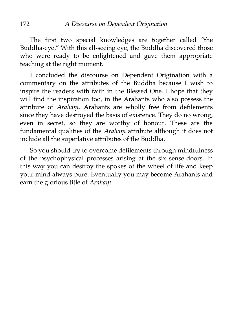The first two special knowledges are together called "the Buddha-eye." With this all-seeing eye, the Buddha discovered those who were ready to be enlightened and gave them appropriate teaching at the right moment.

I concluded the discourse on Dependent Origination with a commentary on the attributes of the Buddha because I wish to inspire the readers with faith in the Blessed One. I hope that they will find the inspiration too, in the Arahants who also possess the attribute of *Arahaṃ.* Arahants are wholly free from defilements since they have destroyed the basis of existence. They do no wrong, even in secret, so they are worthy of honour. These are the fundamental qualities of the *Arahaṃ* attribute although it does not include all the superlative attributes of the Buddha.

So you should try to overcome defilements through mindfulness of the psychophysical processes arising at the six sense-doors. In this way you can destroy the spokes of the wheel of life and keep your mind always pure. Eventually you may become Arahants and earn the glorious title of *Arahaṃ.*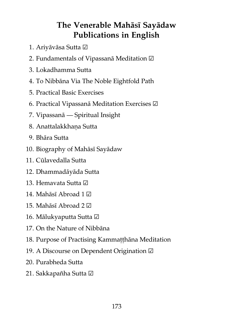## **The Venerable Mahāsī Sayādaw Publications in English**

- 1. Ariyāvāsa Sutta ☑
- 2. Fundamentals of Vipassanā Meditation ☑
- 3. Lokadhamma Sutta
- 4. To Nibbāna Via The Noble Eightfold Path
- 5. Practical Basic Exercises
- 6. Practical Vipassanā Meditation Exercises ☑
- 7. Vipassanā Spiritual Insight
- 8. Anattalakkhaṇa Sutta
- 9. Bhāra Sutta
- 10. Biography of Mahāsī Sayādaw
- 11. Cūlavedalla Sutta
- 12. Dhammadāyāda Sutta
- 13. Hemavata Sutta ☑
- 14. Mahāsī Abroad 1 ☑
- 15. Mahāsī Abroad 2 ☑
- 16. Mālukyaputta Sutta ☑
- 17. On the Nature of Nibbāna
- 18. Purpose of Practising Kammaṭṭhāna Meditation
- 19. A Discourse on Dependent Origination ☑
- 20. Purabheda Sutta
- 21. Sakkapañha Sutta ☑